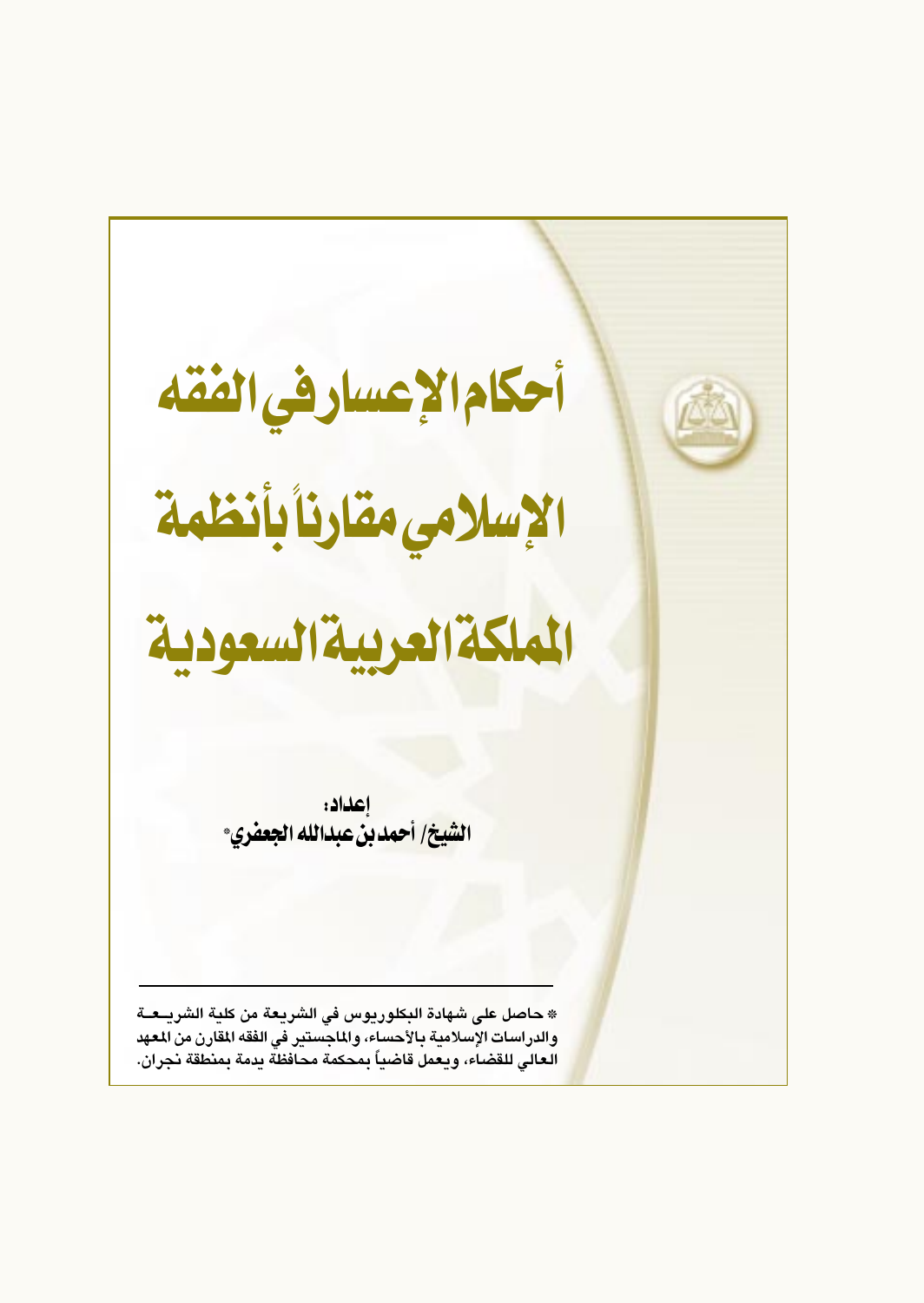أحكام الإعسار في الفقه الإسلامي مقارنا بأنظمة الملكة العربية السعودية إعداد: ال<mark>شيخ/ أحمد بن عبدالله الجعفري</mark>\* \* حاصل على شهادة البكلوريوس في الشريعة من كلية الشريــعــة والدراسات الإسلامية بالأحساء، والماجستير في الفقه المقارن من المعهد العالى للقضاء، ويعمل قاضياً بمحكمة محافظة يدمة بمنطقة نجران.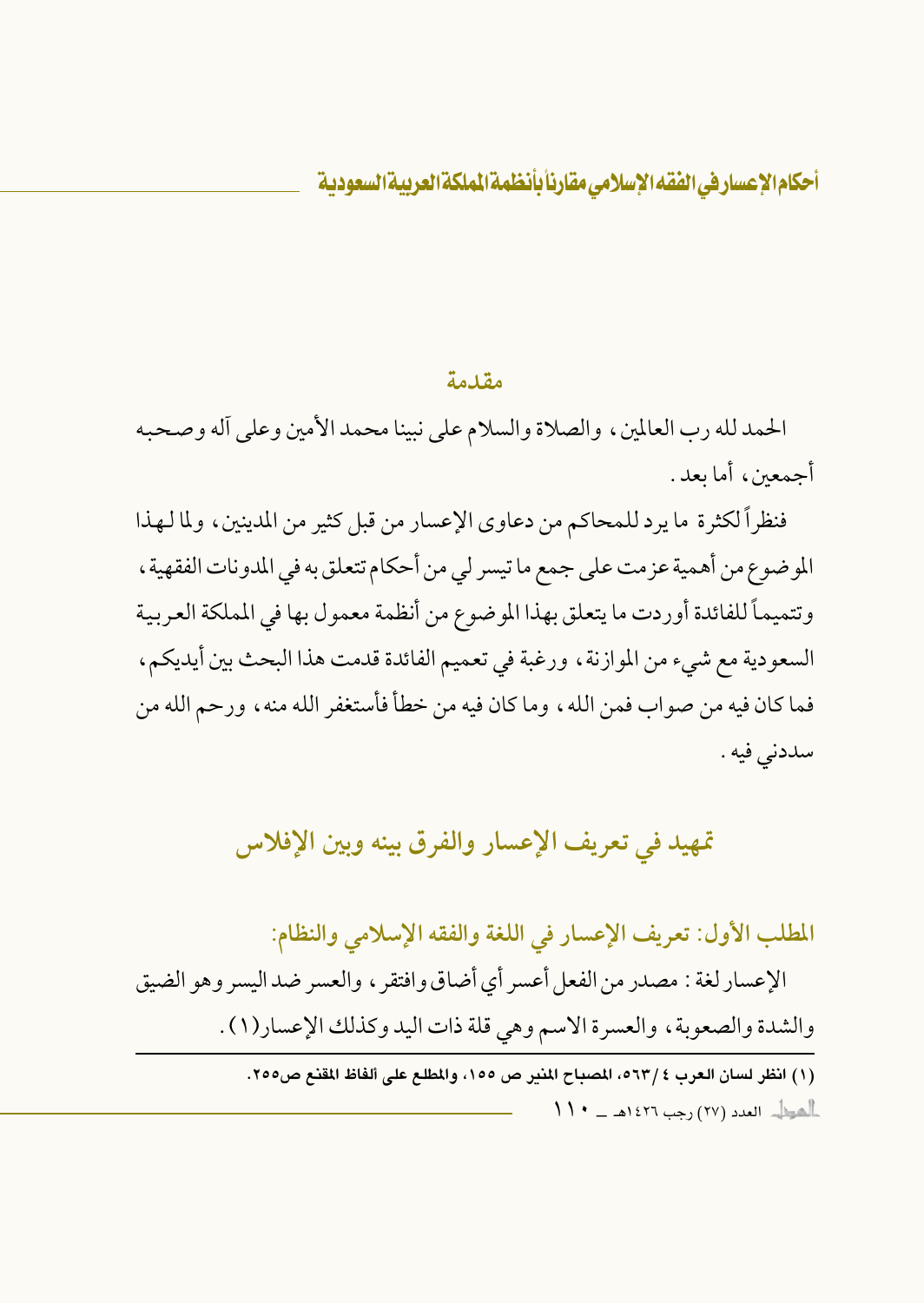#### مقدمة

الحمد لله رب العالمين ، والصلاة والسلام على نبينا محمد الأمين وعلى أله وصحبه أجمعين، أما يعد.

فنظراً لكثرة ما يرد للمحاكم من دعاوي الإعسار من قبل كثير من المدينين، ولما لهذا الموضوع من أهمية عزمت على جمع ما تيسر لي من أحكام تتعلق به في المدونات الفقهية ، وتتميماً للفائدة أوردت ما يتعلق بهذا الموضوع من أنظمة معمول بها في المملكة العربية السعودية مع شيء من الموازنة ، ورغبة في تعميم الفائدة قدمت هذا البحث بين أيديكم ، فما كان فيه من صواب فمن الله ، وما كان فيه من خطأ فأستغفر الله منه ، ورحم الله من سددنى فيه .

## تمهيد في تعريف الإعسار والفرق بينه وبين الإفلاس

المطلب الأول: تعريف الإعسار في اللغة والفقه الإسلامي والنظام:

الإعسار لغة : مصدر من الفعل أعسر أي أضاق وافتقر ، والعسر ضد اليسر وهو الضيق والشدة والصعوبة، والعسرة الاسم وهي قلة ذات اليد وكذلك الإعسار(١) .

(١) انظر لسان العرب ٤ /٥٦٣، المصباح المنير ص ١٥٥، والمطلع على ألفاظ المقنع ص٢٥٥.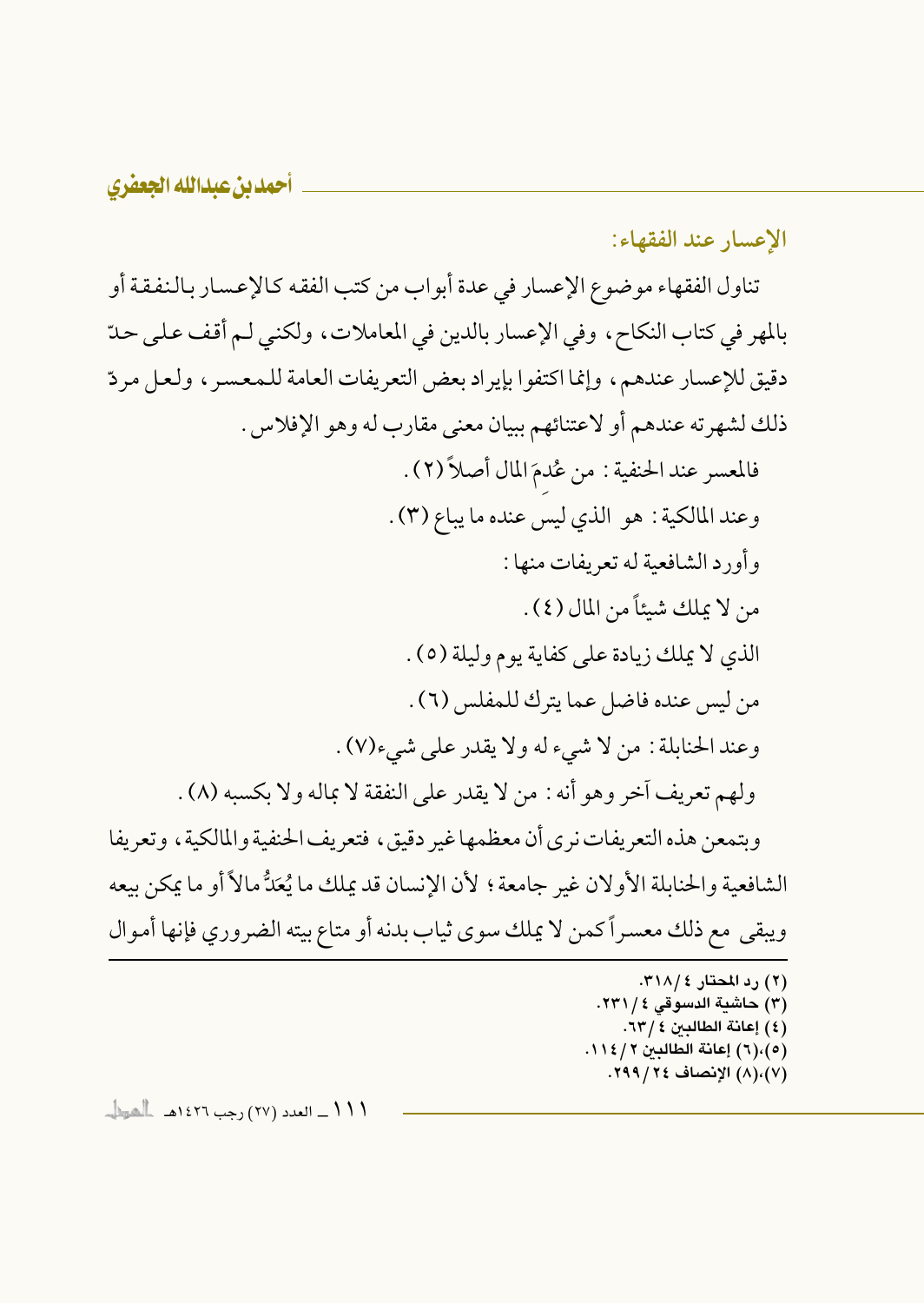الإعسار عند الفقهاء:

تناول الفقهاء موضوع الإعسار في عدة أبواب من كتب الفقه كالإعسار بالنفقة أو بالمهر في كتاب النكاح، وفي الإعسار بالدين في المعاملات، ولكني لم أقف على حدّ دقيق للإعسار عندهم، وإنما اكتفوا بإيراد بعض التعريفات العامة للمعسر، ولعل مردّ ذلك لشهرته عندهم أو لاعتنائهم ببيان معنى مقارب له وهو الإفلاس . فالمعسر عند الحنفية : من عُدمَ المال أصلاً (٢) . وعند المالكية : هو الذي ليس عنده ما يباع (٣) . وأورد الشافعية له تعريفات منها : من لا يملك شيئاً من المال (٤) . الذي لا يملك زيادة على كفاية يوم وليلة (٥) . من ليس عنده فاضل عما يترك للمفلس (٦) . وعند الحنابلة : من لا شيء له ولا يقدر على شيء(٧). ولهم تعريف أخر وهو أنه : من لا يقدر على النفقة لا بماله ولا بكسبه (٨) . وبتمعن هذه التعريفات نرى أن معظمها غير دقيق، فتعريف الحنفية والمالكية، وتعريفا الشافعية والحنابلة الأولان غير جامعة ؛ لأن الإنسان قد يملك ما يُعَدُّ مالاً أو ما يمكن بيعه ويبقى مع ذلك معسراً كمن لا يملك سوى ثياب بدنه أو متاع بيته الضروري فإنها أموال (٢) رد المحتار ٢١٨/٤. (٣) حاشية الدسوقي ٤ / ٢٣١.

- (٤) إعانة الطالبين ٤ / ٦٣.
- (٥)،(٦) إعانة الطالبين ١١٤/٢. (٧)،(٨) الإنصاف ٢٩٩/٢٤.

 $\frac{1}{2}$  / / / \_ العدد (٢٧) رحب ١٤٢٦هـ العط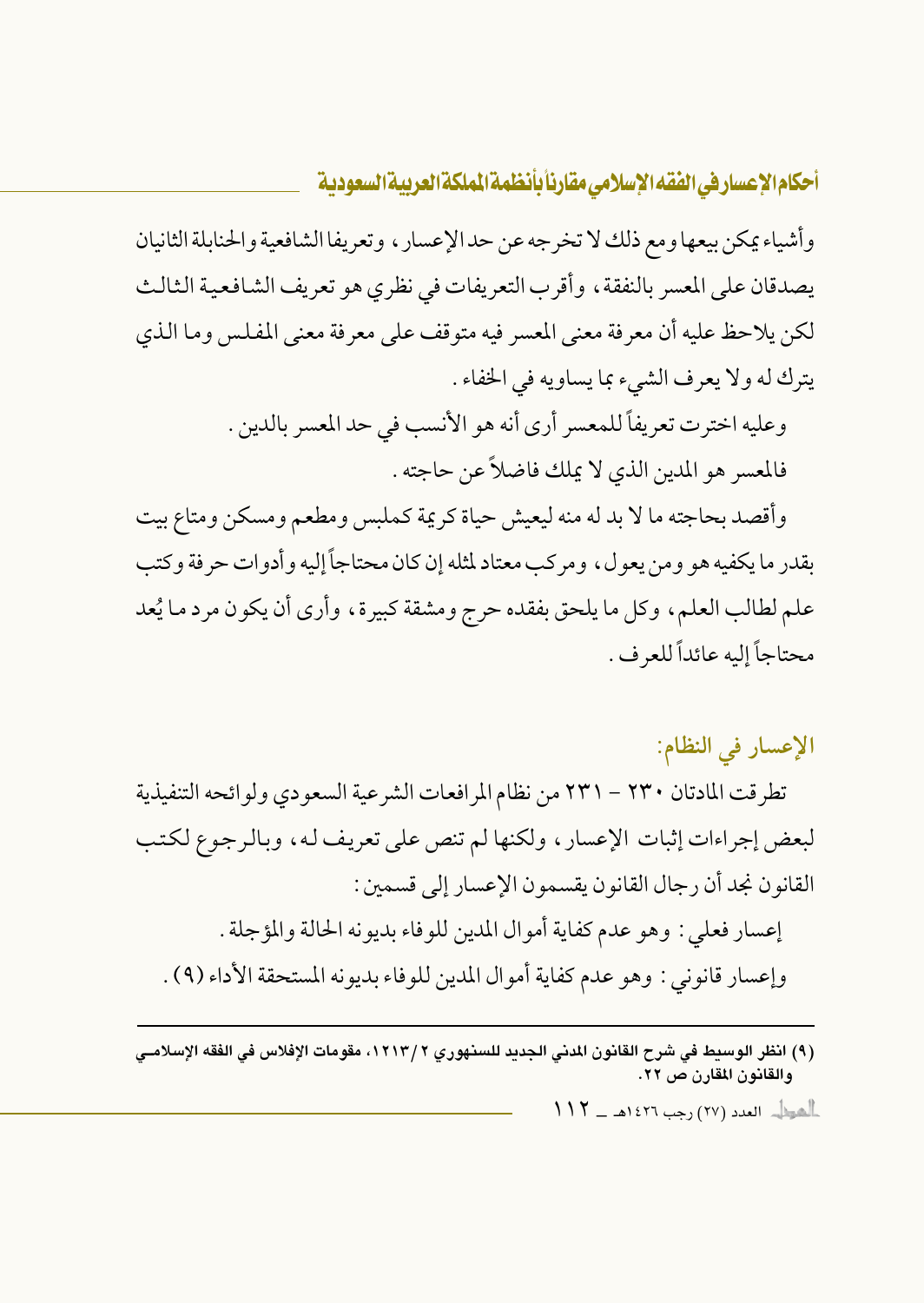وأشياء يمكن بيعها ومع ذلك لا تخرجه عن حد الإعسار ، وتعريفا الشافعية والحنابلة الثانيان يصدقان على المعسر بالنفقة، وأقرب التعريفات في نظري هو تعريف الشافعية الثالث لكن يلاحظ عليه أن معرفة معنى المعسر فيه متوقف على معرفة معنى المفلس وما الذي يترك له ولا يعرف الشيء بما يساويه في الخفاء .

> وعليه اخترت تعريفاً للمعسر أرى أنه هو الأنسب في حد المعسر بالدين . فالمعسر هو المدين الذي لا يملك فاضلاً عن حاجته .

وأقصد بحاجته ما لا بد له منه ليعيش حياة كريمة كملبس ومطعم ومسكن ومتاع بيت بقدر ما يكفيه هو ومن يعول، ومركب معتاد لمثله إن كان محتاجاً إليه و أدوات حرفة وكتب علم لطالب العلم، وكل ما يلحق بفقده حرج ومشقة كبيرة، وأرى أن يكون مرد ما يُعد محتاجاً إليه عائداً للعرف .

## الإعسار في النظام:

تطرقت المادتان ٢٣٠ – ٢٣١ من نظام المرافعات الشرعية السعودي ولوائحه التنفيذية لبعض إجراءات إثبات الإعسار ، ولكنها لم تنص على تعريف له ، وبالرجوع لكتب القانون نجد أن رجال القانون يقسمون الإعسار إلى قسمين: إعسار فعلى : وهو عدم كفاية أموال المدين للوفاء بديونه الحالة والمؤجلة . وإعسار قانوني: وهو عدم كفاية أموال المدين للوفاء بديونه المستحقة الأداء (٩) .

(٩) انظر الوسيط في شرح القانون المدنى الجديد للسنهوري ١٢١٣/٢، مقومات الإفلاس في الفقه الإسلامـي والقانون المقارن ص ٢٢.

 $117 - 1277$  (جب ١٤٢٦هـ - ١١٢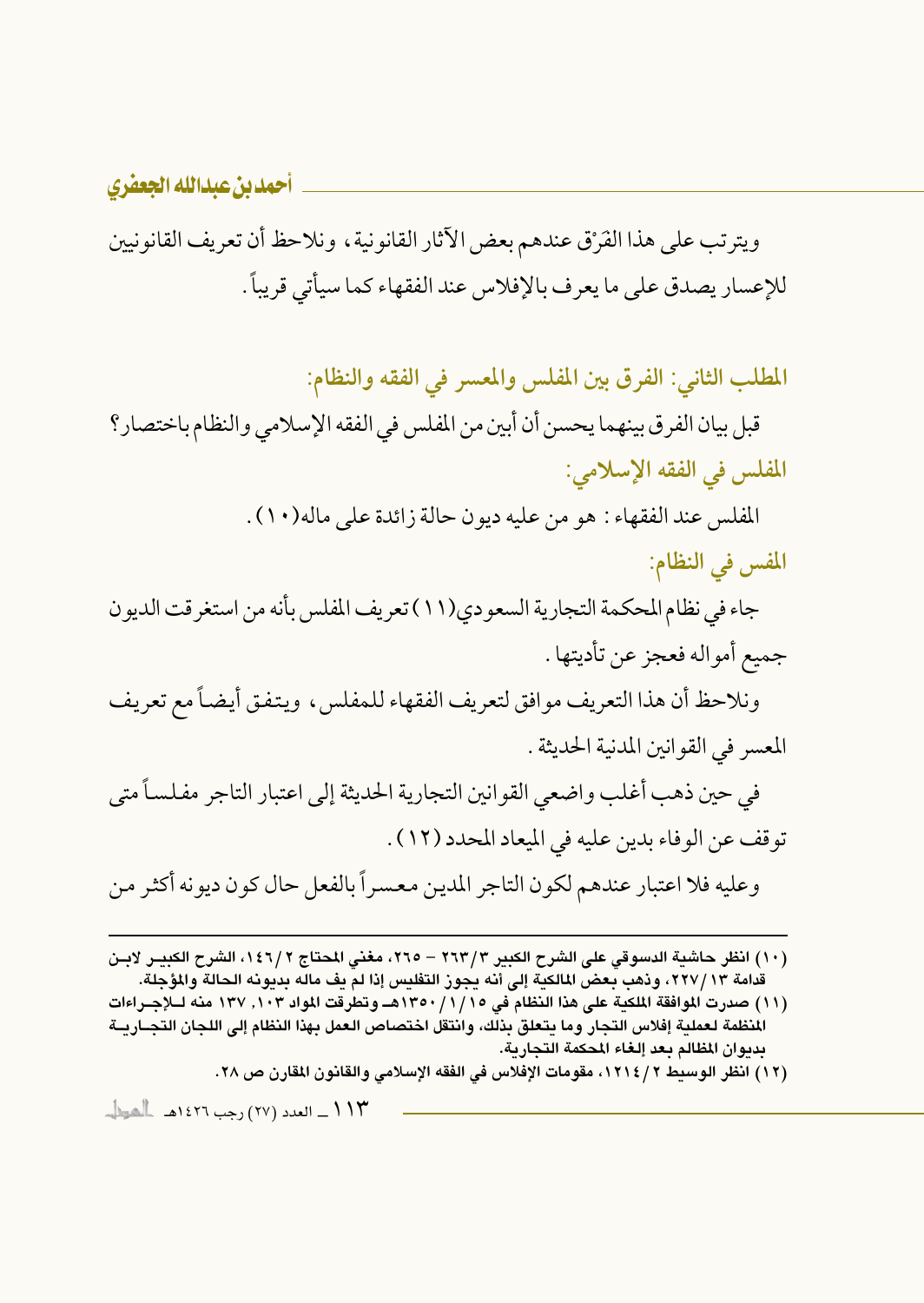ويترتب على هذا الفَرْق عندهم بعض الآثار القانونية ، ونلاحظ أن تعريف القانونيين للإعسار يصدق على ما يعرف بالإفلاس عند الفقهاء كما سيأتي قريباً .

المطلب الثاني: الفرق بين المفلس والمعسر في الفقه والنظام:

قبل بيان الفرق بينهما يحسن أن أبين من المفلس في الفقه الإسلامي والنظام باختصار؟ المفلس في الفقه الإسلامي:

المُفلِس عند الفقهاء : هو من عليه ديون حالة زائدة على ماله(١٠) .

المفس في النظام:

جاء في نظام المحكمة التجارية السعودي(١١) تعريف المفلس بأنه من استغر قت الديون جميع أمواله فعجز عن تأديتها .

ونلاحظ أن هذا التعريف موافق لتعريف الفقهاء للمفلس، ويتفق أيضاً مع تعريف المعسر في القوانين المدنية الحديثة .

في حين ذهب أغلب واضعى القوانين التجارية الحديثة إلى اعتبار التاجر مفلساً متى توقف عن الوفاء بدين عليه في الميعاد المحدد (١٢) . وعليه فلا اعتبار عندهم لكون التاجر المدين معسراً بالفعل حال كون ديونه أكثر من

- (١٠) انظر حاشية الدسوقي على الشرح الكبير ٢٦٣/٣ ٢٦٥، مغنى المحتاج ١٤٦/٢، الشرح الكبيـر لابـن قدامة ١٣/ ٢٢٧، وذهب بعض المالكية إلى أنه يجوز التفليس إذا لم يف ماله بديونه الحالة والمؤجلة.
- (١١) صدرت الموافقة الملكية على هذا النظام في ١٢٥٠/١/١٥٥هـ وتطرقت المواد ١٠٣ ، ١٣٧ منه لــلإجــراءات المنظمة لعملية إفلاس التجار وما يتعلق بذلك، وانتقل اختصاص العمل بهذا النظام إلى اللجان التجــاريــة بديوان المظالم بعد إلغاء المحكمة التجارية.
	- (١٢) انظر الوسيط ٢ / ١٢١٤، مقومات الإفلاس في الفقه الإسلامي والقانون المقارن ص ٢٨.

١١٣\_ العدد (٢٧) رجب ١٤٢٦هـ - الشيطان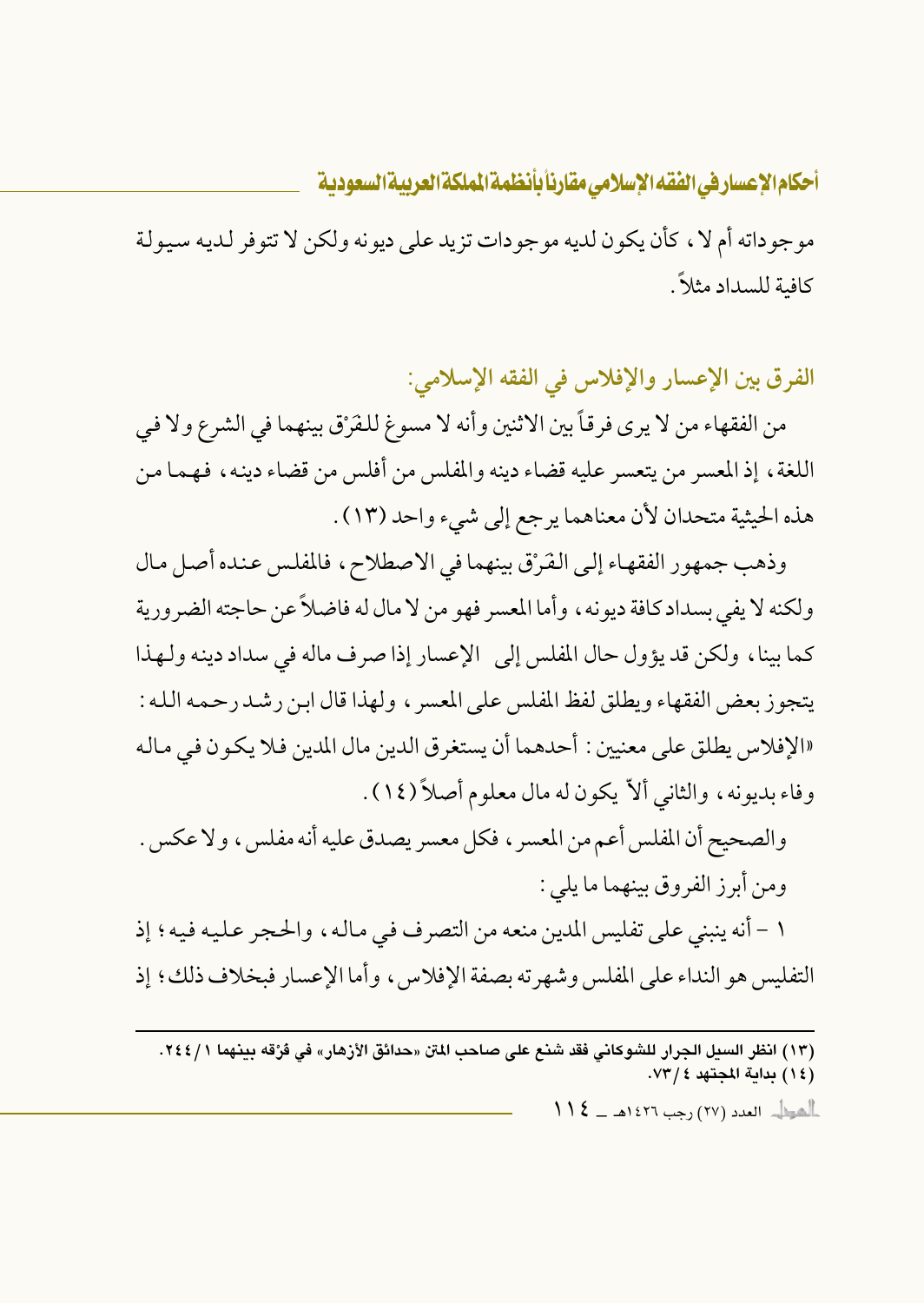موجوداته أم لا ، كأن يكون لديه موجودات تزيد على ديونه ولكن لا تتوفر لديه سيولة كافية للسداد مثلاً.

الفرق بين الإعسار والإفلاس في الفقه الإسلامي:

من الفقهاء من لا يرى فرقاً بين الاثنين وأنه لا مسوغ للفَرْق بينهما في الشرع ولا في اللغة، إذ المعسر من يتعسر عليه قضاء دينه والمفلس من أفلس من قضاء دينه، فهما من هذه الحيثية متحدان لأن معناهما يرجع إلى شيء واحد (١٣) .

وذهب جمهور الفقهاء إلى الفَرْق بينهما في الاصطلاح، فالمفلس عنده أصل مال ولكنه لا يفي بسداد كافة ديونه ، وأما المعسر فهو من لا مال له فاضلاً عن حاجته الضرورية كما بينا، ولكن قد يؤول حال المفلس إلى الإعسار إذا صرف ماله في سداد دينه ولهذا يتجوز بعض الفقهاء ويطلق لفظ المفلس على المعسر ، ولهذا قال ابن رشد رحمه الله : «الإفلاس يطلق على معنيين : أحدهما أن يستغرق الدين مال المدين فلا يكون في ماله وفاء بديونه، والثاني ألاّ يكون له مال معلوم أصلاً (١٤).

والصحيح أن المفلس أعم من المعسر ، فكل معسر يصدق عليه أنه مفلس ، ولا عكس . ومن أبرز الفروق بينهما ما يلي :

١ – أنه ينبني على تفليس المدين منعه من التصرف في مالـه ، والحـجر عـليـه فيـه ؛ إذ التفلس هو النداء على المفلس وشهرته بصفة الإفلاس، وأما الإعسار فبخلاف ذلك؛ إذ

(١٣) انظر السيل الجرار للشوكاني فقد شنع على صاحب المتن «حدائق الأزهار» في فرُقه بينهما ٢٤٤/١. (١٤) بداية المجتهد ٧٣/٤.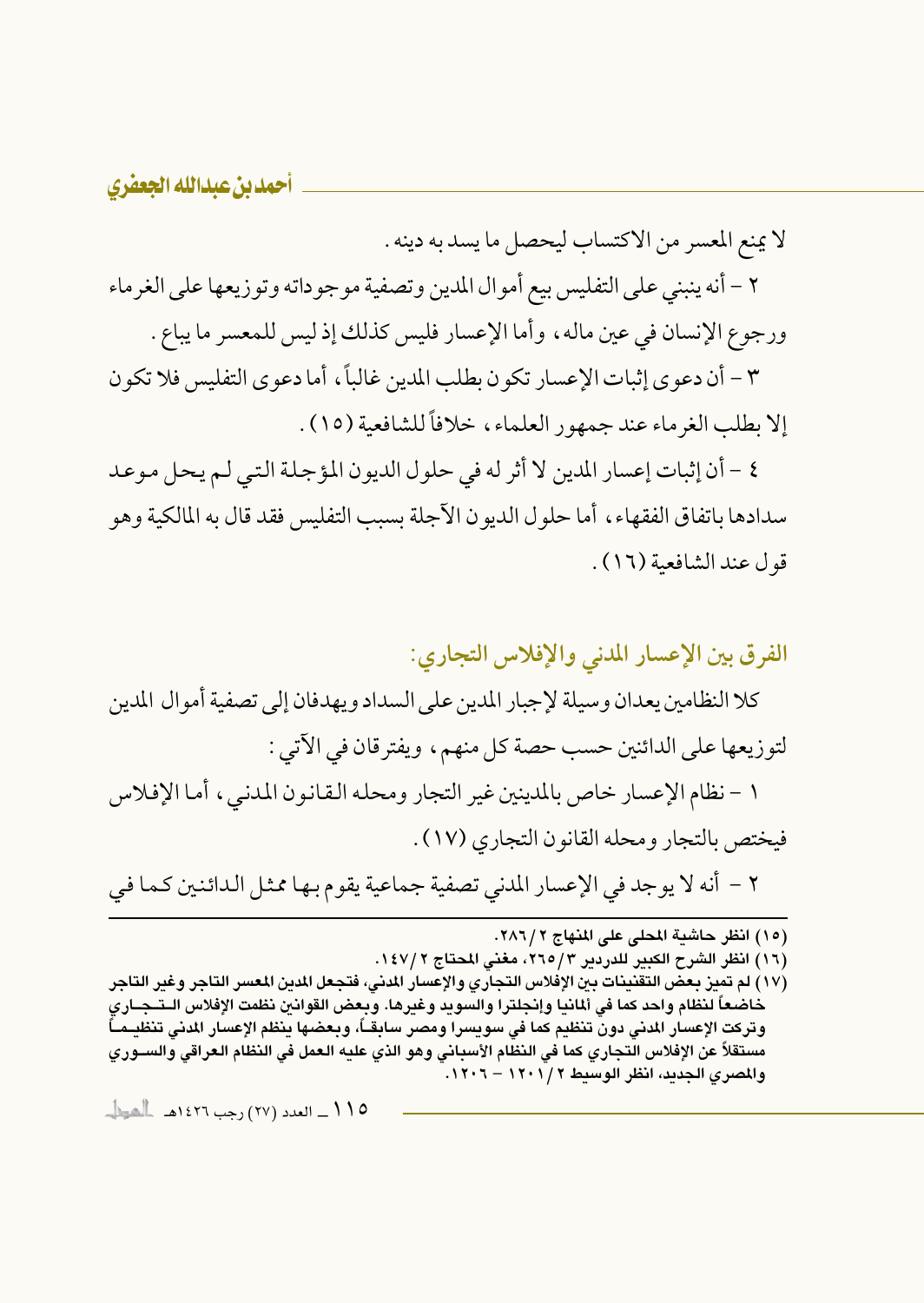لا يمنع المعسر من الاكتساب ليحصل ما يسد به دينه .

٢ – أنه ينبني على التفليس بيع أموال المدين وتصفية موجوداته وتوزيعها على الغرماء ورجوع الإنسان في عين ماله، وأما الإعسار فليس كذلك إذ ليس للمعسر ما يباع .

٣ – أن دعوى إثبات الإعسار تكون بطلب المدين غالباً، أما دعوى التفليس فلا تكون إلا بطلب الغرماء عند جمهور العلماء، خلافاً للشافعية (١٥) .

٤ - أن إثبات إعسار المدين لا أثر له في حلول الديون المؤجلة التي لم يحل موعد سدادها باتفاق الفقهاء ، أما حلول الديون الآجلة بسبب التفليس فقد قال به المالكية وهو قول عند الشافعية (١٦).

الفرق بين الإعسار المدنى والإفلاس التجاري:

كلا النظامين يعدان وسيلة لإجبار المدين على السداد ويهدفان إلى تصفية أموال المدين لتوزيعها على الدائنين حسب حصة كل منهم، ويفترقان في الآتي : ١ – نظام الإعسار خاص بالمدينين غير التجار ومحله القانون المدنى، أما الإفلاس فيختص بالتجار ومحله القانون التجاري (١٧) . ٢ – أنه لا يوجد في الإعسار المدنى تصفية جماعية يقوم بها ممثل الدائنين كما في

(١٥) انظر حاشية المحلي على المنهاج ٢٨٦/٢.

(١٦) انظر الشرح الكبير للدردير ٢٦٥/٣، مغنى المحتاج ١٤٧/٢.

(١٧ ) لم تميز بعض التقنينات بين الإفلاس التجاري والإعسار المدني، فتجعل المدين المعسر التاجر وغير التاجر خاضعاً لنظام واحد كما فى ألمانيا وإنجلترا والسويد وغيرها. وبعض القوانين نظمت الإفلاس الـتــجــاري وتركت الإعسار المدنى دون تنظيم كما فى سويسرا ومصر سابقــاً، وبعضها ينظم الإعسار المدنى تنظيــمــاً مستقلاً عن الإفلاس التجاري كما فى النظام الأسبانى وهو الذي عليه العمل فى النظام العراقى والســوري والمصرى الجديد، انظر الوسيط ٢ / ١٢٠١ - ١٢٠٦.

۱۱۵ ــ العدد (۲۷) رجب ۱٤۲۲هــ ـالشيطـــ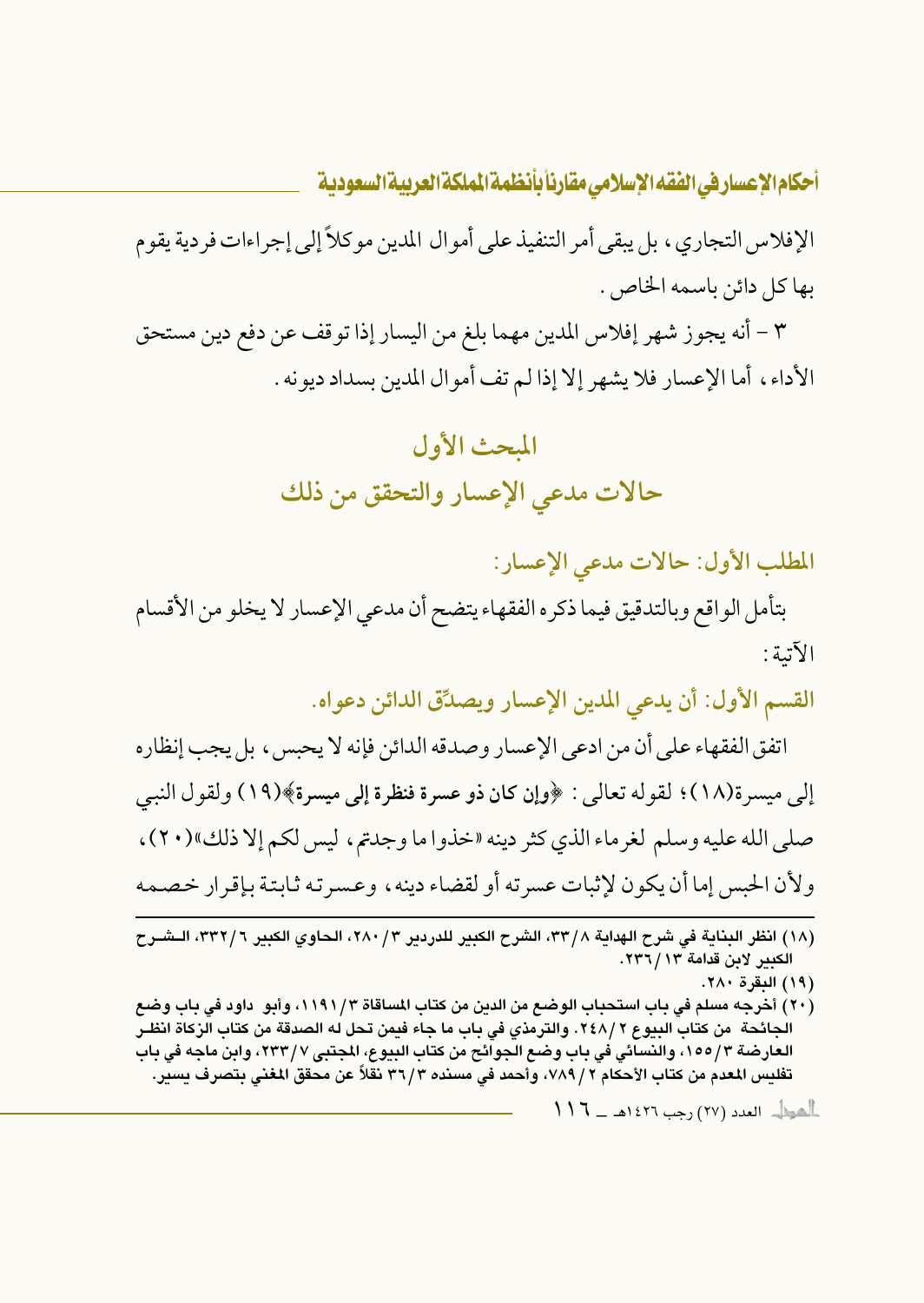الإفلاس التجاري ، بل يبقى أمر التنفيذ على أموال المدين موكلاً إلى إجراءات فردية يقوم بها كل دائن باسمه الخاص.

٣ – أنه يجوز شهر إفلاس المدين مهما بلغ من اليسار إذا توقف عن دفع دين مستحق الأداء، أما الإعسار فلا يشهر إلا إذا لم تف أموال المدين بسداد ديونه .

# المبحث الأول حالات مدعى الإعسار والتحقق من ذلك

المطلب الأول: حالات مدعى الإعسار:

بتأمل الواقع وبالتدقيق فيما ذكره الفقهاء يتضح أن مدعى الإعسار لا يخلو من الأقسام الآتية :

القسم الأول: أن يدعى المدين الإعسار ويصدِّق الدائن دعواه.

اتفق الفقهاء على أن من ادعى الإعسار وصدقه الدائن فإنه لا يحبس ، بل يجب إنظاره إلى ميسرة(١٨)؛ لقوله تعالى : ﴿وإِن كان ذو عسرة فنظرة إلى ميسرة﴾(١٩) ولقول النبي صلي الله عليه وسلم لغرماء الذي كثر دينه «خذوا ما وجدتم ، ليس لكم إلا ذلك»(٢٠) ، ولأن الحبس إما أن يكون لإثبات عسرته أو لقضاء دينه ، وعسرته ثابتة بإقرار خصمه

- (١٩) البقرة ٢٨٠.
- (٢٠) أخرجه مسلم في باب استحباب الوضع من الدين من كتاب المساقاة ١١٩١/٣، وأبو داود في باب وضع الجائحة من كتاب البيوع ٢٤٨/٢. والترمذي في باب ما جاء فيمن تحل له الصدقة من كتاب الزكاة انظـر العارضة ٣/ ١٥٥، والنسائي في باب وضع الجوائح من كتاب البيوع، المجتبي ٧/ ٢٣٣، وابن ماجه في باب تفليس المعدم من كتاب الأحكام ٧ / ٧٨٩، وأحمد في مسنده ٣٦/٣ نقلاً عن محقق المغنى بتصرف يسير.

 $\|f\|_{\ell^p} = \|f\|_{\ell^p}$  العدد (٢٧) رجب ١٤٢٦هـ \_ ١

<sup>(</sup>١٨) انظر البناية في شرح الهداية ٣٣/٨، الشرح الكبير للدردير ٢/ ٢٨٠، الحاوي الكبير ٣٣٢/٦، الـشـرح الكبير لابن قدامة ١٣٦/١٣.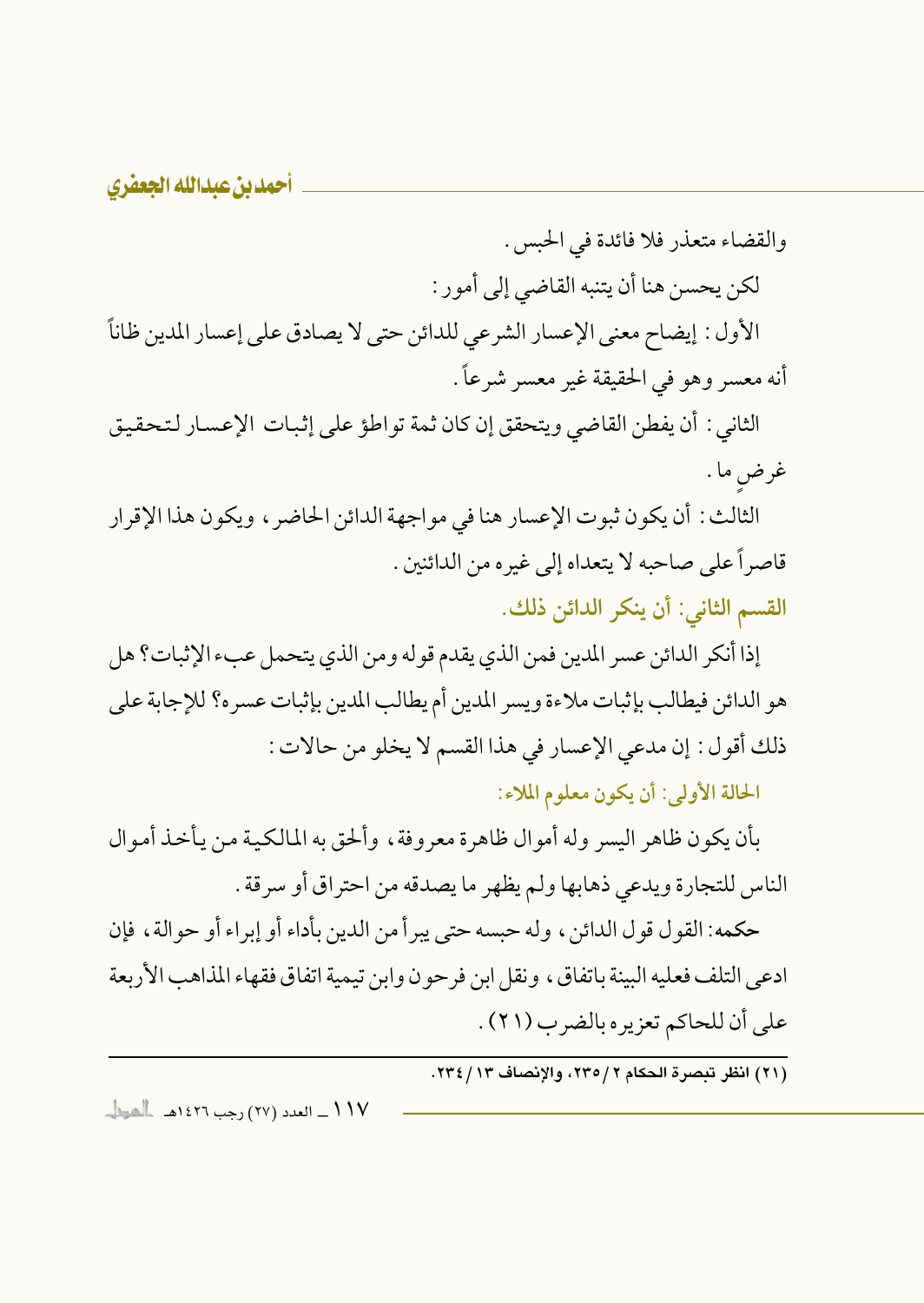والقضاء متعذر فلا فائدة في الحبس . لكن يحسن هنا أن يتنبه القاضي إلى أمور : الأول : إيضاح معنى الإعسار الشرعي للدائن حتى لا يصادق على إعسار المدين ظاناً

أنه معسر وهو في الحقيقة غير معسر شرعاً.

الثاني : أن يفطن القاضي ويتحقق إن كان ثمة تواطؤ على إثبات الإعسار لتحقيق غرض ما .

الثالث: أن يكون ثبوت الإعسار هنا في مواجهة الدائن الحاضر ، ويكون هذا الإقرار قاصراً على صاحبه لا يتعداه إلى غيره من الدائنين . القسم الثاني: أن ينكر الدائن ذلك.

إذا أنكر الدائن عسر المدين فمن الذي يقدم قوله ومن الذي يتحمل عبء الإثبات؟ هل هو الدائن فيطالب بإثبات ملاءة ويسر المدين أم يطالب المدين بإثبات عسره؟ للإجابة على ذلك أقول: إن مدعى الإعسار في هذا القسم لا يخلو من حالات:

الحالة الأولى: أن يكون معلوم الملاء:

بأن يكون ظاهر اليسر وله أموال ظاهرة معروفة، وألحق به المالكية من يأخذ أموال الناس للتجارة ويدعى ذهابها ولم يظهر ما يصدقه من احتراق أو سرقة .

حكمه: القول قول الدائن ، وله حبسه حتى يبر أ من الدين بأداء أو إبر اء أو حو الة ، فإن ادعى التلف فعليه البينة باتفاق، ونقل ابن فر حو ن وابن تيمية اتفاق فقهاء المذاهب الأربعة على أن للحاكم تعزيره بالضرب (٢١) .

(٢١) انظر تبصرة الحكام ٢ / ٢٣٥، والإنصاف ٢٣ / ٢٣٤.

١١٧ ــ العدد (٢٧) رجب ١٤٢٦هـ ـ الشيطا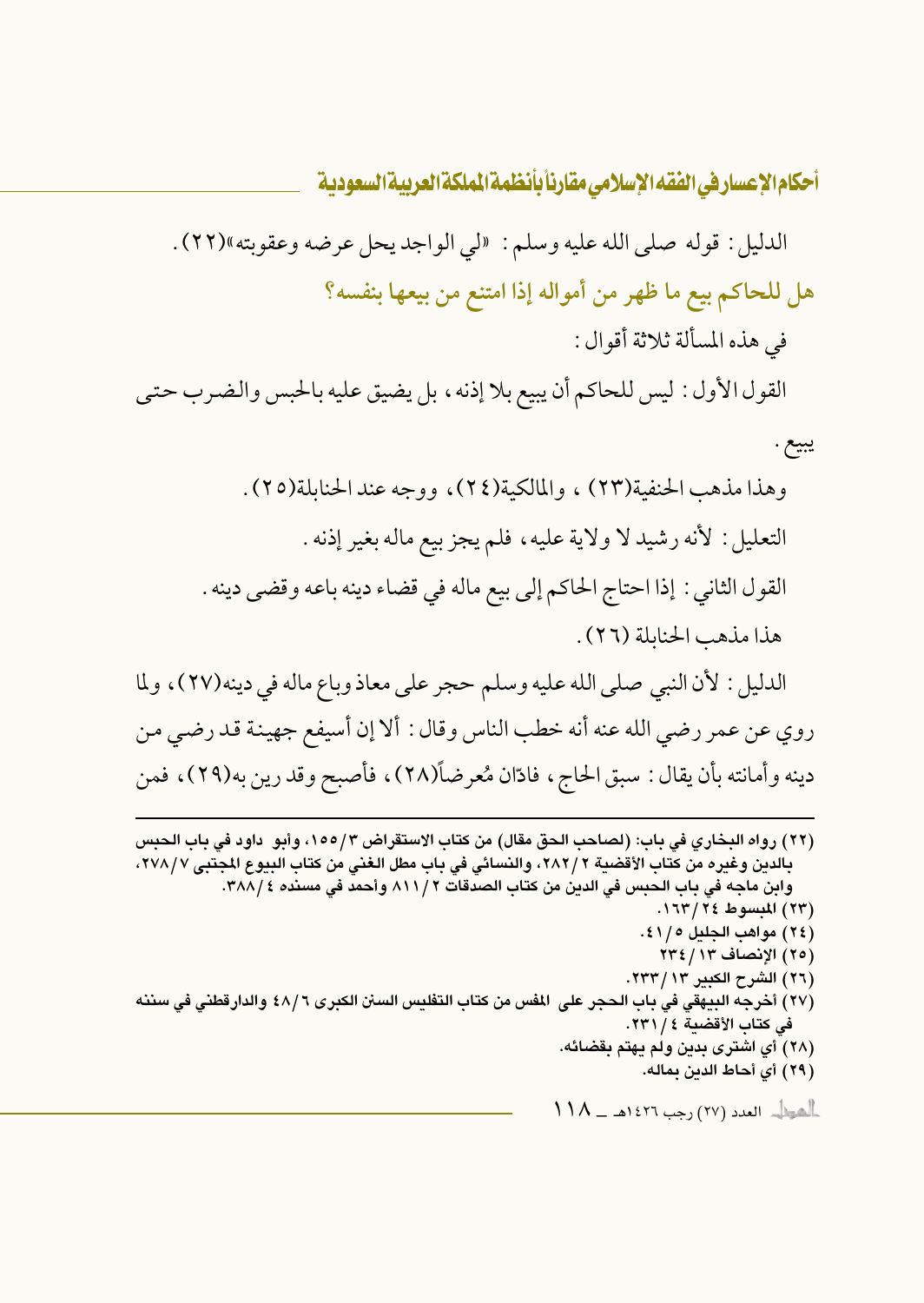الدليل : قوله صلى الله عليه وسلم : الى الواجد يحل عرضه وعقوبته»(٢٢) . هل للحاكم بيع ما ظهر من أمواله إذا امتنع من بيعها بنفسه؟ في هذه المسألة ثلاثة أقوال: القول الأول : ليس للحاكم أن يبيع بلا إذنه ، بل يضيق عليه بالحبس والضرب حتى يبيع . وهذا مذهب الحنفية(٢٣) ، والمالكية(٢٤)، ووجه عند الحنابلة(٢٥). التعليل : لأنه رشيد لا ولاية عليه، فلم يجز بيع ماله بغير إذنه . القول الثاني : إذا احتاج الحاكم إلى بيع ماله في قضاء دينه باعه وقضى دينه . هذا مذهب الحنابلة (٢٦). الدليل : لأن النبي صلى الله عليه وسلم حجر على معاذ وباع ماله في دينه(٢٧)، ولما روي عن عمر رضي الله عنه أنه خطب الناس وقال : ألا إن أسيفع جهينة قد رضي من دينه وأمانته بأن يقال : سبق الحاج ، فادّان مُعرضاً(٢٨) ، فأصبح وقد رين به(٢٩) ، فمن

(٢٢ ) رواه البخاري في باب: (لصاحب الحق مقال) من كتاب الاستقراض ٢/ ١٥٥، وأبو داود في باب الحبس بالدين وغيره من كتاب الأقضية ٢ /٢٨٢، والنسائي في باب مطل الغني من كتاب البيوع المجتبى ٢٧٨/٧، وابن ماجه في باب الحبس في الدين من كتاب الصدقات ٢ / ٨١١ وأحمد في مسنده ٣٨٨/٤. (٢٣) المبسوط ٢٤/ ١٦٣. (٢٤) مواهب الجليل ١/١٤١. (٢٥) الإنصاف ٢٣٤/١٣ (٢٦) الشرح الكبير ٢٣٣/١٣. (٢٧) أخرجه البيهقي في باب الحجر على المفس من كتاب التفليس السنن الكبرى ٤٨/٦ والدارقطني في سننه في كتاب الأقضية ٤ / ٢٣١. (٢٨) أي اشترى بدين ولم يهتم بقضائه. (٢٩) أي أحاط الدين بماله.  $\left\{\restriction\bigwedge\_\_\_\_\_\_\_\right\}$  العدد (٢٧) رجب ١٤٢٦هـ $\bigwedge\_\_\_\_\_\_\_\_\_\_\$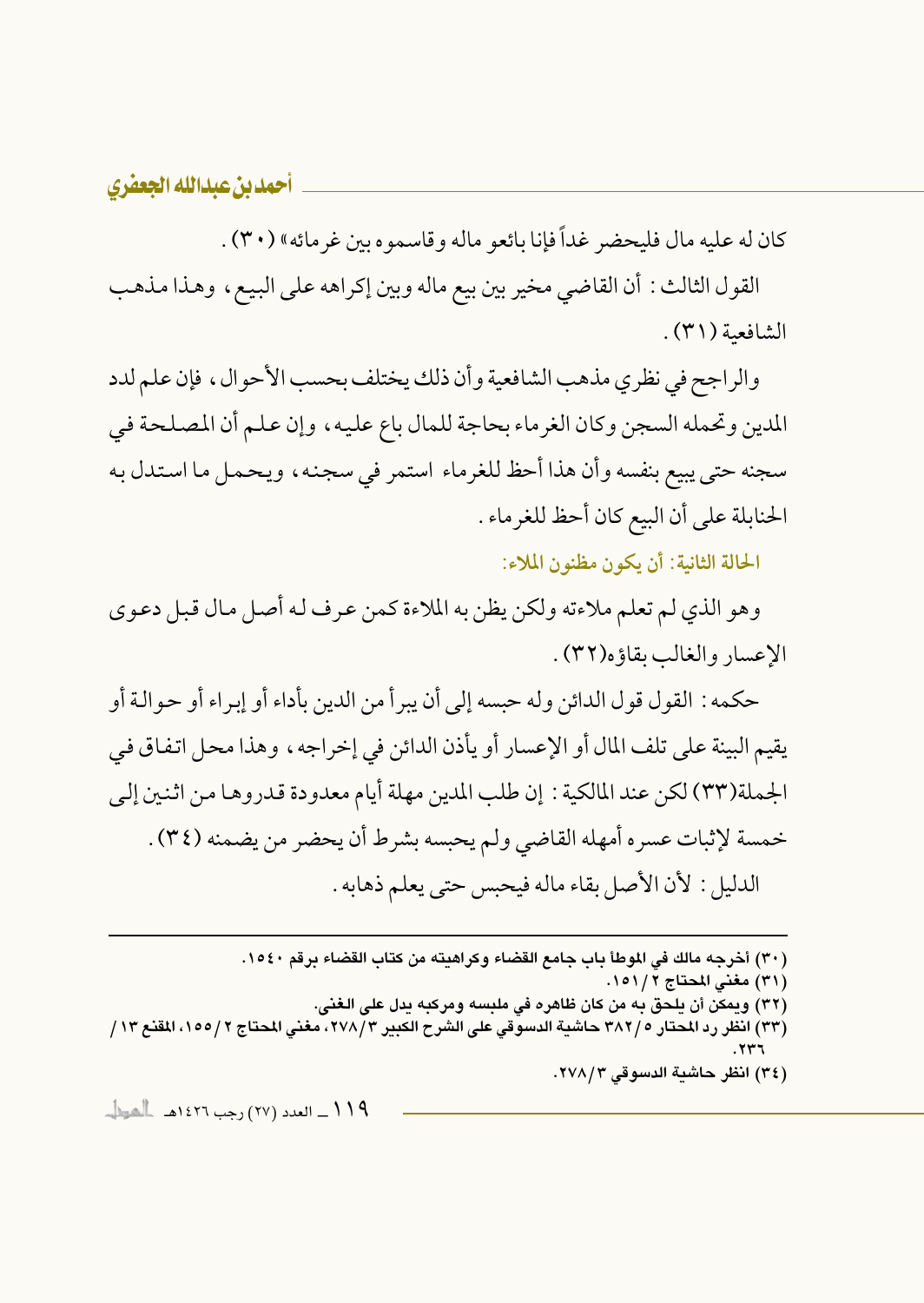كان له عليه مال فليحضر غداً فإنا بائعو ماله وقاسموه بين غر مائه» (٣٠) .

القول الثالث : أن القاضي مخير بين بيع ماله وبين إكراهه على البيع ، وهذا مذهب الشافعية (٣١).

والراجح في نظري مذهب الشافعية وأن ذلك يختلف بحسب الأحوال، فإن علم لدد المدين وتحمله السجن وكان الغرماء بحاجة للمال باع عليه، وإن علم أن المصلحة في سجنه حتى يبيع بنفسه وأن هذا أحظ للغرماء استمر في سجنه، ويحمل ما استدل به الحنابلة على أن البيع كان أحظ للغر ماء .

الحالة الثانية: أن يكون مظنون الملاء:

وهو الذي لم تعلم ملاءته ولكن يظن به الملاءة كمن عرف له أصل مال قبل دعوى الإعسار والغالب بقاؤه(٣٢).

حكمه : القول قول الدائن وله حبسه إلى أن يبر أ من الدين بأداء أو إبراء أو حوالـة أو يقيم البينة على تلف المال أو الإعسار أو يأذن الدائن في إخراجه ، وهذا محل اتفاق في الجملة(٣٣) لكن عند المالكية : إن طلب المدين مهلة أيام معدودة قدروها من اثنين إلى خمسة لإثبات عسره أمهله القاضي ولم يحبسه بشرط أن يحضر من يضمنه (٣٤) . الدليل : لأن الأصل بقاء ماله فيحبس حتى يعلم ذهابه .

(٣٠) أخرجه مالك في الموطأ باب جامع القضاء وكراهيته من كتاب القضاء برقم ١٥٤٠. (٣١) مغنى المحتاج ١٥١/٢. (٣٢) ويمكن أن يلحق به من كان ظاهره في ملبِسه ومركبه يدل على الغني. (٣٣) انظر رد المحتار ٢٨٢/٥ حاشية الدسوقي على الشرح الكبير ٢٧٨/٣، مغنى المحتاج ٢ /١٥٥، المقنع ١٣ / (٣٤) انظر حاشية الدسوقي ٢٧٨/٣. 119 ـــ العدد (٢٧) رجب ١٤٢٦هـــ الحوال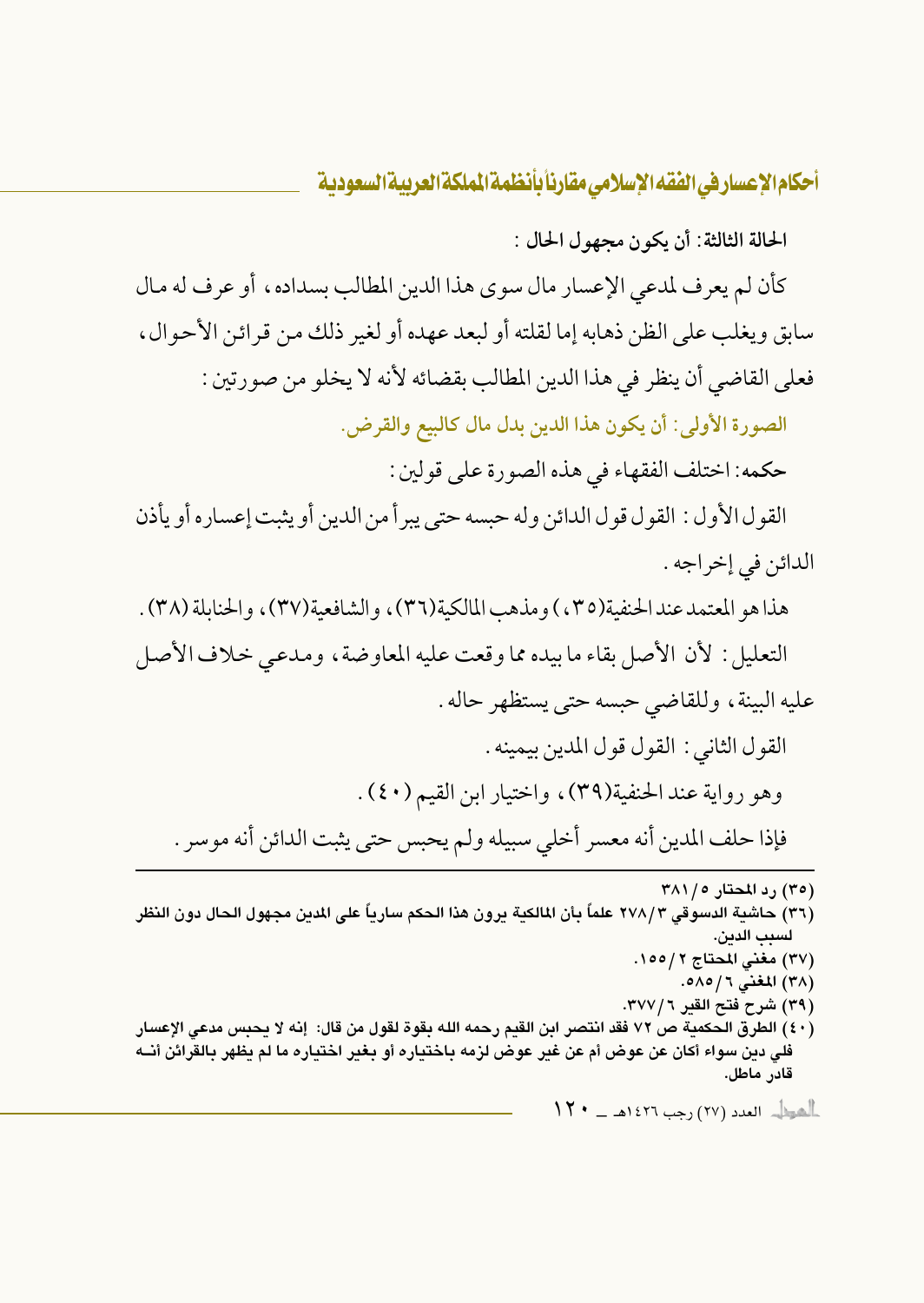الحالة الثالثة: أن يكون مجهول الحال :

كأن لم يعرف لمدعى الإعسار مال سوى هذا الدين المطالب بسداده، أو عرف له مال سابق ويغلب على الظن ذهابه إما لقلته أو لبعد عهده أو لغير ذلك من قرائن الأحوال ، فعلى القاضي أن ينظر في هذا الدين المطالب بقضائه لأنه لا يخلو من صورتين :

الصورة الأولى: أن يكون هذا الدين بدل مال كالبيع والقرض.

حكمه: اختلف الفقهاء في هذه الصورة على قولين :

القول الأول : القول قول الدائن وله حبسه حتى يبرأ من الدين أو يثبت إعساره أو يأذن الدائن في إخراجه .

هذا هو المعتمد عندالحنفية(٣٥) و مذهب المالكية(٣٦) ، والشافعية(٣٧) ، والحنايلة (٣٨) .

التعليل: لأن الأصل بقاء ما بيده مما وقعت عليه المعاوضة، ومدعى خلاف الأصل عليه البينة، وللقاضي حبسه حتى يستظهر حاله .

القول الثاني : القول قول المدين بيمينه .

وهو رواية عند الحنفية(٣٩)، واختيار ابن القيم (٤٠).

فإذا حلف المدين أنه معسر أخلى سبيله ولم يحبس حتى يثبت الدائن أنه موسر .

(۳۰) رد المحتار ۲۸۱/۰ (٣٦) حاشية الدسوقي ٢٧٨/٣ علماً بأن المالكية يرون هذا الحكم سارياً على المدين مجهول الحال دون النظر لسيب الدين. (٣٧) مغنى المحتاج ٢ / ١٥٥. (٣٨) المغنى ٦ / ٥٨٥. (٣٩) شرح فتح القير ٣٧٧/٦. (٤٠) الطرق الحكمية ص ٧٢ فقد انتصر ابن القيم رحمه الله بقوة لقول من قال: إنه لا يحبس مدعى الإعسار فلي دين سواء أكان عن عوض أم عن غير عوض لزمه باختياره أو بغير اختياره ما لم يظهر بالقرائن أنــه قادر ماطل.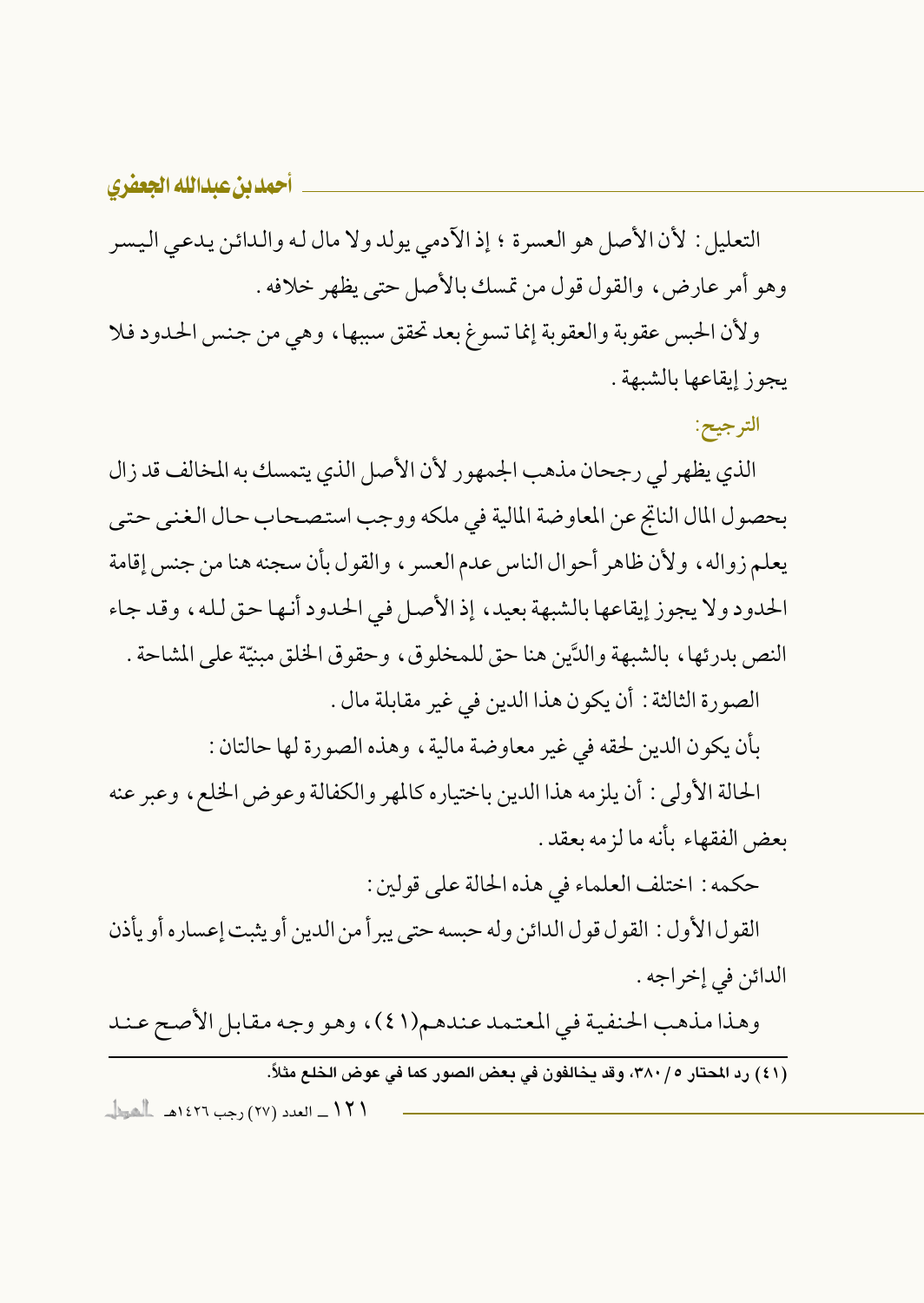التعليل : لأن الأصل هو العسرة ؛ إذ الأدمى يولد ولا مال له والدائن يدعى اليسر وهو أمر عارض، والقول قول من تمسك بالأصل حتى يظهر خلافه .

ولأن الحبس عقوبة والعقوبة إنما تسوغ بعد تحقق سببها، وهي من جنس الحدود فلا يجوز إيقاعها بالشبهة .

الترجيح:

الذي يظهر لي رجحان مذهب الجمهور لأن الأصل الذي يتمسك به المخالف قد زال بحصول المال الناتج عن المعاوضة المالية في ملكه ووجب استصحاب حال الغني حتى يعلم زواله، ولأن ظاهر أحوال الناس عدم العسر ، والقول بأن سجنه هنا من جنس إقامة الحدود ولا يجوز إيقاعها بالشبهة بعيد، إذ الأصل في الحدود أنها حق لله، وقد جاء النص بدرئها، بالشبهة والدَّين هنا حق للمخلوق، وحقوق الخلق مبنيّة على المشاحة . الصورة الثالثة : أن يكون هذا الدين في غير مقابلة مال .

بأن يكون الدين لحقه في غير معاوضة مالية ، وهذه الصورة لها حالتان :

الحالة الأولى: أن يلزمه هذا الدين باختياره كالمهر والكفالة وعوض الخلع، وعبر عنه بعض الفقهاء بأنه ما لزمه بعقد .

حكمه : اختلف العلماء في هذه الحالة على قولين :

القول الأول : القول قول الدائن وله حبسه حتى يبرأ من الدين أو يثبت إعساره أو يأذن الدائن في إخراجه .

وهذا مذهب الحنفية في المعتمد عندهم(٤١)، وهو وجه مقابل الأصح عند

.<br>(٤١) رد المجتار ٢٨٠/٥، وقد يخالفون في يعض الصور كما في عوض الخلع مثلاً.

١٢١\_ العدد (٢٧) رجب ١٤٢٦هـ المطل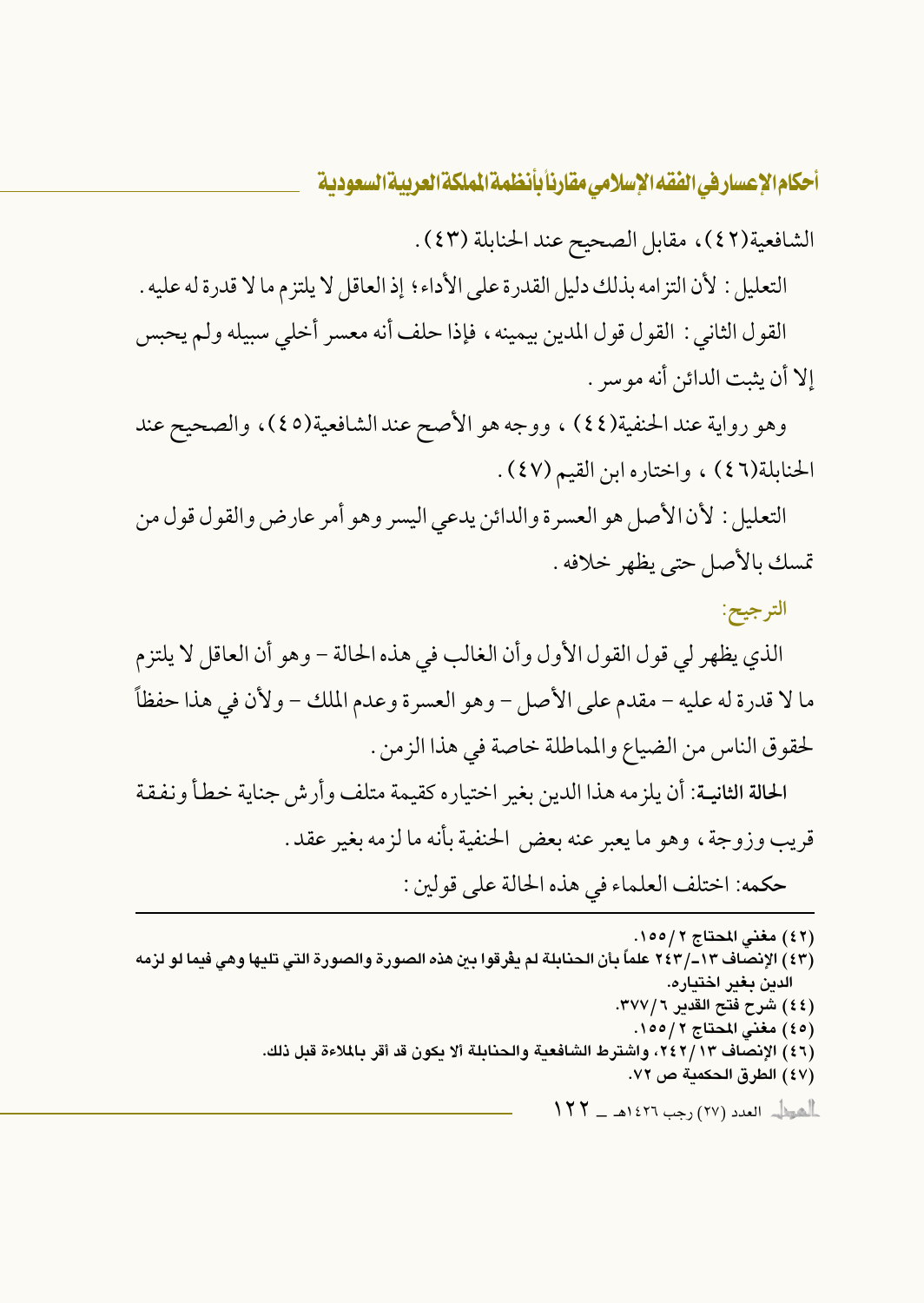الشافعية(٤٢)، مقابل الصحيح عند الحنابلة (٤٣).

التعليل : لأن التزامه بذلك دليل القدرة على الأداء ؛ إذ العاقل لا يلتزم ما لا قدرة له عليه . القول الثاني : القول قول المدين بيمينه ، فإذا حلف أنه معسر أخلى سبيله ولم يحبس إلا أن يثبت الدائن أنه مو سر .

وهو رواية عند الحنفية(٤٤) ، ووجه هو الأصح عند الشافعية(٤٥)، والصحيح عند الحنابلة(٤٦) ، واختاره ابن القيم (٤٧).

التعليل : لأن الأصل هو العسرة والدائن يدعى اليسر وهو أمر عارض والقول قول من تمسك بالأصل حتى يظهر خلافه .

الترجيح:

الذي يظهر لي قول القول الأول وأن الغالب في هذه الحالة – وهو أن العاقل لا يلتزم ما لا قدرة له عليه – مقدم على الأصل – وهو العسرة وعدم الملك – ولأن في هذا حفظاً لحقوق الناس من الضياع والمماطلة خاصة في هذا الزمن .

الحالة الثانيـة: أن يلزمه هذا الدين بغير اختياره كقيمة متلف وأرش جناية خطأ ونفقة قريب وزوجة، وهو ما يعبر عنه بعض الحنفية بأنه ما لزمه بغير عقد. حكمه: اختلف العلماء في هذه الحالة على قولين :

(٤٢) مغني المحتاج ١٥٥/٢. (٤٣) الإنصاف ١٣–/ ٢٤٣ علماً بأن الحنابلة لم يفرقوا بين هذه الصورة والصورة التي تليها وهي فيما لو لزمه الدين بغير اختياره. (٤٤) شرح فتح القدير ٣٧٧/٦. (٤٥) مغنى المحتاج ١٥٥/٢. (٤٦) الإنصاف ٢٤٢/١٣، واشترط الشافعية والحنابلة ألا يكون قد أقر بالملاءة قبل ذلك. (٤٧) الطرق الحكمية ص ٧٢.  $\|YY - \mathbf{1}\|$ هودل العدد (٢٧) رجب ١٤٢٦هـ ـــ ١٤٣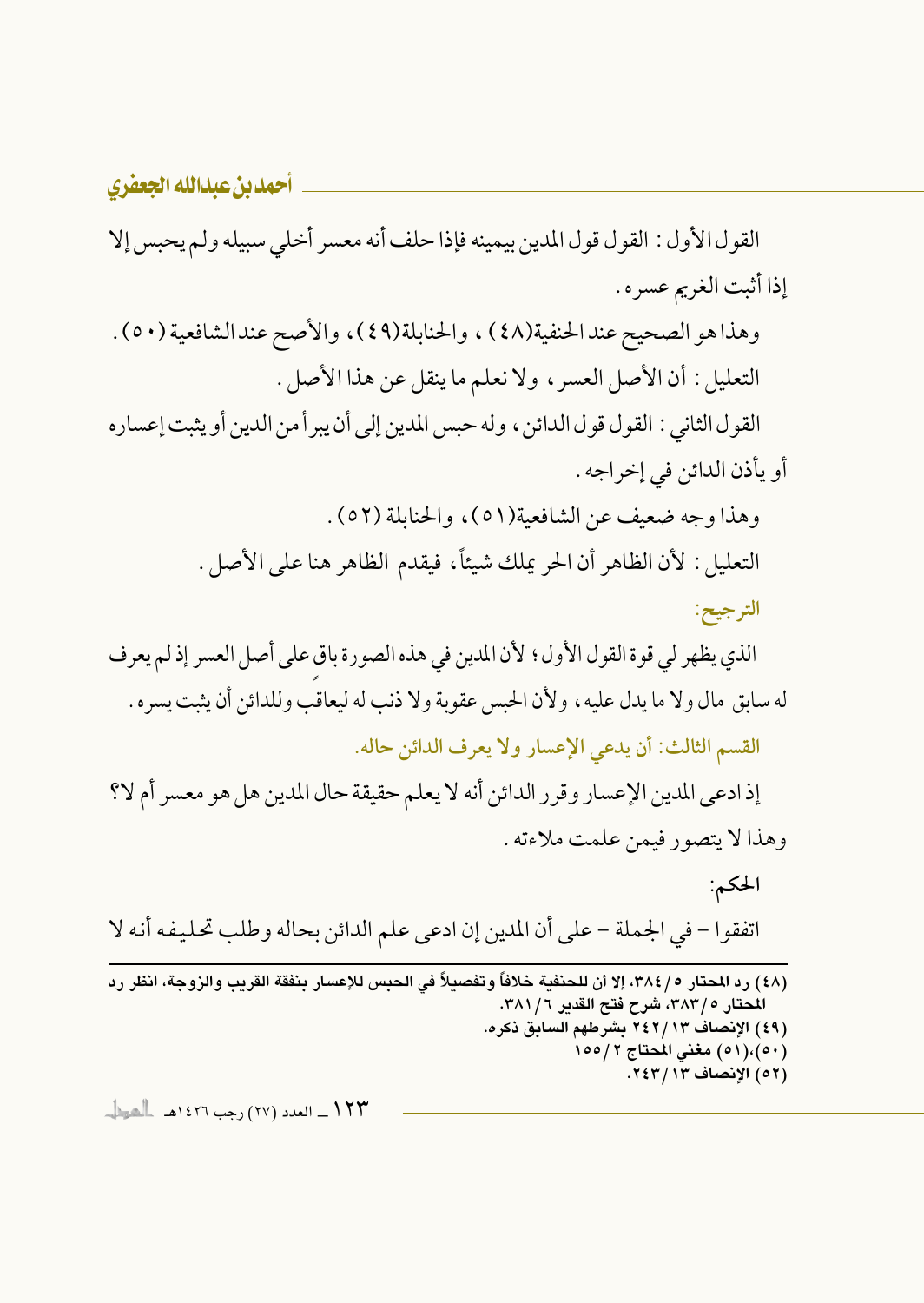أحمدين عبدالله الجعفري القول الأول : القول قول المدين بيمينه فإذا حلف أنه معسر أخلى سبيله ولم يحبس إلا إذا أثبت الغريم عسره . وهذا هو الصحيح عندالحنفية(٤٨) ، والحنابلة(٤٩)، والأصح عندالشافعية (٥٠) . التعليل : أن الأصل العسر ، ولا نعلم ما ينقل عن هذا الأصل . القول الثاني : القول قول الدائن ، وله حبس المدين إلى أن يبر أ من الدين أو يثبت إعساره أو يأذن الدائن في إخراجه . وهذا وجه ضعيف عن الشافعية(٥١)، والحنابلة (٥٢). التعليل : لأن الظاهر أن الحر يملك شيئاً، فيقدم الظاهر هنا على الأصل . الترجيح: الذي يظهر لي قوة القول الأول؛ لأن المدين في هذه الصورة باق على أصل العسر إذ لم يعرف له سابق مال ولا ما يدل عليه ، ولأن الحبس عقوبة ولا ذنب له ليعاقب وللدائن أن يثبت يسره . القسم الثالث: أن يدعى الإعسار ولا يعرف الدائن حاله. إذ ادعى المدين الإعسار وقرر الدائن أنه لا يعلم حقيقة حال المدين هل هو معسر أم لا؟ وهذا لا يتصور فيمن علمت ملاءته . الحكم: اتفقوا – في الجملة – على أن المدين إن ادعى علم الدائن بحاله وطلب تحليفه أنه لا (٤٨) رد المحتار ٢٨٤/٥، إلا أن للحنفية خلافاً وتفصيلاً في الحبس للإعسار بنفقة القريب والزوجة، انظر رد المحتار ٣٨٣/٥، شرح فتح القدير ٣٨١/٦. (٤٩) الإنصاف ٢٤٢/١٣ بشرطهم السابق ذكره. (٥٠)،(٥١) مغني المحتاج ١٥٥/٢ (٥٢) الإنصاف ١٣/ ٢٤٣.

١٢٣ \_ العدد (٢٧) رحب ١٤٢٦هـ الحطا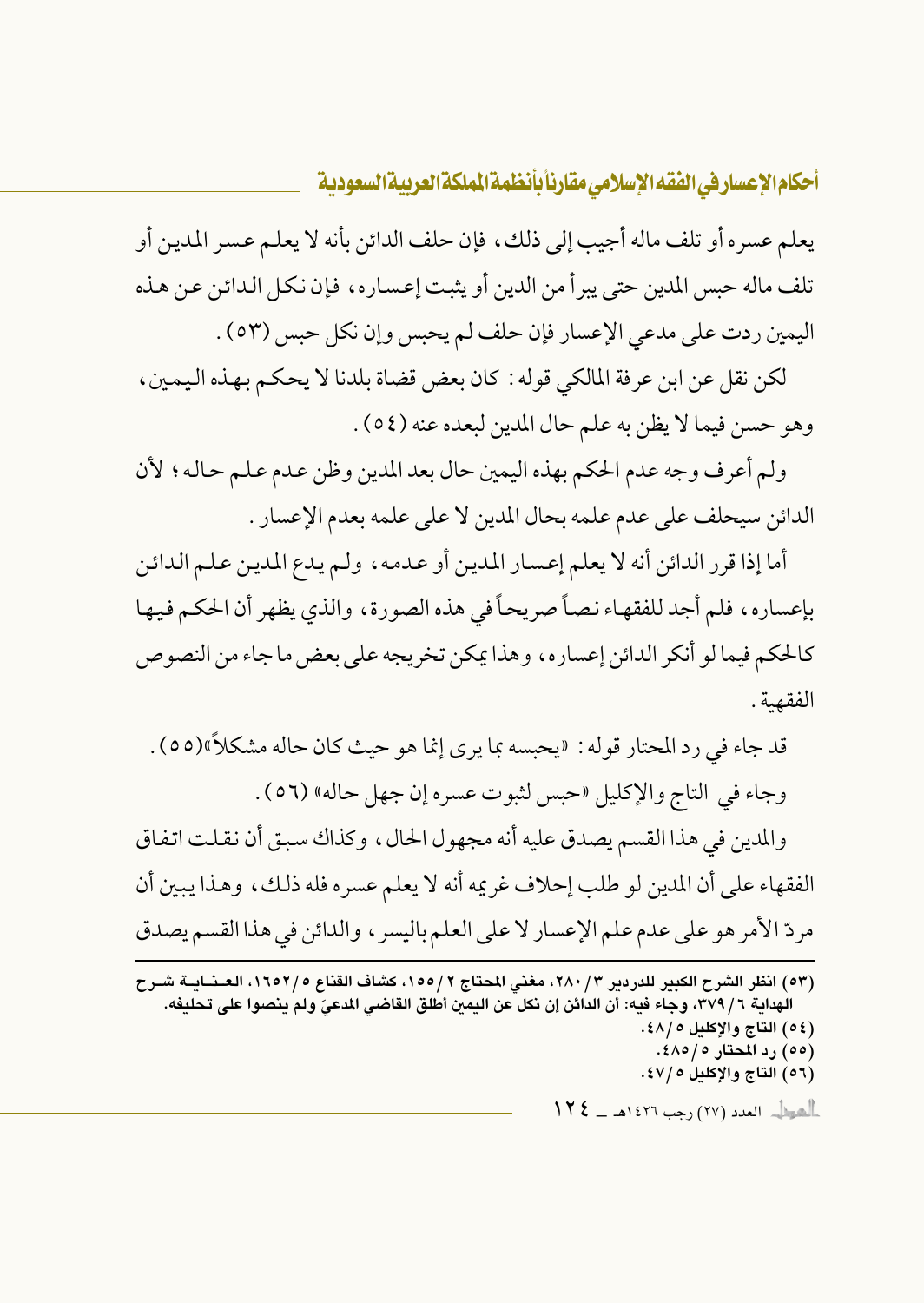يعلم عسره أو تلف ماله أجيب إلى ذلك، فإن حلف الدائن بأنه لا يعلم عسر المدين أو تلف ماله حبس المدين حتى يبرأ من الدين أو يثبت إعساره، فإن نكل الدائن عن هذه اليمين ردت على مدعى الإعسار فإن حلف لم يحبس وإن نكل حبس (٥٣) .

لكن نقل عن ابن عرفة المالكي قوله : كان بعض قضاة بلدنا لا يحكم بهذه اليمين ، وهو حسن فيما لا يظن به علم حال المدين لبعده عنه (٥٤).

ولم أعرف وجه عدم الحكم بهذه اليمين حال بعد المدين وظن عدم علم حاله؛ لأن الدائن سيحلف على عدم علمه بحال المدين لا على علمه بعدم الإعسار .

أما إذا قرر الدائن أنه لا يعلم إعسار المدين أو عدمه، ولـم يدع المدين عـلـم الـدائن بإعساره، فلم أجد للفقهاء نصاً صريحاً في هذه الصورة، والذي يظهر أن الحكم فيها كالحكم فيما لو أنكر الدائن إعساره، وهذا يمكن تخريجه على بعض ما جاء من النصوص الفقهية.

قد جاء في رد المحتار قوله : «يحبسه بما يرى إنما هو حيث كان حاله مشكلاً»(٥٥) . وجاء في التاج والإكليل «حبس لثبوت عسره إن جهل حاله» (٥٦) . والمدين في هذا القسم يصدق عليه أنه مجهول الحال، وكذاك سبق أن نقلت اتفاق الفقهاء على أن المدين لو طلب إحلاف غريمه أنه لا يعلم عسره فله ذلك، وهذا يبين أن مردِّ الأمر هو على عدم علم الإعسار لا على العلم باليسر ، والدائن في هذا القسم يصدق

(٥٣) انظر الشرح الكبير للدردير ٢/ ٢٨٠، مغنى المحتاج ٢/١٥٥، كشاف القناع ١٦٥٢/٥، العـنــايــة شــرح الهداية ٦ / ٣٧٩، وجاء فيه: أن الدائن إن نكل عن اليمن أطلق القاضي الدعيّ ولم ينصوا على تحليفه. (٥٤) التاج والإكليل ١٤٨/٥. (٥٥) رد المحتار ٤٨٥/٥. (٥٦) التاج والإكليل ٢٧/٥).  $\frac{1}{2}$ الصيطل العدد (٢٧) رجب ١٤٢٦هـ ــ ١٤٢٤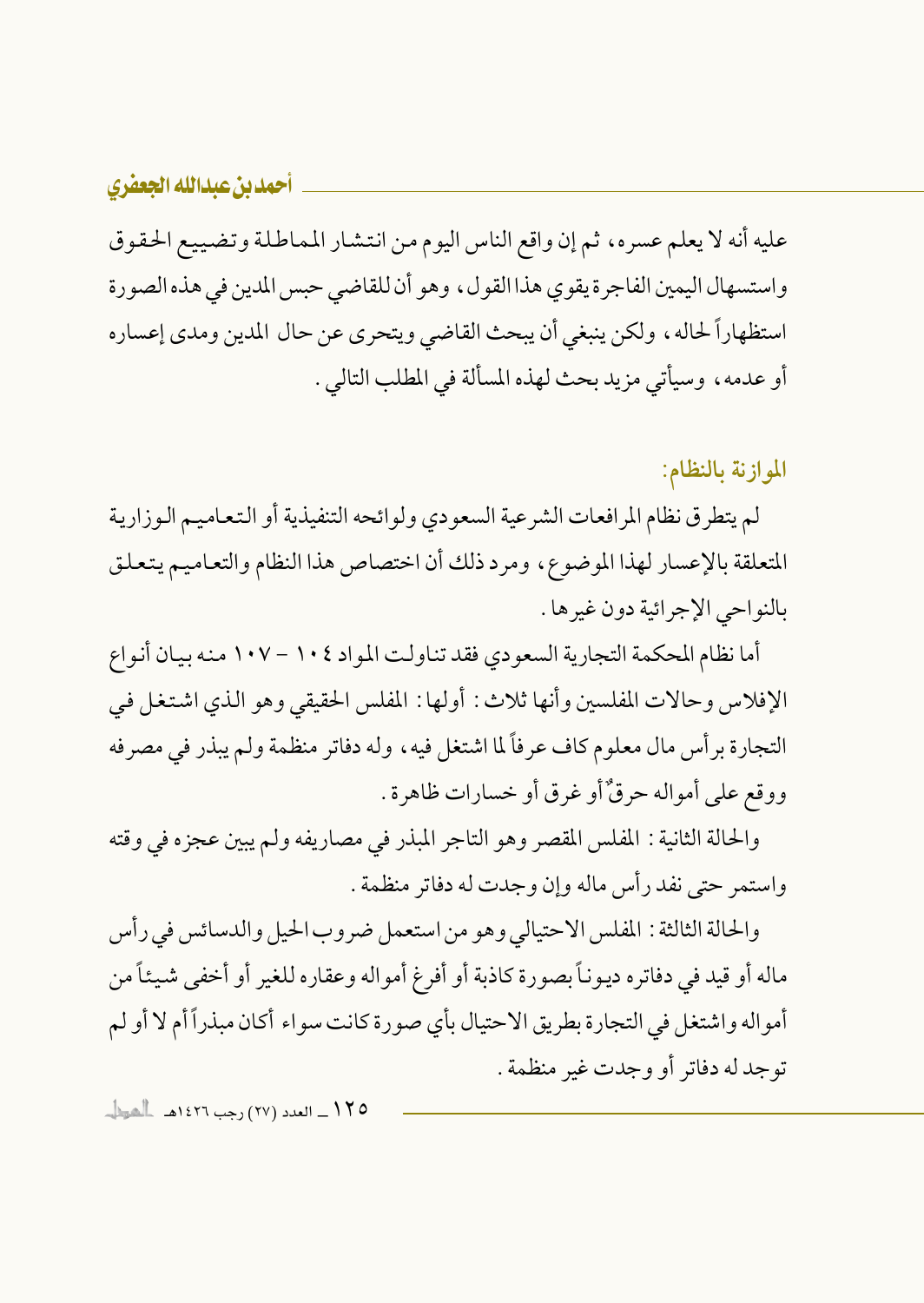عليه أنه لا يعلم عسره، ثم إن واقع الناس اليوم من انتشار المماطلة وتضييع الحقوق واستسهال اليمين الفاجرة يقوى هذا القول ، وهو أن للقاضي حبس المدين في هذه الصورة استظهاراً لحاله، ولكن ينبغي أن يبحث القاضي ويتحرى عن حال المدين ومدى إعساره أو عدمه، وسيأتي مزيد بحث لهذه المسألة في المطلب التالي .

الموازنة بالنظام:

لم يتطرق نظام المرافعات الشرعية السعودي ولوائحه التنفيذية أو التعاميم الوزارية المتعلقة بالإعسار لهذا الموضوع، ومرد ذلك أن اختصاص هذا النظام والتعاميم يتعلق بالنواحي الإجرائية دون غيرها .

أما نظام المحكمة التجارية السعودي فقد تناولت المواد ١٠٤ - ١٠٧ منه بيان أنواع الإفلاس وحالات المفلسين وأنها ثلاث: أولها: المفلس الحقيقي وهو الذي اشتغل في التجارة بر أس مال معلوم كاف عرفاً لما اشتغل فيه ، وله دفاتر منظمة ولم يبذر في مصرفه ووقع على أمواله حرقٌ أو غرق أو خسارات ظاهرة .

والحالة الثانية : المفلس المقصر وهو التاجر المبذر في مصاريفه ولم يبين عجزه في وقته واستمر حتى نفد رأس ماله وإن وجدت له دفاتر منظمة .

والحالة الثالثة : المفلس الاحتيالي وهو من استعمل ضروب الحيل والدسائس في رأس ماله أو قيد في دفاتره ديوناً بصورة كاذبة أو أفرغ أمواله وعقاره للغير أو أخفى شيئاً من أمواله واشتغل في التجارة بطريق الاحتيال بأي صورة كانت سواء أكان مبذراً أم لا أو لم توجد له دفاتر أو وجدت غير منظمة .

10 1 / \_ العدد (٢٧) رجب ١٤٢٦هـ الحطاب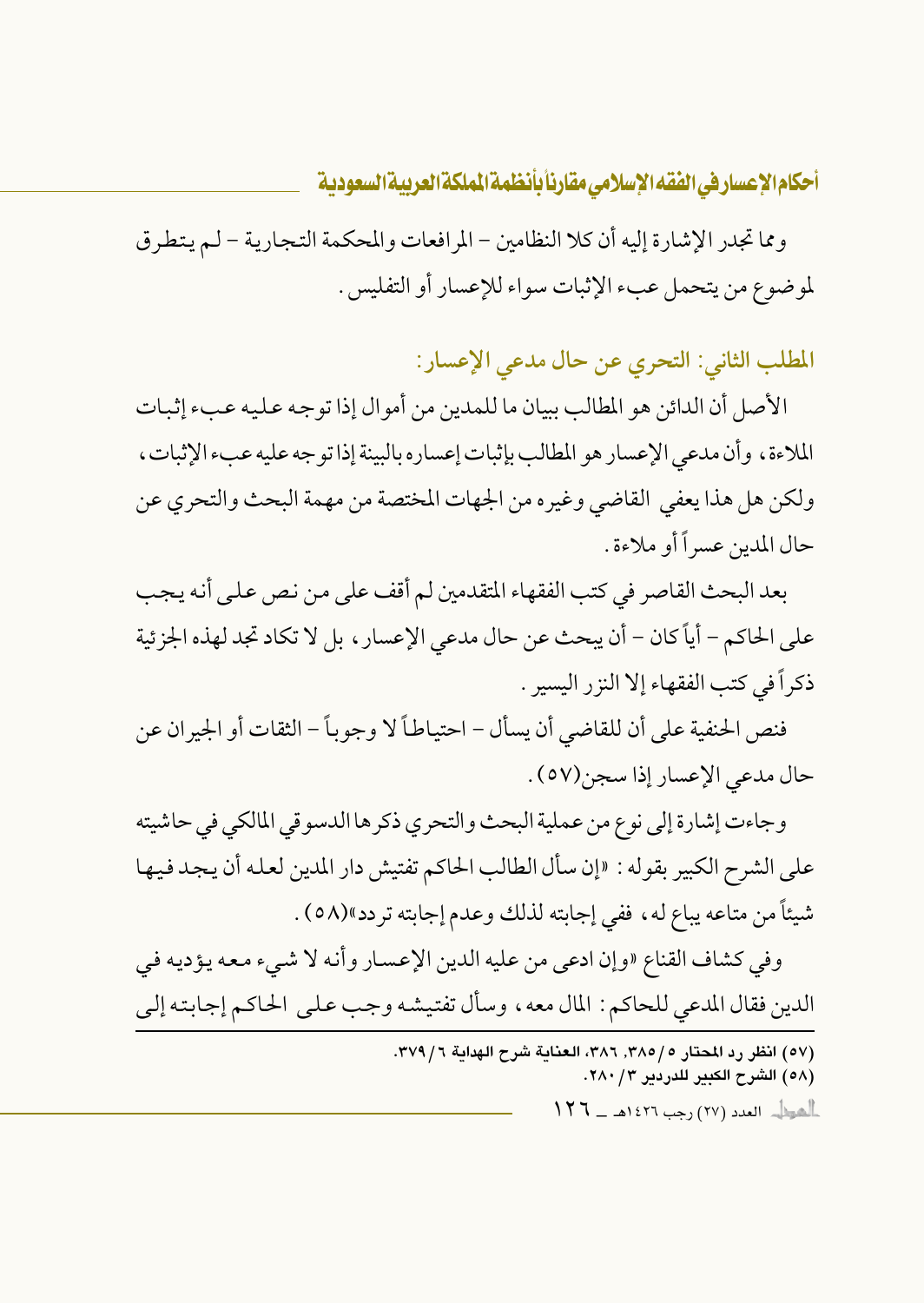ومما تجدر الإشارة إليه أن كلا النظامين – المرافعات والمحكمة التجارية – لم يتطرق لموضوع من يتحمل عبء الإثبات سواء للإعسار أو التفليس .

المطلب الثاني: التحري عن حال مدعى الإعسار:

الأصل أن الدائن هو المطالب ببيان ما للمدين من أمو ال إذا تو جه عـليه عـبء إثبـات الملاءة، وأن مدعى الإعسار هو المطالب بإثبات إعساره بالبينة إذا توجه عليه عبء الإثبات، ولكن هل هذا يعفي القاضي وغيره من الجهات المختصة من مهمة البحث والتحري عن حال المدين عسر أأو ملاءة .

بعد البحث القاصر في كتب الفقهاء المتقدمين لم أقف على من نص على أنه يجب على الحاكم – أياً كان – أن يبحث عن حال مدعى الإعسار ، بل لا تكاد تجد لهذه الجزئية ذكراً في كتب الفقهاء إلا النزر البسير .

فنص الحنفية على أن للقاضي أن يسأل – احتياطاً لا وجوباً – الثقات أو الجير ان عن حال مدعى الإعسار إذا سجن(٥٧) .

وجاءت إشارة إلى نوع من عملية البحث والتحري ذكر ها الدسوقي المالكي في حاشيته على الشرح الكبير بقوله : «إن سأل الطالب الحاكم تفتيش دار المدين لعله أن يجد فيها شيئاً من متاعه يباع له ، ففي إجابته لذلك وعدم إجابته تردد»(٥٨) .

وفي كشاف القناع «وإن ادعى من عليه الدين الإعسار وأنه لا شيء معه يؤديه في الدين فقال المدعى للحاكم : المال معه ، وسأل تفتيشه وجب على الحاكم إجابته إلى

> (٥٧) انظر رد المحتار ٣٨٥/، ٣٨٦، العناية شرح الهداية ٣٧٩/٦. (٥٨) الشرح الكبير للدردير ٢٨٠/٣. أأهوال العدد (٢٧) رجب ١٤٢٦هـ \_ ١٢٦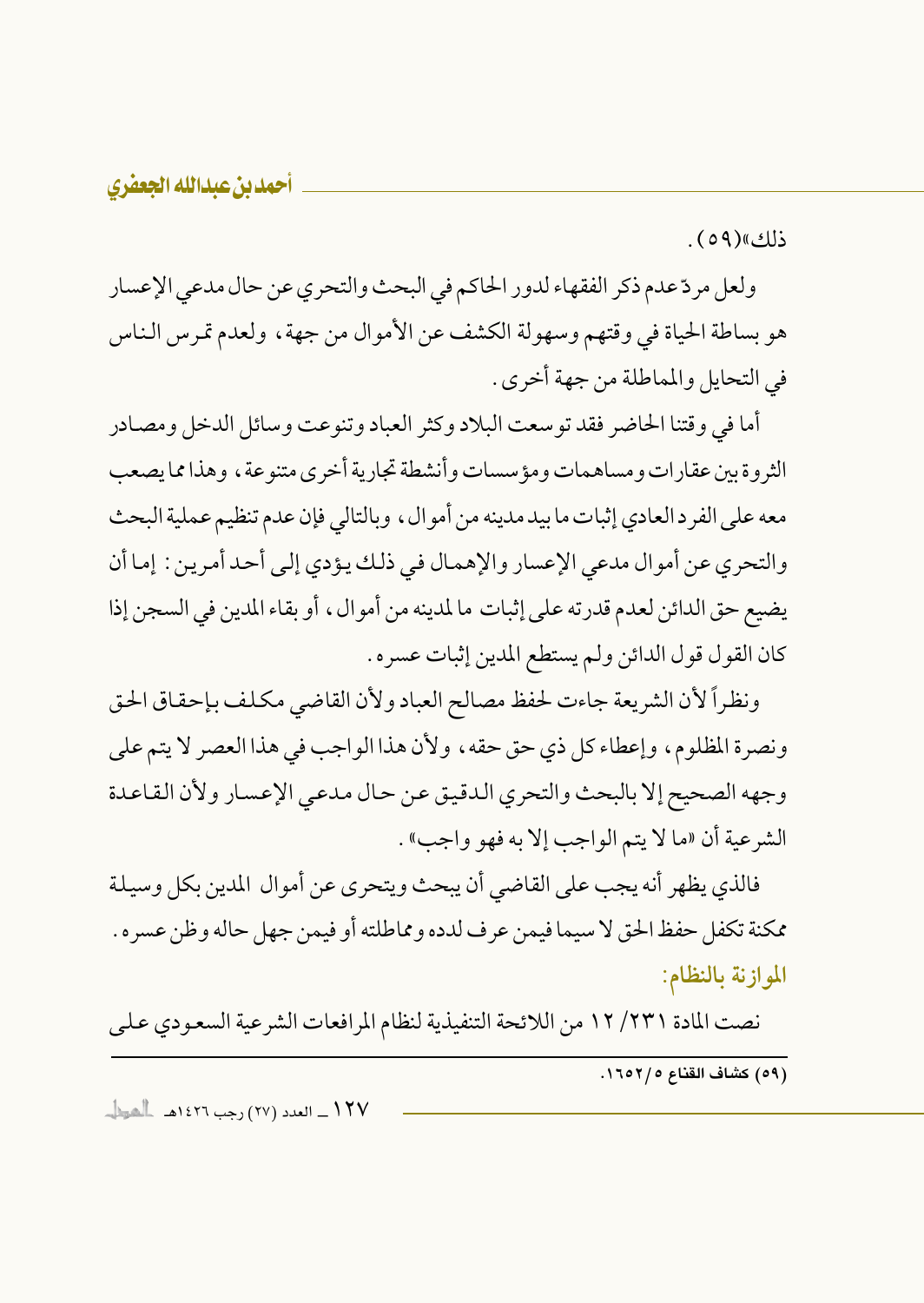ذلك)(٥٩).

ولعل مردّ عدم ذكر الفقهاء لدور الحاكم في البحث والتحري عن حال مدعى الإعسار هو بساطة الحياة في وقتهم وسهولة الكشف عن الأموال من جهة ، ولعدم تمر س الناس في التحايل والمماطلة من جهة أخرى .

أما في وقتنا الحاضر فقد توسعت البلاد وكثر العباد وتنوعت وسائل الدخل ومصادر الثروة بين عقارات ومساهمات ومؤسسات وأنشطة تجارية أخرى متنوعة ، وهذا مما يصعب معه على الفرد العادي إثبات ما بيد مدينه من أمو ال ، وبالتالي فإن عدم تنظيم عملية البحث والتحري عن أموال مدعى الإعسار والإهمال في ذلك يؤدي إلى أحد أمرين : إما أن يضيع حق الدائن لعدم قدرته على إثبات ما لمدينه من أموال، أو بقاء المدين في السجن إذا كان القول قول الدائن ولم يستطع المدين إثبات عسره .

ونظراً لأن الشريعة جاءت لحفظ مصالح العباد ولأن القاضي مكلف بإحقاق الحق ونصرة المظلوم، وإعطاء كل ذي حق حقه، ولأن هذا الواجب في هذا العصر لا يتم على وجهه الصحيح إلا بالبحث والتحري الدقيق عن حال مدعى الإعسار ولأن القاعدة الشرعية أن «ما لا يتم الواجب إلا به فهو واجب» .

فالذي يظهر أنه يجب على القاضي أن يبحث ويتحرى عن أموال المدين بكل وسيلة ممكنة تكفل حفظ الحق لا سيما فيمن عرف لدده ومماطلته أو فيمن جهل حاله وظن عسره . الموازنة بالنظام:

نصت المادة ٢٣١/ ١٢ من اللائحة التنفيذية لنظام المرافعات الشرعية السعودي على

(٥٩) كشاف القناع ٢/٢٥٢.

١٢٧ \_ العدد (٢٧) رجب ١٤٢٦هـ الحطاب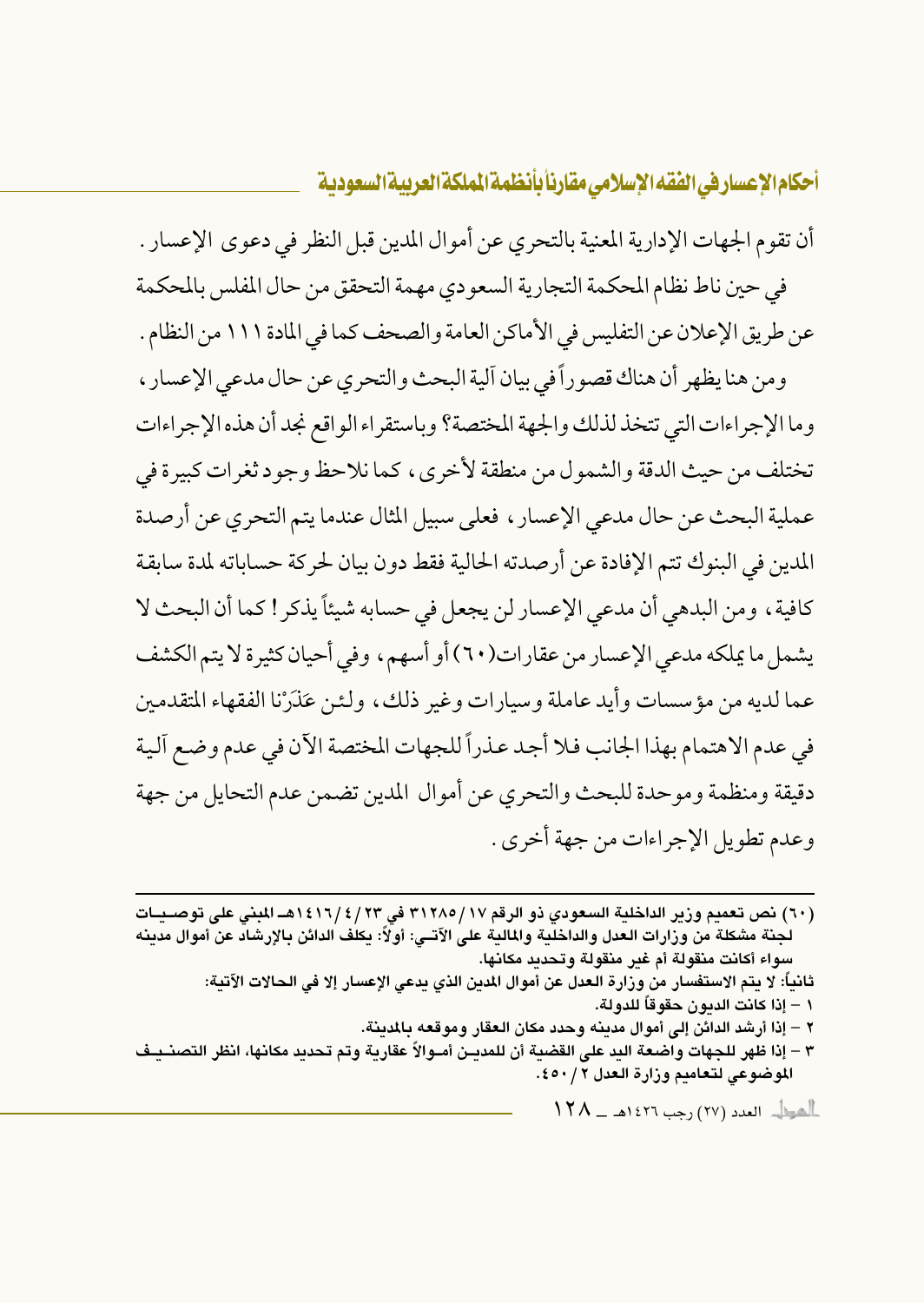أن تقوم الجهات الإدارية المعنية بالتحري عن أموال المدين قبل النظر في دعوى الإعسار . في حين ناط نظام المحكمة التجارية السعودي مهمة التحقق من حال المفلس بالمحكمة

عن طريق الإعلان عن التفليس في الأماكن العامة والصحف كما في المادة ١١١ من النظام .

ومن هنا يظهر أن هناك قصوراً في بيان آلية البحث والتحري عن حال مدعى الإعسار ، وما الإجراءات التي تتخذ لذلك والجهة المختصة؟ وباستقراء الواقع نجد أن هذه الإجراءات تختلف من حيث الدقة والشمول من منطقة لأخرى، كما نلاحظ وجود ثغرات كبيرة في عملية البحث عن حال مدعى الإعسار ، فعلى سبيل المثال عندما يتم التحري عن أرصدة المدين في البنوك تتم الإفادة عن أرصدته الحالية فقط دون بيان لحركة حساباته لمدة سابقة كافية، ومن البدهي أن مدعى الإعسار لن يجعل في حسابه شيئاً يذكر ! كما أن البحث لا يشمل ما يملكه مدعى الإعسار من عقارات(٦٠) أو أسهم، وفي أحيان كثيرة لا يتم الكشف عما لديه من مؤسسات وأيد عاملة وسيارات وغير ذلك، ولئن عَذَرْنا الفقهاء المتقدمين في عدم الاهتمام بهذا الجانب فلا أجد عذراً للجهات المختصة الآن في عدم وضع آلية دقيقة ومنظمة وموحدة للبحث والتحري عن أموال المدين تضمن عدم التحايل من جهة وعدم تطويل الإجراءات من جهة أخرى .

(٦٠) نص تعميم وزير الداخلية السعودي ذو الرقم ٣١٢٨٥/١٧ في ١٤١٦/٤/١٣هـ المبنى على توصـيــات لجنة مشكلة من وزارات العدل والداخلية والمالية على الآتــي: أولاً: يكلف الدائن بالإرشاد عن أموال مدينه سواء أكانت منقولة أم غير منقولة وتحديد مكانها.

ثانياً: لا يتم الاستفسار من وزارة الـعدل عن أموال المدين الذي يدعى الإعسار إلا في الـحالات الآتية: ١ – إذا كانت الديون حقوقاً للدولة.

٢ – إذا أرشد الدائن إلى أموال مدينه وحدد مكان العقار وموقعه بالمدينة.

٣ – إذا ظهر للجهات واضعة اليد على القضية أن للمديــن أمــوالاً عقارية وتم تحديد مكانها، انظر التصنــيـف الموضوعي لتعاميم وزارة العدل ٢ / ٤٥٠.

 $\|\mathbf{Y}\mathsf{A}\|$ اهوا $\|\cdot\|$  العدد (٢٧) رجب ١٤٢٦هـ ــ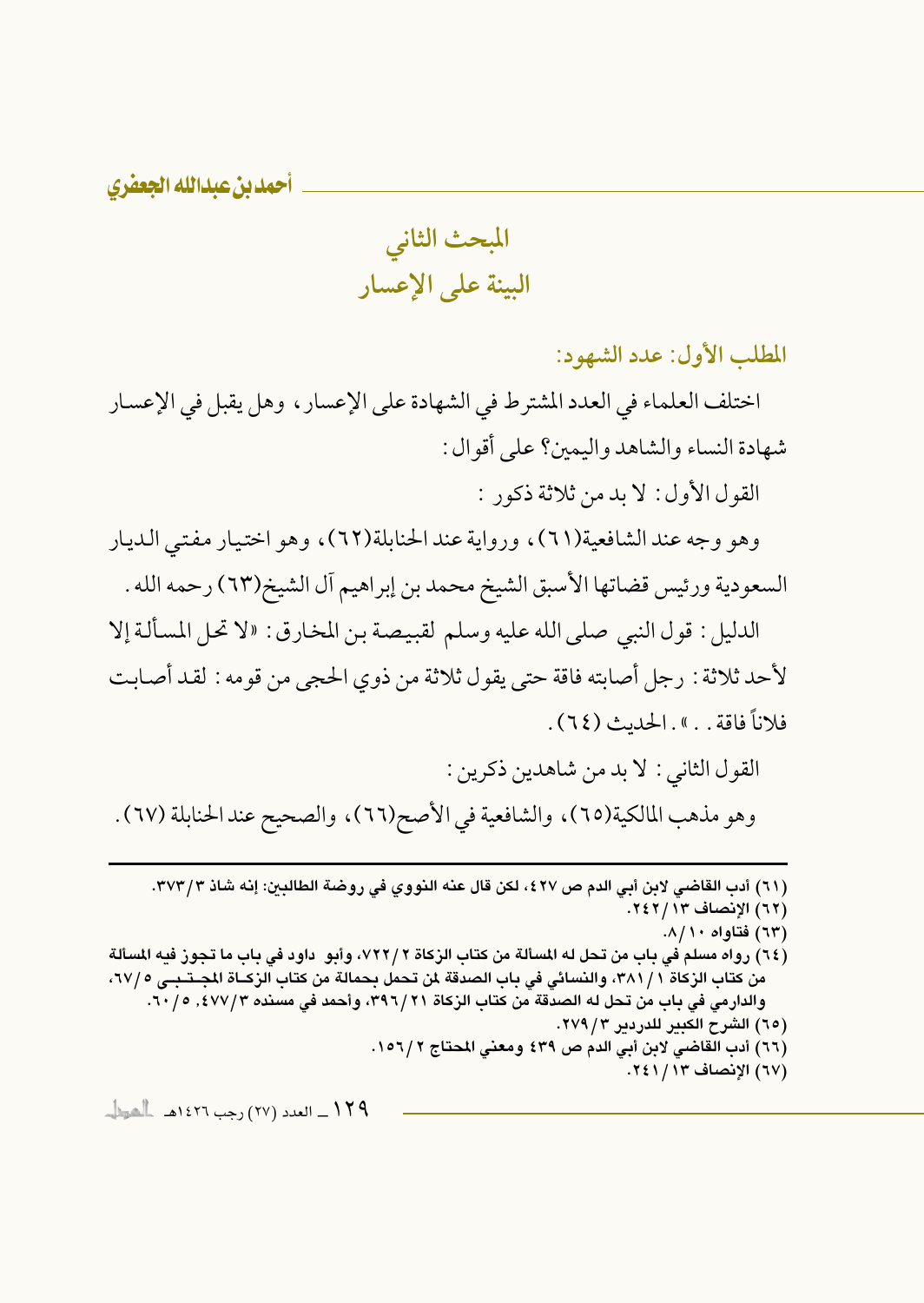المبحث الثاني البينة على الإعسار

المطلب الأول: عدد الشهود:

اختلف العلماء في العدد المشترط في الشهادة على الإعسار ، وهل يقبل في الإعسار شهادة النساء والشاهد واليمين؟ على أقوال :

القول الأول: لا بد من ثلاثة ذكور :

وهو وجه عند الشافعية(٦١)، ورواية عند الحنابلة(٦٢)، وهو اختيار مفتى الديار السعودية ورئيس قضاتها الأسبق الشيخ محمد بن إبراهيم أل الشيخ(٦٣) رحمه الله .

الدليل : قول النبي صلى الله عليه وسلم لقبيصة بن المخارق : «لا تحل المسألة إلا لأحد ثلاثة : رجل أصابته فاقة حتى يقول ثلاثة من ذوى الحجي من قومه : لقد أصابت فلاناً فاقة . . » . الحديث (٢٤) .

القول الثاني : لا بد من شاهدين ذكرين : وهو مذهب المالكية(٦٥)، والشافعية في الأصح(٦٦)، والصحيح عند الحنابلة (٦٧).

(٦١) أدب القاضي لابن أبي الدم ص ٤٢٧، لكن قال عنه النووي في روضة الطالبين: إنه شاذ ٣٧٣/٣.

(٦٢) الإنصاف ١٣/ ٢٤٢.

- (٦٣) فتاواه ٨/١٠.
- (٦٤) رواه مسلم في باب من تحل له المسألة من كتاب الزكاة ٢ /٧٢٢، وأبو داود في باب ما تجوز فيه المسألة من كتاب الزكاة ٢٨١/١، والنسائي في باب الصدقة لمن تحمل بحمالة من كتاب الزكــاة المحـتـبــي ٦٧/٥، والدارمي في باب من تحل له الصدقة من كتاب الزكاة ٢٩٦/٢١، وأحمد في مسنده ٤٧٧/٣, ٢٠/٥. (٦٥) الشرح الكبير للدردير ٢٧٩/٣.
	- (٦٦) أدب القاضي لابن أبي الدم ص ٤٣٩ ومعنى المحتاج ١٥٦/٢.
		- (٦٧) الإنصاف ١٢٤١/١٤١.

١٢٩ ـ العدد (٢٧) رجب ١٤٢٦هـ الحوال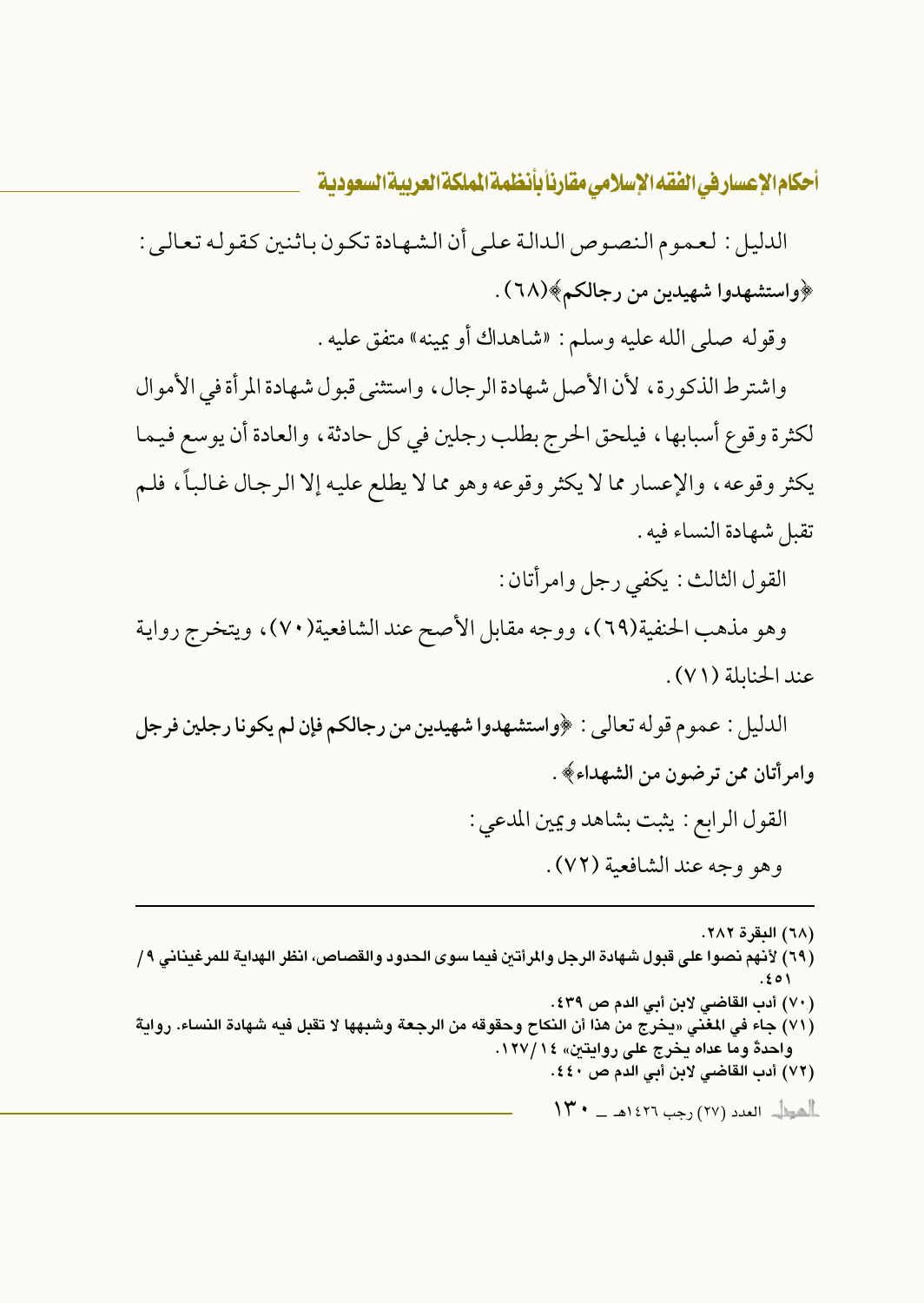الدليل : لعـموم الـنصوص الـدالـة عـلـى أن الـشـهـادة تـكـون بـاثـنين كـقـولـه تـعـالـى : ﴿واستشهدوا شهيدين من رجالكم﴾(٦٨) .

وقوله صلى الله عليه وسلم: «شاهداك أو يمينه» متفق عليه .

واشترط الذكورة، لأن الأصل شهادة الرجال، واستثنى قبول شهادة المرأة في الأموال لكثرة وقوع أسبابها، فيلحق الحرج بطلب رجلين في كل حادثة، والعادة أن يوسع فيما يكثر وقوعه، والإعسار مما لا يكثر وقوعه وهو مما لا يطلع عليه إلا الرجال غالباً، فلم تقبل شهادة النساء فيه .

القول الثالث : يكفي رجل وامر أتان :

وهو مذهب الحنفية(٦٩)، ووجه مقابل الأصح عند الشافعية(٧٠)، ويتخرج رواية عند الحنايلة (٧١).

الدليل : عموم قوله تعالى : ﴿واستشهدوا شهيدين من رجالكم فإن لم يكونا رجلين فرجل وامرأتان ممن ترضون من الشهداء﴾ .

> القول الرابع : يثبت بشاهد ويمين المدعى : وهو وجه عند الشافعية (٧٢).

> > (٦٨) البقرة ٢٨٢.

(٦٩) لأنهم نصوا على قبول شهادة الرجل والمرأتين فيما سوى الحدود والقصاص، انظر الهداية للمرغيناني ٩/ (٧٠) أدب القاضي لابن أبي الدم ص ٤٣٩. (٧١) جاء في المغنى «يخرج من هذا أن النكاح وحقوقه من الرجعة وشبهها لا تقبل فيه شهادة النساء. روايةً واحدةً وما عداه يخرج على روايتين» ١٤/١٢٧. (٧٢) أدب القاضي لابن أبي الدم ص ٤٤٠. أأهول العدد (٢٧) رجب ١٤٢٦هـ - ١٣٠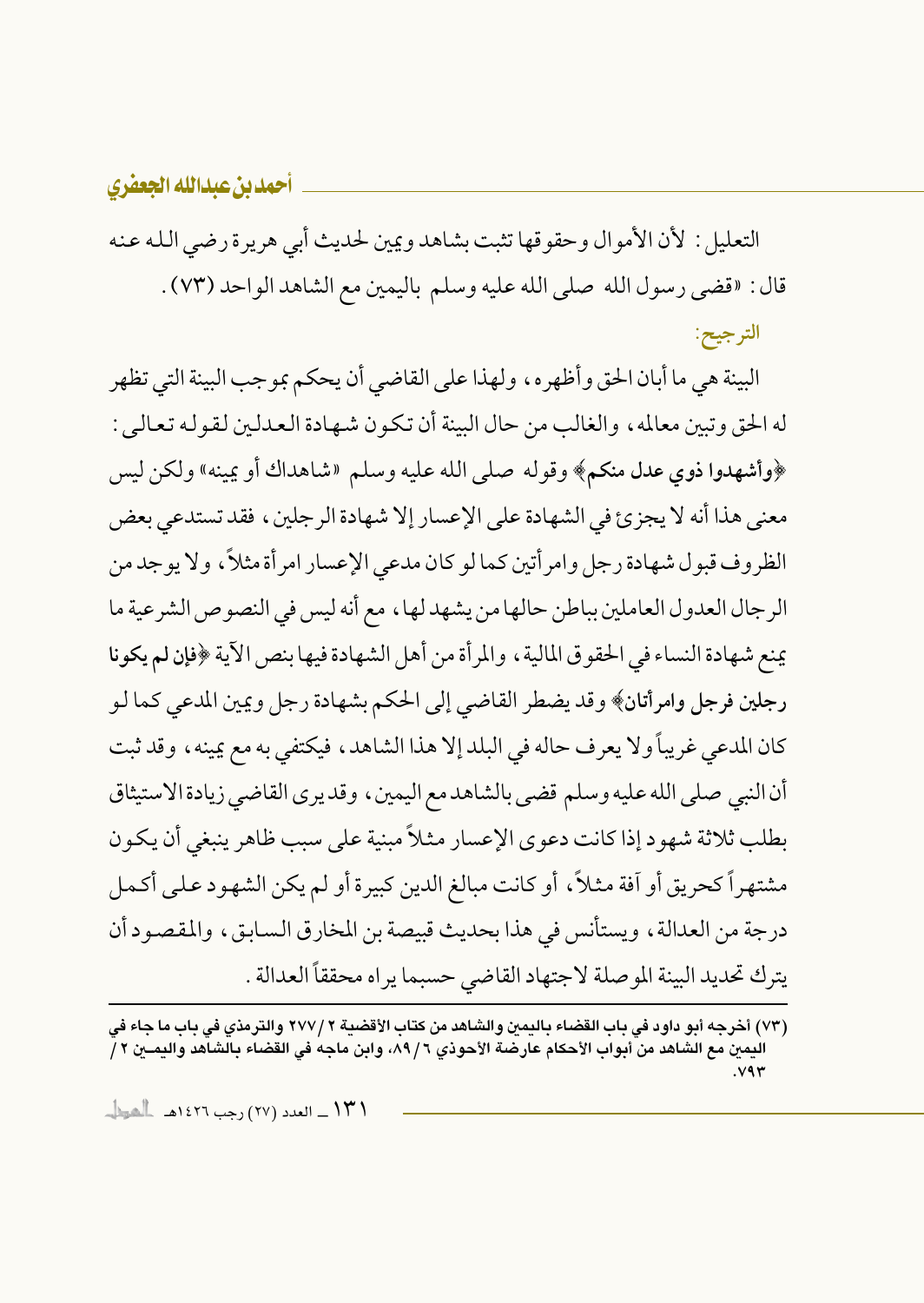التعليل : لأن الأموال وحقوقها تثبت بشاهد ويمين لحديث أبي هريرة رضي الله عنه قال : «قضى رسول الله صلى الله عليه وسلم باليمين مع الشاهد الواحد (٧٣) . الترجيح:

البينة هي ما أبان الحق وأظهره، ولهذا على القاضي أن يحكم بمو جب البينة التي تظهر له الحق وتبين معالمه ، والغالب من حال البينة أن تكون شبهادة العدلين لقو له تعالى : ﴿وأشهدوا ذوي عدل منكم﴾ وقوله صلى الله عليه وسلم «شاهداك أو يمينه» ولكن ليس معنى هذا أنه لا يجزئ في الشهادة على الإعسار إلا شهادة الرجلين، فقد تستدعى بعض الظروف قبول شهادة رجل وامر أتين كما لو كان مدعى الإعسار امر أة مثلاً ، ولا يوجد من الرجال العدول العاملين بباطن حالها من يشهد لها، مع أنه ليس في النصوص الشرعية ما يمنع شهادة النساء في الحقوق المالية ، والمر أة من أهل الشهادة فيها بنص الآية ﴿فإِن لم يكونا رجلين فرجل وامرأتان﴾ وقد يضطر القاضي إلى الحكم بشهادة رجل ويمين المدعى كما لـو كان المدعى غريباً ولا يعرف حاله في البلد إلا هذا الشاهد، فيكتفي به مع يمينه، وقد ثبت أن النبي صلى الله عليه وسلم قضي بالشاهد مع اليمين ، وقد يرى القاضي زيادة الاستيثاق بطلب ثلاثة شهود إذا كانت دعوى الإعسار مثلاً مبنية على سبب ظاهر ينبغي أن يكون مشتهراً كحريق أو آفة مثلاً، أو كانت مبالغ الدين كبيرة أو لم يكن الشهود على أكمل درجة من العدالة ، ويستأنس في هذا بحديث قبيصة بن المخارق السابق ، والمقصود أن يترك تحديد البينة الموصلة لاجتهاد القاضي حسبما يراه محققاً العدالة .

<sup>(</sup>٧٣) أخرجه أبو داود في باب القضاء باليمين والشاهد من كتاب الأقضية ٢ /٢٧٧ والترمذي في باب ما جاء في اليمين مع الشاهد من أبواب الأحكام عارضة الأحوذي ٦ / ٨٩، وابن ماجه في القضاء بالشاهد واليمــين ٢ /  $.89$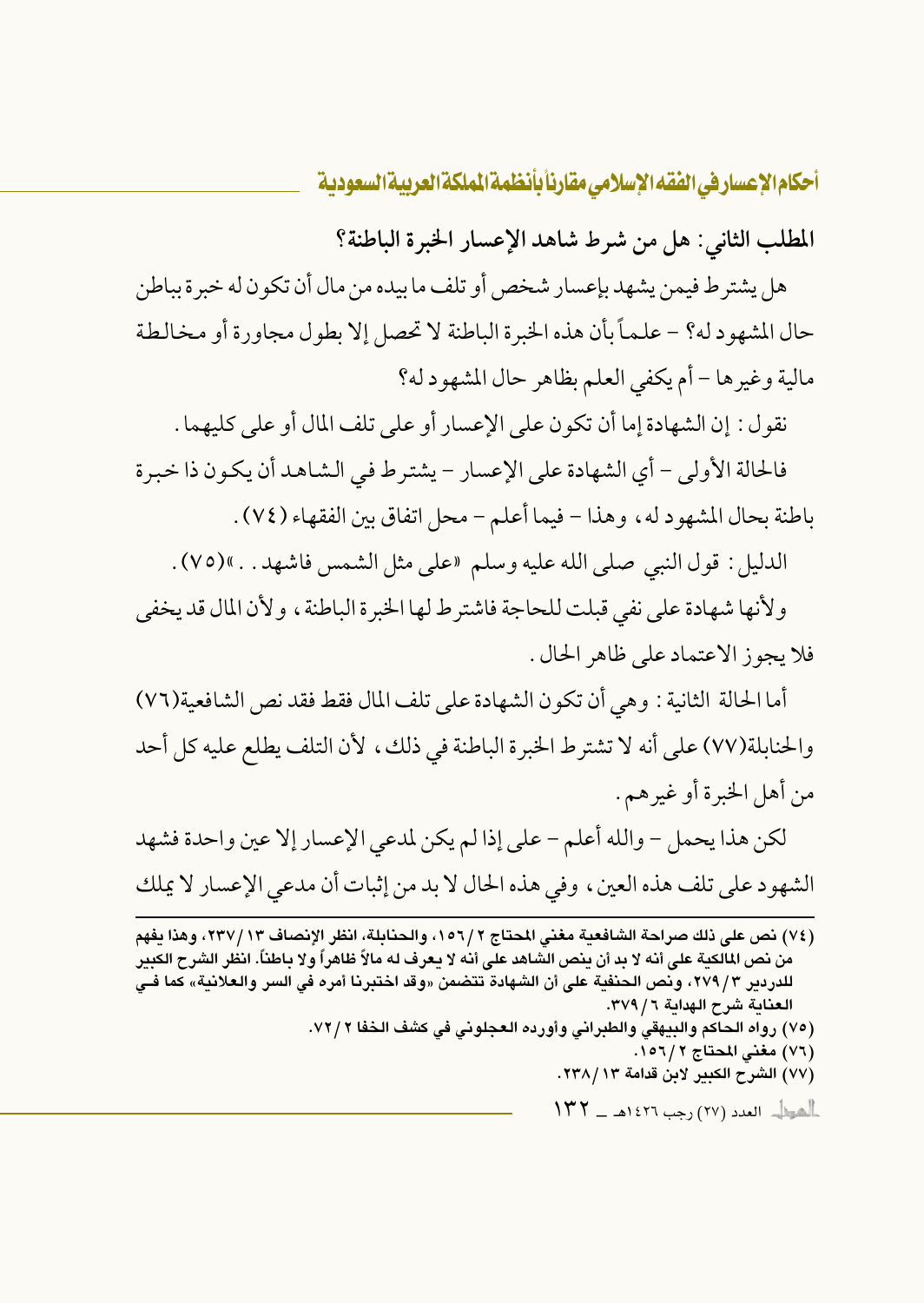المطلب الثاني: هل من شرط شاهد الإعسار الخبرة الباطنة؟

هل يشتر ط فيمن يشهد بإعسار شخص أو تلف ما بيده من مال أن تكو ن له خبر ة بياطن حال المشهود له؟ – علـمـاً بأن هذه الخبرة الباطنة لا تحصل إلا بطول مجاورة أو مخالطة مالية وغيرها – أم يكفي العلم بظاهر حال المشهود له؟

نقول: إن الشهادة إما أن تكون على الإعسار أو على تلف المال أو على كليهما .

فالحالة الأولى – أي الشهادة على الإعسار – يشترط في الشاهد أن يكون ذا خبرة باطنة بحال المشهود له، وهذا – فيما أعلم – محل اتفاق بين الفقهاء (٧٤) .

الدليل : قول النبي صلى الله عليه وسلم «على مثل الشمس فاشهد . . »(٧٥) .

ولأنها شهادة على نفي قبلت للحاجة فاشترط لها الخبرة الباطنة ، ولأن المال قد يخفي فلا يجوز الاعتماد على ظاهر الحال .

أما الحالة الثانية : وهي أن تكون الشهادة على تلف المال فقط فقد نص الشافعية(٧٦) والحنابلة(٧٧) على أنه لا تشترط الخبرة الباطنة في ذلك، لأن التلف يطلع عليه كل أحد من أهل الخبرة أو غيرهم.

لكن هذا يحمل – والله أعلم – على إذا لم يكن لمدعى الإعسار إلا عين واحدة فشهد الشهود على تلف هذه العين، وفي هذه الحال لا بد من إثبات أن مدعى الإعسار لا يملك

(٧٤) نص على ذلك صراحة الشافعية مغنى المحتاج ١٥٦/٢، والحنابلة، انظر الإنصاف ١٣٧/١٣، وهذا يفهم من نص المالكية على أنه لا بد أن ينص الشاهد على أنه لا يعرف له مالاً ظاهراً ولا باطناً. انظر الشرح الكبير للدردير ٢٧٩/٣، ونص الحنفية على أن الشهادة تتضمن «وقد اختبرنا أمره فى السر والعلانية» كما فـى العناية شرح الهداية ٦ / ٣٧٩. (٧٥) رواه الحاكم والبيهقي والطبراني وأورده العجلوني في كشف الخفا ٧٢/٢. (٧٦) مغنى المحتاج ٢/ ١٥٦. (٧٧) الشرح الكبير لابن قدامة ٢٣٨/١٣. الشيط العدد (٢٧) رجب ١٤٢٦هـ - ١٣٢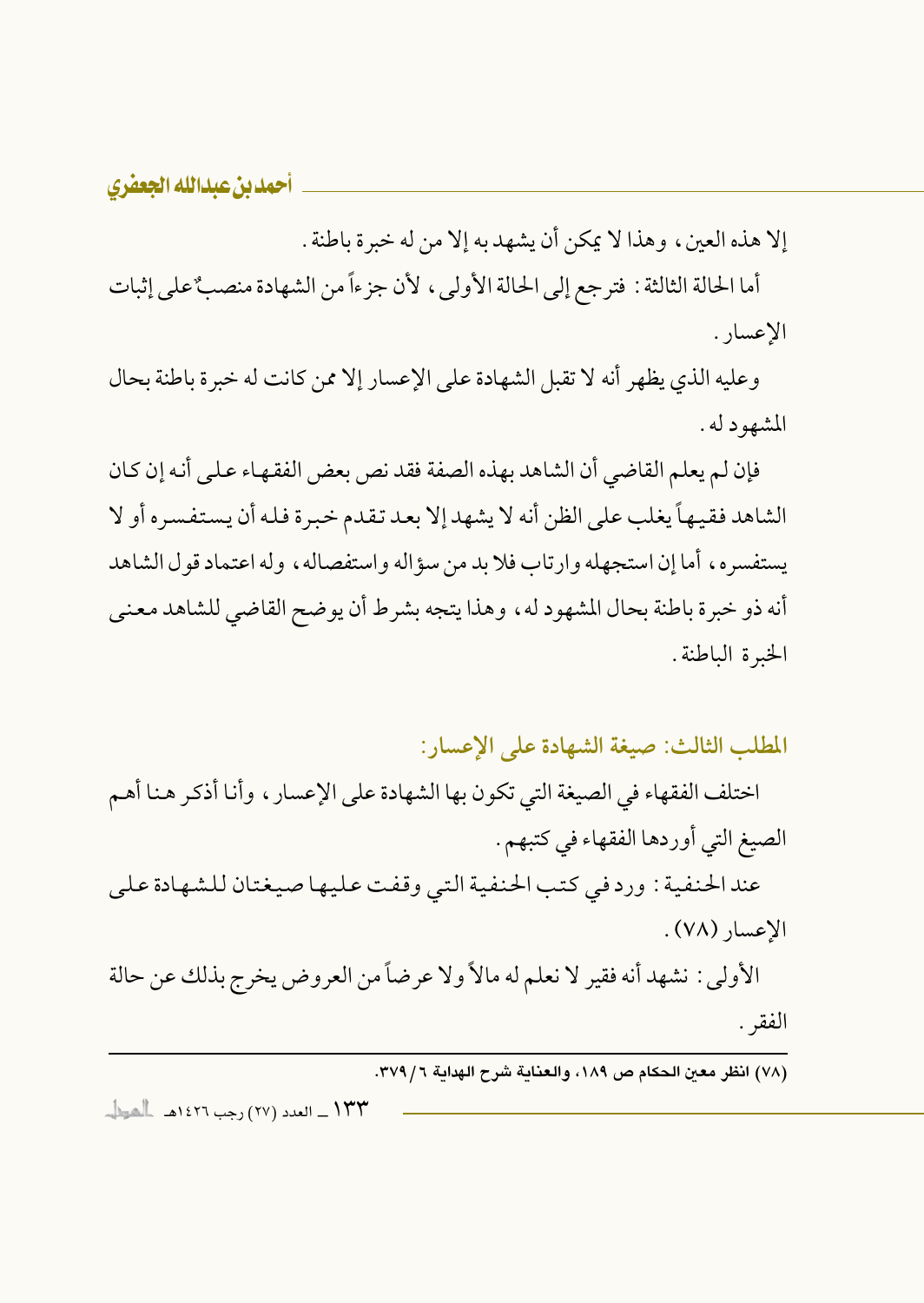إلا هذه العين، وهذا لا يمكن أن يشهد به إلا من له خبرة باطنة .

أما الحالة الثالثة : فترجع إلى الحالة الأولى، لأن جزءاً من الشهادة منصبٌ على إثبات الإعسار .

وعليه الذي يظهر أنه لا تقبل الشهادة على الإعسار إلا ممن كانت له خبرة باطنة بحال المشهود له .

فإن لم يعلم القاضي أن الشاهد بهذه الصفة فقد نص بعض الفقهاء على أنه إن كان الشاهد فقيهاً يغلب على الظن أنه لا يشهد إلا بعد تقدم خبرة فله أن يستفسره أو لا يستفسره، أما إن استجهله وإرتاب فلا بد من سؤاله وإستفصاله، وله اعتماد قول الشاهد أنه ذو خبرة باطنة بحال المشهود له، وهذا يتجه بشرط أن يوضح القاضي للشاهد معنى الخبرة الباطنة.

المطلب الثالث: صيغة الشهادة على الإعسار:

اختلف الفقهاء في الصيغة التي تكون بها الشهادة على الإعسار ، وأنا أذكر هنا أهم الصيغ التي أوردها الفقهاء في كتبهم . عند الحنفية : ورد في كتب الحنفية التي وقفت عليها صيغتان للشهادة على الاعسار (٧٨). الأولى : نشهد أنه فقير لا نعلم له مالاً ولا عرضاً من العروض يخرج بذلك عن حالة

الفقر .

۱۳۳ \_ العدد (۲۷) رجب ۱٤۲٦هـ \_ الشيطا\_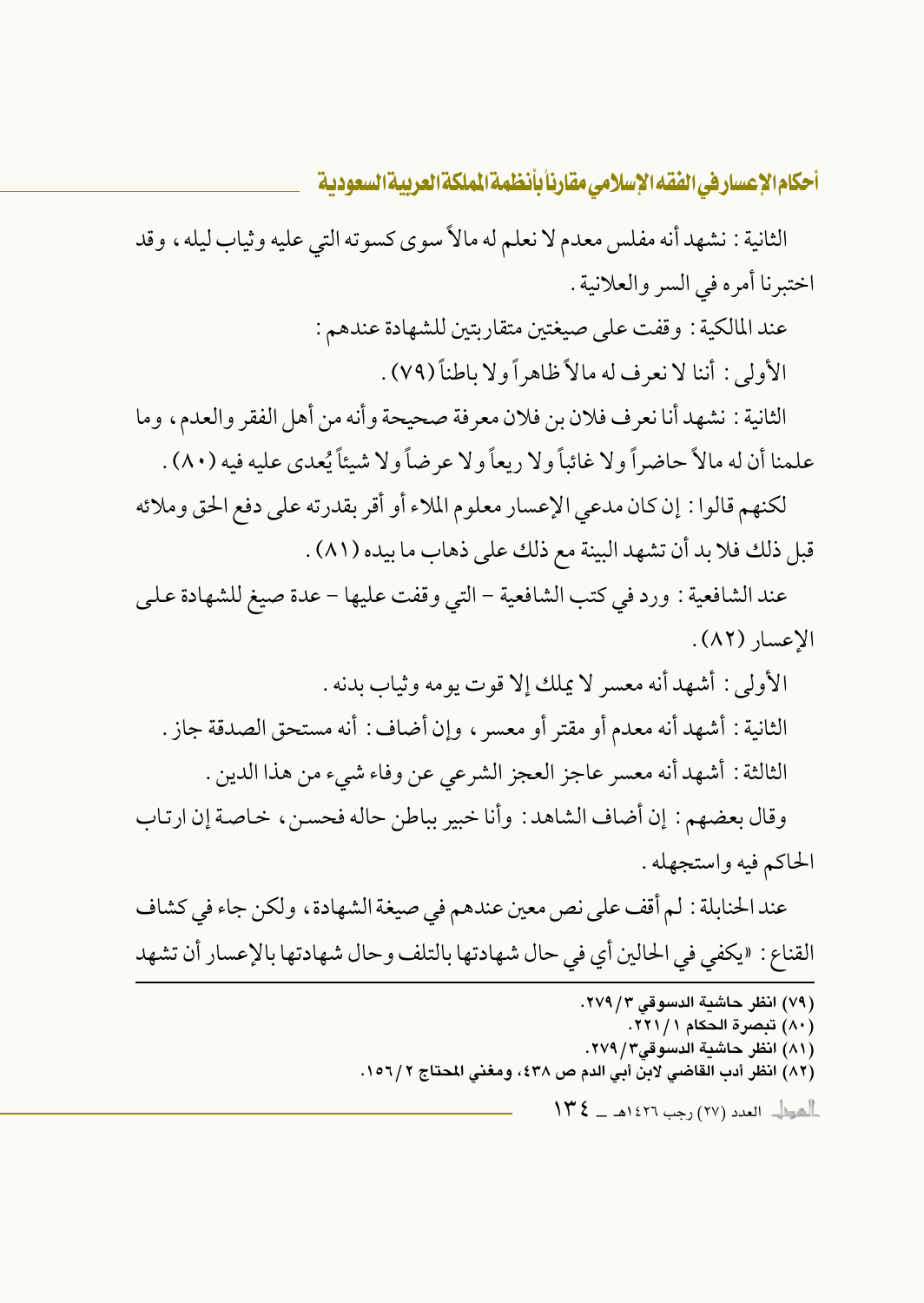الثانية : نشهد أنه مفلس معدم لا نعلم له مالاً سوى كسوته التي عليه وثياب ليله ، وقد اختبرنا أمره في السر والعلانية .

> عند المالكية : وقفت على صيغتين متقاربتين للشهادة عندهم : الأولى : أننا لا نعرف له مالاً ظاهراً ولا باطناً (٧٩) .

الثانية : نشهد أنا نعرف فلان بن فلان معرفة صحيحة وأنه من أهل الفقر والعدم، وما علمنا أن له مالاً حاضراً ولا غائباً ولا ريعاً ولا عرضاً ولا شيئاً يُعدى عليه فيه (٨٠) .

لكنهم قالوا : إن كان مدعى الإعسار معلوم الملاء أو أقر بقدرته على دفع الحق وملائه قبل ذلك فلا بد أن تشهد البينة مع ذلك على ذهاب ما بيده (٨١) .

عند الشافعية : ورد في كتب الشافعية – التي وقفت عليها – عدة صيغ للشهادة على الاعسار (٨٢).

الأولى : أشهد أنه معسر لا يملك إلا قوت يومه وثياب بدنه . الثانية : أشهد أنه معدم أو مقتر أو معسرٍ ، وإن أضاف : أنه مستحق الصدقة جاز . الثالثة : أشهد أنه معسر عاجز العجز الشرعي عن وفاء شيء من هذا الدين .

وقال بعضهم : إن أضاف الشاهد : وأنا خبير بباطن حاله فحسن، خاصة إن ارتاب الحاكم فيه واستجهله .

عند الحنابلة : لم أقف على نص معين عندهم في صيغة الشهادة ، ولكن جاء في كشاف القناع : «يكفي في الحالين أي في حال شهادتها بالتلف وحال شهادتها بالإعسار أن تشهد

> (٧٩) انظر حاشية الدسوقي ٢٧٩/٣. (٨٠) تبصرة الحكام ٢٢١/١. (٨١) انظر حاشية الدسوقى٣/ ٢٧٩. (٨٢) انظر أدب القاضي لابن أبي الدم ص ٤٣٨، ومغنى المحتاج ١٥٦/٢.  $\frac{1}{2}$ اهوالی العدد (۲۷) رجب ۱٤۲٦هـ ـ  $\zeta$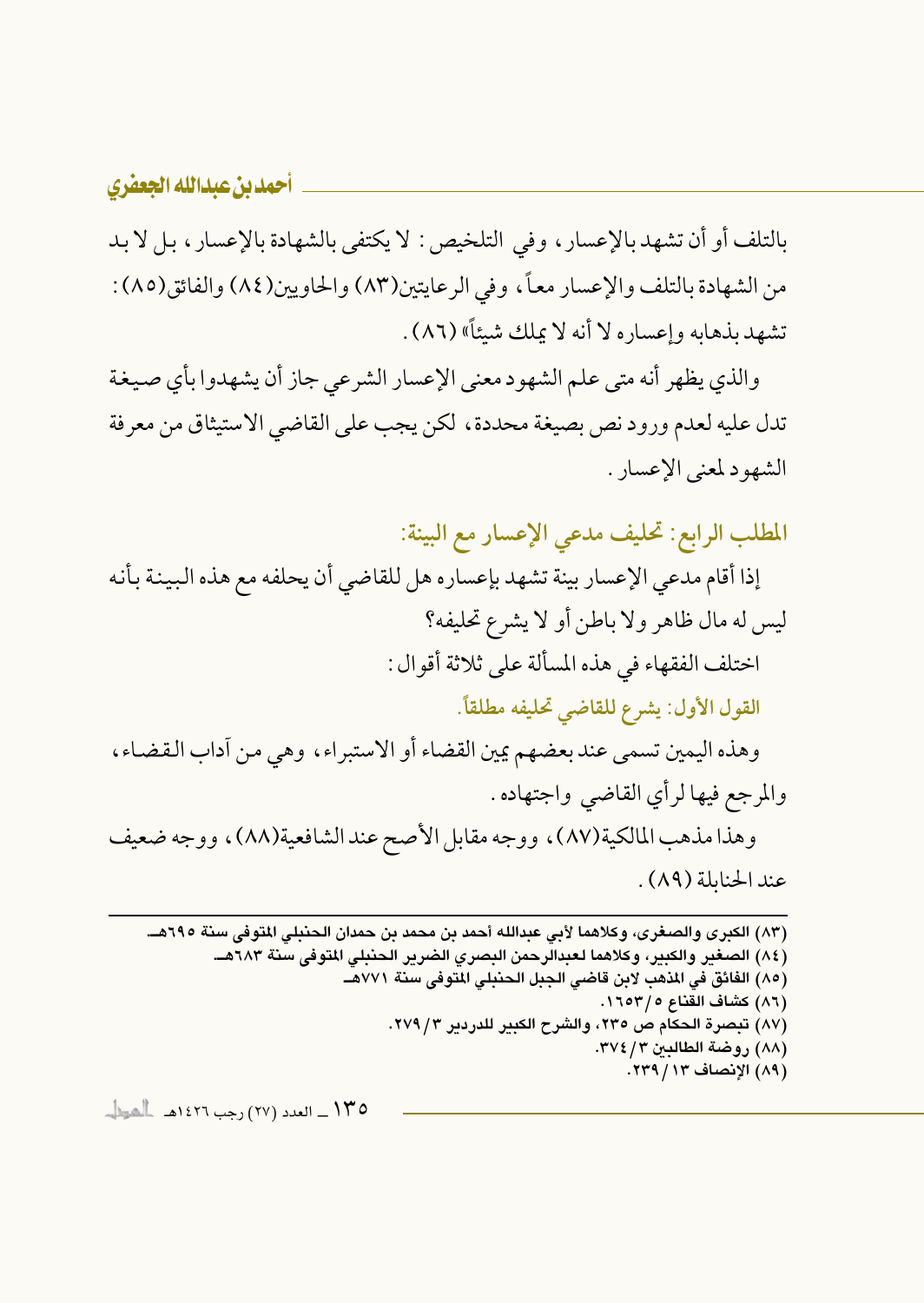بالتلف أو أن تشهد بالإعسار ، وفي التلخيص: لا يكتفي بالشهادة بالإعسار ، بل لا بد من الشهادة بالتلف والإعسار معاً، وفي الرعايتين(٨٣) والحاويين(٨٤) والفائق(٨٥) : تشهد بذهابه وإعساره لا أنه لا يملك شيئاً» (٨٦) .

والذي يظهر أنه متى علم الشهود معنى الإعسار الشرعي جاز أن يشهدوا بأي صيغة تدل عليه لعدم ورود نص بصيغة محددة، لكن يجب على القاضي الاستيثاق من معرفة الشهود لمعنى الإعسار .

المطلب الرابع: تحليف مدعى الإعسار مع البينة:

إذا أقام مدعى الإعسار بينة تشهد بإعساره هل للقاضي أن يحلفه مع هذه البينة بأنه ليس له مال ظاهر ولا باطن أو لا يشرع تحليفه؟ اختلف الفقهاء في هذه المسألة على ثلاثة أقوال :

القول الأول: يشرع للقاضي تحليفه مطلقاً.

وهذه اليمين تسمى عند بعضهم يمين القضاء أو الاستبراء، وهي من أداب القضاء، والمرجع فيها لرأى القاضي واجتهاده .

وهذا مذهب المالكية(٨٧)، ووجه مقابل الأصح عند الشافعية(٨٨)، ووجه ضعيف عند الحنابلة (٨٩).

(٨٣) الكبرى والصغرى، وكلاهما لأبي عبدالله أحمد بن محمد بن حمدان الحنبلي المتوفى سنة ٦٩٥هـ. (٨٤) الصغير والكبير، وكلاهما لعبدالرحمن البصري الضرير الحنبلي المتوفى سنة ٦٨٣هــ. (٨٥) الفائق في المذهب لابن قاضي الجبل الحنبلي المتوفي سنة ٧٧١هــ (٨٦) كشاف القناع ٥/ ١٦٥٣. (٨٧) تبصرة الحكام ص ٢٣٥، والشرح الكبير للدردير ٢/ ٢٧٩. (٨٨) روضة الطالبين ٣٧٤/٣٧. (٨٩) الإنصاف ١٣/ ٢٣٩.

١٣٥ \_ العدد (٢٧) رجب ١٤٢٦هـ - العطاء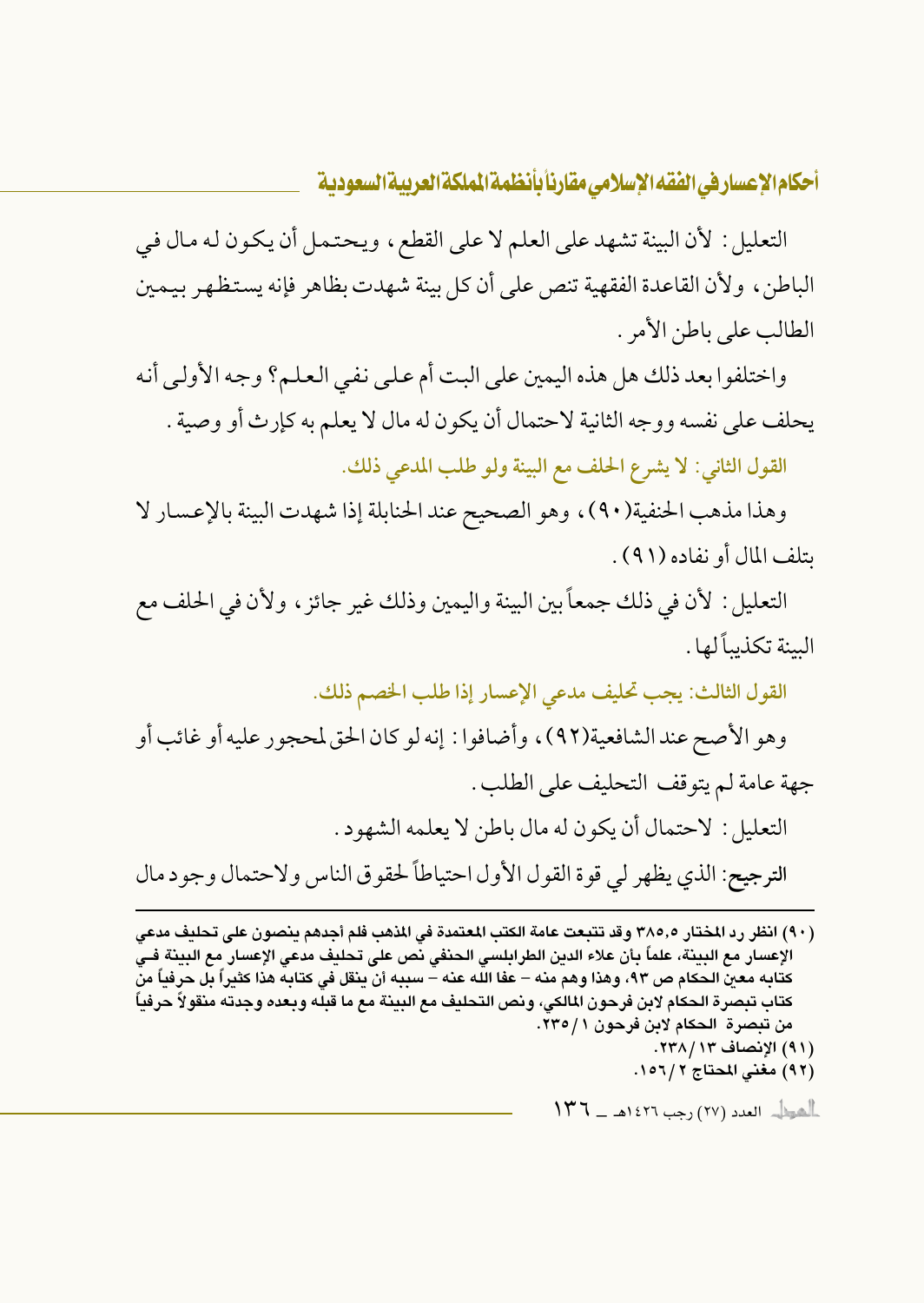التعليل : لأن البينة تشهد على العلم لا على القطع، ويحتمل أن يكون له مال في الباطن، ولأن القاعدة الفقهية تنص على أن كل بينة شهدت بظاهر فإنه يستظهر بيمين الطالب على باطن الأمر .

واختلفوا بعد ذلك هل هذه اليمين على البت أم على نفي العلم؟ وجه الأولى أنه يحلف على نفسه ووجه الثانية لاحتمال أن يكون له مال لا يعلم به كإرث أو وصية . القول الثاني: لا يشرع الحلف مع البينة ولو طلب المدعى ذلك.

وهذا مذهب الحنفية(٩٠)، وهو الصحيح عند الحنابلة إذا شهدت البينة بالإعسار لا بتلف المال أو نفاده (٩١).

التعليل : لأن في ذلك جمعاً بين البينة واليمين وذلك غير جائز ، ولأن في الحلف مع السنة تكذبياً لها .

القول الثالث: يجب تحليف مدعى الإعسار إذا طلب الخصم ذلك.

وهو الأصح عند الشافعية(٩٢)، وأضافوا : إنه لو كان الحق لمحجور عليه أو غائب أو جهة عامة لم يتوقف التحليف على الطلب . التعليل : لاحتمال أن يكون له مال باطن لا يعلمه الشهود. الترجيح: الذي يظهر لي قوة القول الأول احتياطاً لحقوق الناس ولاحتمال وجود مال

(٩٠) انظر رد المختار ٣٨٥,٥ وقد تتبعت عامة الكتب المعتمدة في المذهب فلم أجدهم بنصون على تحليف مدعى الإعسار مع البينة، علماً بأن علاء الدين الطرابلسي الحنفي نص على تحليف مدعى الإعسار مع البينة فـي كتابه معن الحكام ص ٩٣، وهذا وهم منه – عفا الله عنه – سببه أن ينقل في كتابه هذا كثيراً بل حرفياً من كتاب تبصرة الحكام لابن فرحون المالكى، ونص التحليف مع البينة مع ما قبله وبعده وجدته منقولاً حرفياً من تبصرة الحكام لابن فرحون ١ / ٢٣٥. (٩١) الانصاف ١٣٨/١٣. (٩٢) مغنى المحتاج ١٥٦/٢.  $\|T^*T - \lambda\|$ العدد (٢٧) رجب ١٤٢٦هـ ـــ ١٣٦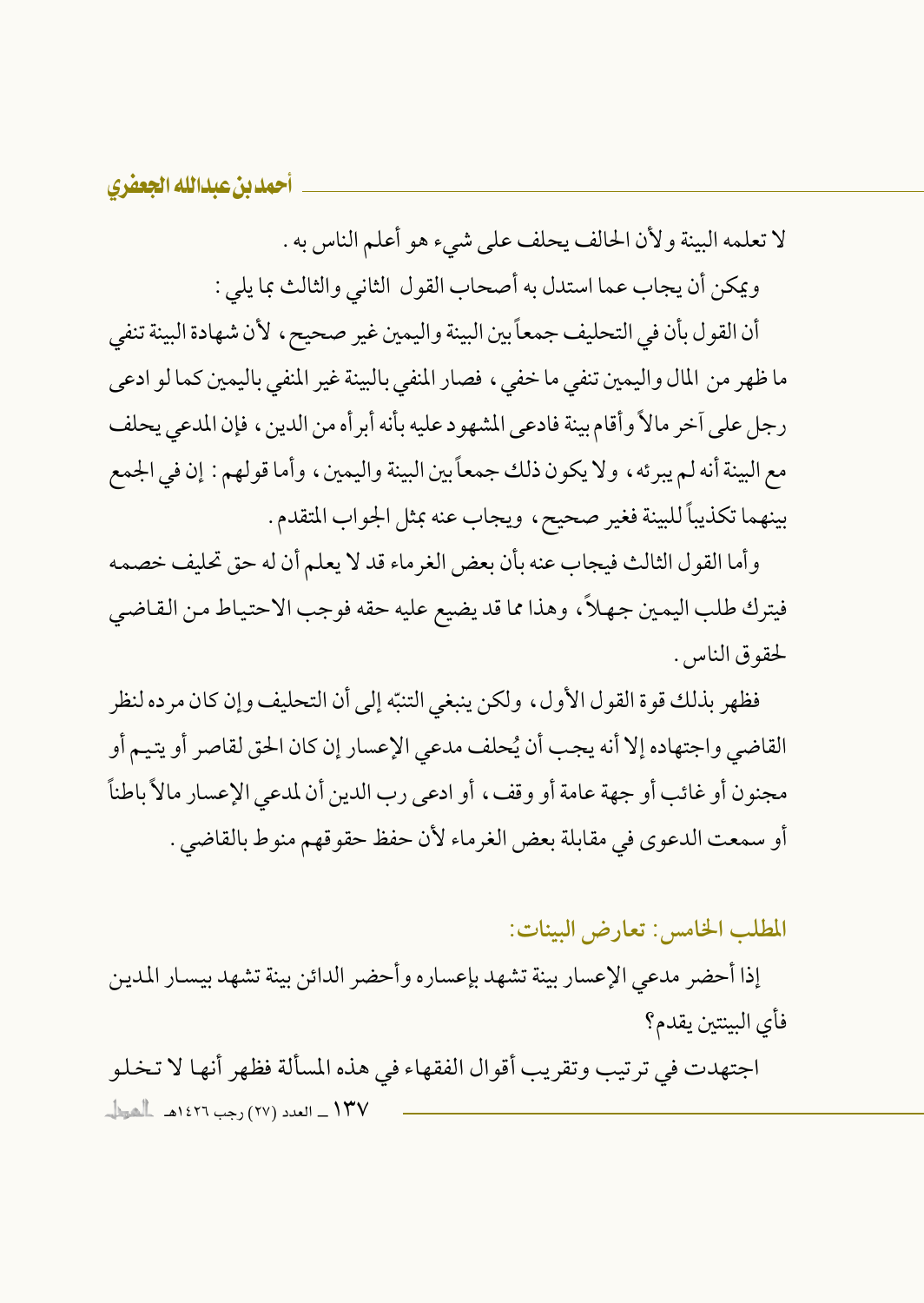لا تعلمه البينة ولأن الحالف يحلف على شيء هو أعلم الناس به .

ويمكن أن يجاب عما استدل به أصحاب القول الثاني والثالث بما يلي :

أن القول بأن في التحليف جمعاً بين البينة واليمين غير صحيح ، لأن شهادة البينة تنفي ما ظهر من المال واليمين تنفي ما خفي ، فصار المنفي بالبينة غير المنفي باليمين كما لو ادعى رجل على آخر مالاً وأقام بينة فادعى المشهود عليه بأنه أبر أه من الدين ، فإن المدعى يحلف مع البينة أنه لم يبرئه ، ولا يكون ذلك جمعاً بين البينة واليمين ، وأما قولهم : إن في الجمع بينهما تكذيباً للبينة فغير صحيح، ويجاب عنه بمثل الجواب المتقدم.

وأما القول الثالث فيجاب عنه بأن بعض الغرماء قد لا يعلم أن له حق تحليف خصمه فيترك طلب اليمين جهلاً، وهذا مما قد يضيع عليه حقه فوجب الاحتياط من القاضي لحقوق الناس.

فظهر بذلك قوة القول الأول، ولكن ينبغي التنبّه إلى أن التحليف وإن كان مرده لنظر القاضي واجتهاده إلا أنه يجب أن يُحلف مدعى الإعسار إن كان الحق لقاصر أو يتيم أو مجنون أو غائب أو جهة عامة أو وقف، أو ادعى رب الدين أن لمدعى الإعسار مالاً باطناً أو سمعت الدعوى في مقابلة بعض الغرماء لأن حفظ حقوقهم منوط بالقاضي .

المطلب الخامس: تعارض البينات:

إذا أحضر مدعى الإعسار بينة تشهد بإعساره وأحضر الدائن بينة تشهد بيسار المدين فأي البينتين يقدم؟

اجتهدت في ترتيب وتقريب أقوال الفقهاء في هذه المسألة فظهر أنها لا تخلو ١٣٧ \_ العدد (٢٧) رجب ١٤٢٦هـ [الصيل]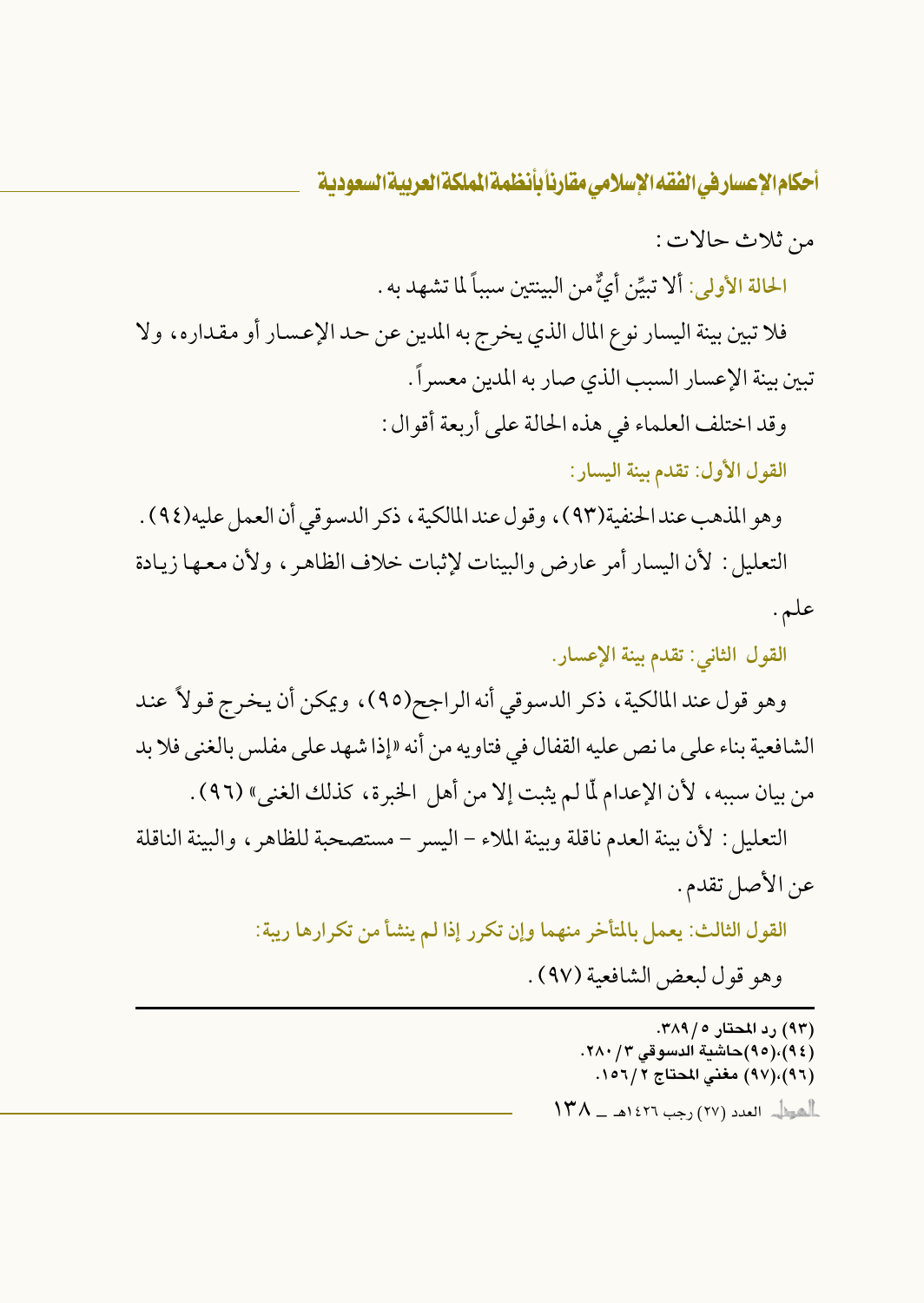من ثلاث حالات :

الحالة الأولى: ألا تبيِّن أيٌّ من البينتين سبباً لما تشهد به .

فلا تبين بينة اليسار نوع المال الذي يخرج به المدين عن حد الإعسار أو مقداره، ولا تبين بينة الإعسار السبب الذي صار به المدين معسراً. وقد اختلف العلماء في هذه الحالة على أربعة أقوال :

القول الأول: تقدم بينة اليسار:

وهو المذهب عند الحنفية(٩٣)، وقول عند المالكية ، ذكر الدسوقي أن العمل عليه(٩٤) . التعليل: لأن اليسار أمر عارض والبينات لإثبات خلاف الظاهر ، ولأن معها زيادة علم.

القول الثاني: تقدم بينة الإعسار.

وهو قول عند المالكية، ذكر الدسوقي أنه الراجح(٩٥)، ويمكن أن يخرج قولاً عند الشافعية بناء على ما نص عليه القفال في فتاويه من أنه «إذا شهد على مفلس بالغني فلا بد من بيان سببه ، لأن الإعدام لَّا لم يثبت إلا من أهل الخبرة ، كذلك الغني» (٩٦) .

التعليل: لأن بينة العدم ناقلة ويينة الملاء – اليسر – مستصحبة للظاهر ، والبينة الناقلة عن الأصل تقدم.

> القول الثالث: يعمل بالمتأخر منهما وإن تكرر إذا لم ينشأ من تكرارها ريبة: وهو قول لبعض الشافعية (٩٧).

> > (۹۳) رد المحتار ۲۸۹/۰. (٩٤)،(٩٥)حاشية الدسوقي ٢٨٠/٣. (٩٦)،(٩٧) مغنى المحتاج ٢/٦٥٦. العوار العدد (٢٧) رجب ١٤٢٦هـ - ١٣٨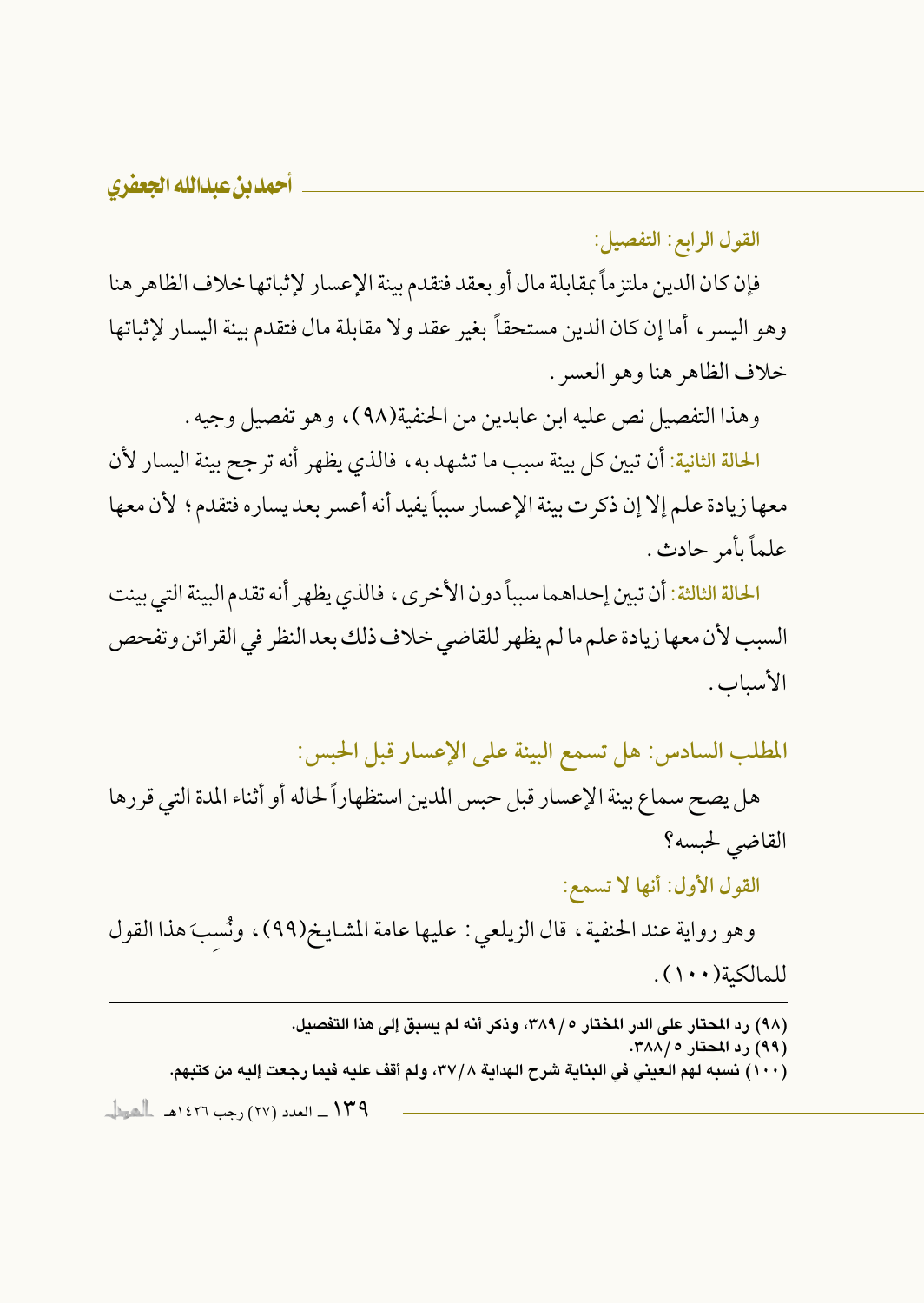القول الرابع: التفصيل:

فإن كان الدين ملتزماً بمقابلة مال أو بعقد فتقدم بينة الإعسار لإثباتها خلاف الظاهر هنا وهو اليسر ، أما إن كان الدين مستحقاً بغير عقد ولا مقابلة مال فتقدم بينة اليسار لإثباتها خلاف الظاهر هنا وهو العسر .

وهذا التفصيل نص عليه ابن عابدين من الحنفية(٩٨)، وهو تفصيل وجيه .

الحالة الثانية: أن تبين كل بينة سبب ما تشهد به ، فالذي يظهر أنه تر جح بينة اليسار لأن معها زيادة علم إلا إن ذكر ت بينة الإعسار سبباً يفيد أنه أعسر بعد يساره فتقدم؛ لأن معها علماً ىأمر حادث .

الحالة الثالثة: أن تبين إحداهما سبباً دون الأخرى ، فالذي يظهر أنه تقدم البينة التي بينت السبب لأن معها زيادة علم مالم يظهر للقاضي خلاف ذلك بعد النظر في القرائن وتفحص الأسياب.

المطلب السادس: هل تسمع البينة على الإعسار قبل الحبس:

هل يصح سماع بينة الإعسار قبل حبس المدين استظهاراً لحاله أو أثناء المدة التي قررها القاضي لحبسه؟

القول الأول: أنها لا تسمع:

وهو رواية عند الحنفية، قال الزيلعي : عليها عامة المشايخ(٩٩)، ونُسبَ هذا القول للمالكية (١٠٠).

(٩٨) رد المحتار على الدر المختار ٢٨٩/٥، وذكر أنه لم يسبق إلى هذا التفصيل. (۹۹) رد المحتار ۲۸۸/۰. (١٠٠) نسبه لهم العيني في البناية شرح الهداية ٣٧/٨، ولم أقف عليه فيما رجعت إليه من كتبهم. ۱۳۹ \_ العدد (۲۷) رجب ۱٤۲۲هـ العوال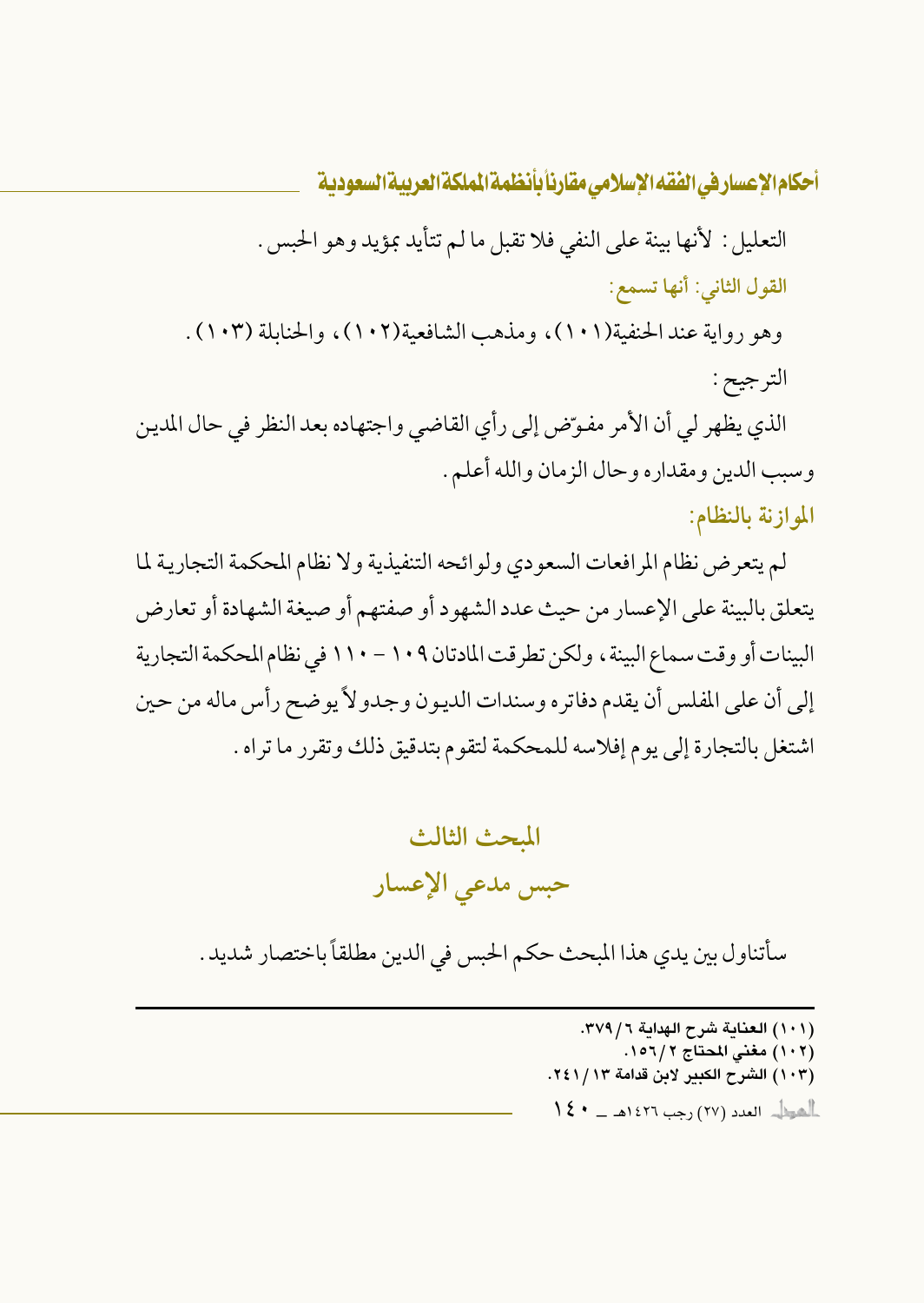التعليل : لأنها بينة على النفي فلا تقبل ما لم تتأيد بمؤيد وهو الحبس . القول الثاني: أنها تسمع: وهو رواية عند الحنفية(١٠١)، ومذهب الشافعية(١٠٢)، والحنايلة (١٠٣) . الترجيح : الذي يظهر لي أن الأمر مفوّض إلى رأي القاضي واجتهاده بعد النظر في حال المدين

وسبب الدين ومقداره وحال الزمان والله أعلم .

الموازنة بالنظام:

لم يتعرض نظام المرافعات السعودي ولوائحه التنفيذية ولا نظام المحكمة التجارية لما يتعلق بالبينة على الإعسار من حيث عدد الشهود أو صفتهم أو صيغة الشهادة أو تعارض البينات أو وقت سماع البينة ، ولكن تطرقت المادتان ١٠٩ – ١١٠ في نظام المحكمة التجارية إلى أن على المفلس أن يقدم دفاتره وسندات الديون وجدولاً يوضح رأس ماله من حين اشتغل بالتجارة إلى يوم إفلاسه للمحكمة لتقوم بتدقيق ذلك وتقرر ما تراه .

## المحث الثالث حبس مدعى الإعسار

سأتناول بين يدي هذا المبحث حكم الحبس في الدين مطلقاً باختصار شديد .

(١٠١) العناية شرح الهداية ٣٧٩/٦. (١٠٢) مغنى المحتاج ٢ /١٥٦. (١٠٣) الشرح الكبير لابن قدامة ٢٤١/١٣.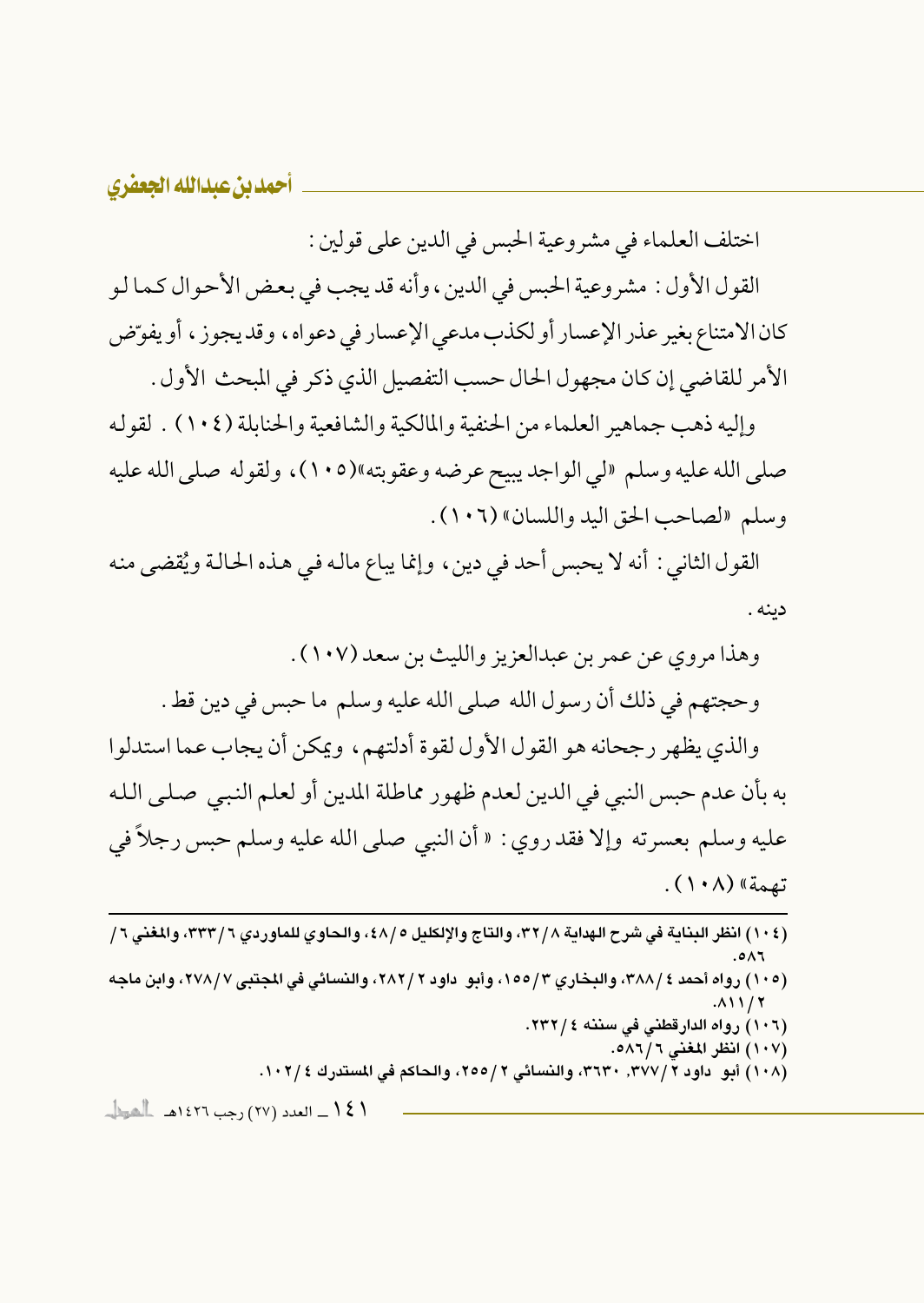اختلف العلماء في مشروعية الحبس في الدين على قولين :

القول الأول : مشروعية الحبس في الدين ، وأنه قد يجب في بعض الأحوال كما لو كان الامتناع بغير عذر الإعسار أو لكذب مدعى الإعسار في دعواه، وقد يجوز، أو يفوِّض الأمر للقاضي إن كان مجهول الحال حسب التفصيل الذي ذكر في المبحث الأول .

وإليه ذهب جماهير العلماء من الحنفية والمالكية والشافعية والحنابلة (١٠٤) . لقوله صلى الله عليه وسلم «لي الواجد يبيح عرضه وعقوبته»(١٠٥)، ولقوله صلى الله عليه وسلم «لصاحب الحق اليد واللسان» (١٠٦) .

القول الثاني : أنه لا يحبس أحد في دين ، وإنما يباع ماله في هذه الحالة ويُقضى منه دىنە .

وهذا مروى عن عمر بن عبدالعزيز والليث بن سعد (١٠٧) . وحجتهم في ذلك أن رسول الله صلى الله عليه وسلم ما حبس في دين قط . والذي يظهر رجحانه هو القول الأول لقوة أدلتهم، ويمكن أن يجاب عما استدلوا به بأن عدم حبس النبي في الدين لعدم ظهور مماطلة المدين أو لعلم النبي صلى الله عليه وسلم بعسرته وإلا فقد روى : « أن النبي صلى الله عليه وسلم حبس رجلاً في تصمة» (١٠٨).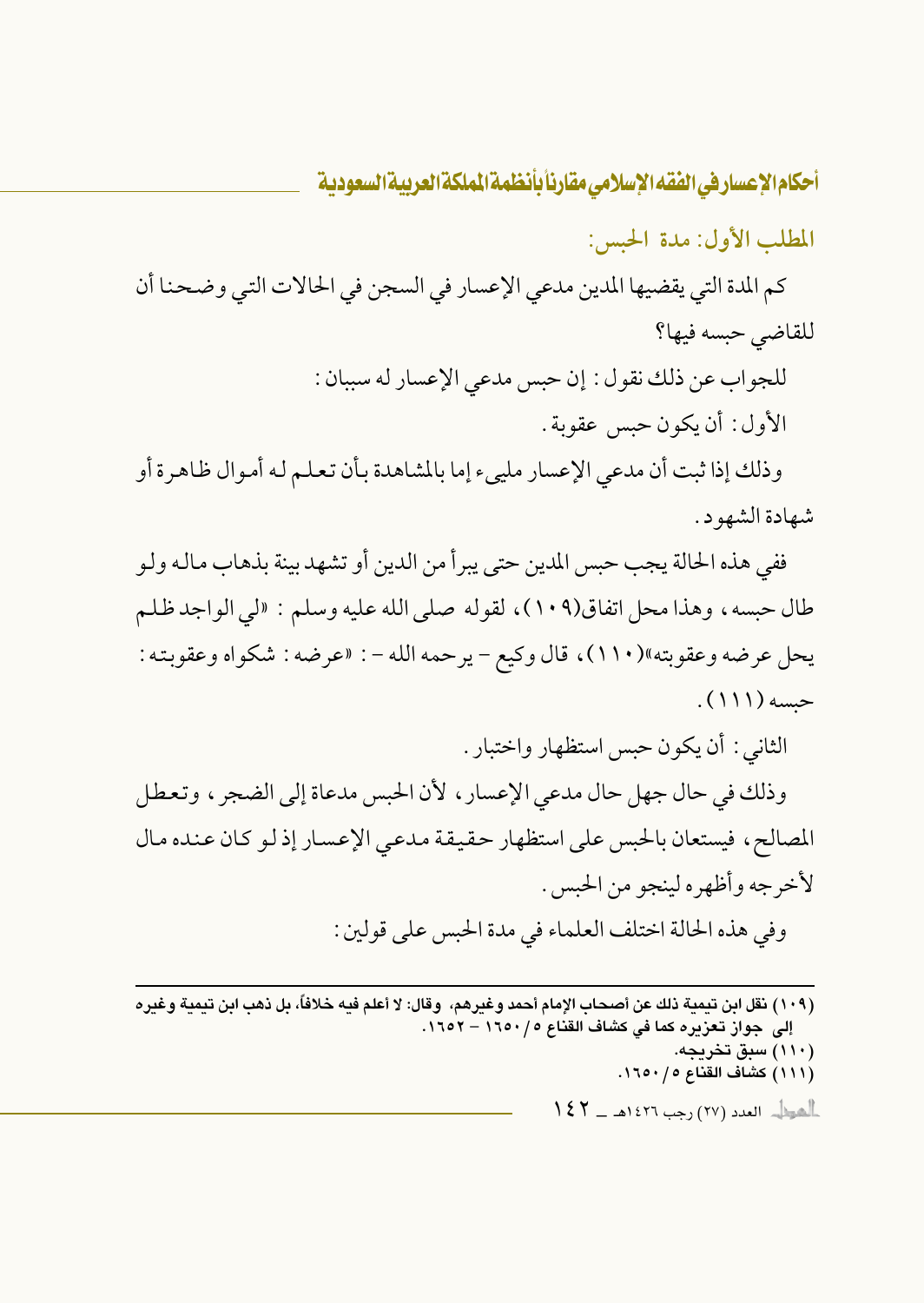المطلب الأول: مدة الحبس:

كم المدة التي يقضيها المدين مدعي الإعسار في السجن في الحالات التي وضحنا أن للقاضي حبسه فيها؟

> للجواب عن ذلك نقول: إن حبس مدعى الإعسار له سببان: الأول: أن يكون حبس عقوبة .

وذلك إذا ثبت أن مدعى الإعسار ملييء إما بالمشاهدة بأن تعلم له أموال ظاهرة أو شهادة الشهود.

ففي هذه الحالة يجب حبس المدين حتى يبرأ من الدين أو تشهد بينة بذهاب مالـه ولـو طال حبسه، وهذا محل اتفاق(١٠٩)، لقوله صلى الله عليه وسلم : «لي الواجد ظلم يحل عرضه وعقوبته»(١١٠)، قال وكيع – يرحمه الله – : «عرضه : شكواه وعقوبته :  $(111)$ 

الثاني : أن يكون حبس استظهار واختبار .

وذلك في حال جهل حال مدعى الإعسار ، لأن الحبس مدعاة إلى الضجر ، وتعطل المصالح، فيستعان بالحبس على استظهار حقيقة مدعى الإعسار إذ لو كان عنده مال لأخرجه وأظهره لينجو من الحبس . وفي هذه الحالة اختلف العلماء في مدة الحبس على قولين :

(١٠٩) نقل ابن تيمية ذلك عن أصحاب الإمام أحمد وغيرهم، وقال: لا أعلم فيه خلافاً، بل ذهب ابن تيمية وغيره إلى جواز تعزيره كما في كشاف القناع ١٦٥٠/٥ – ١٦٥٢. (۱۱۰) سبق تخریجه. (١١١) كشاف القناع ٥/ ١٦٥٠.  $\frac{1}{2}$ الصيطل - العدد (٢٧) رجب ١٤٢٦هـ ـــ ١٤٢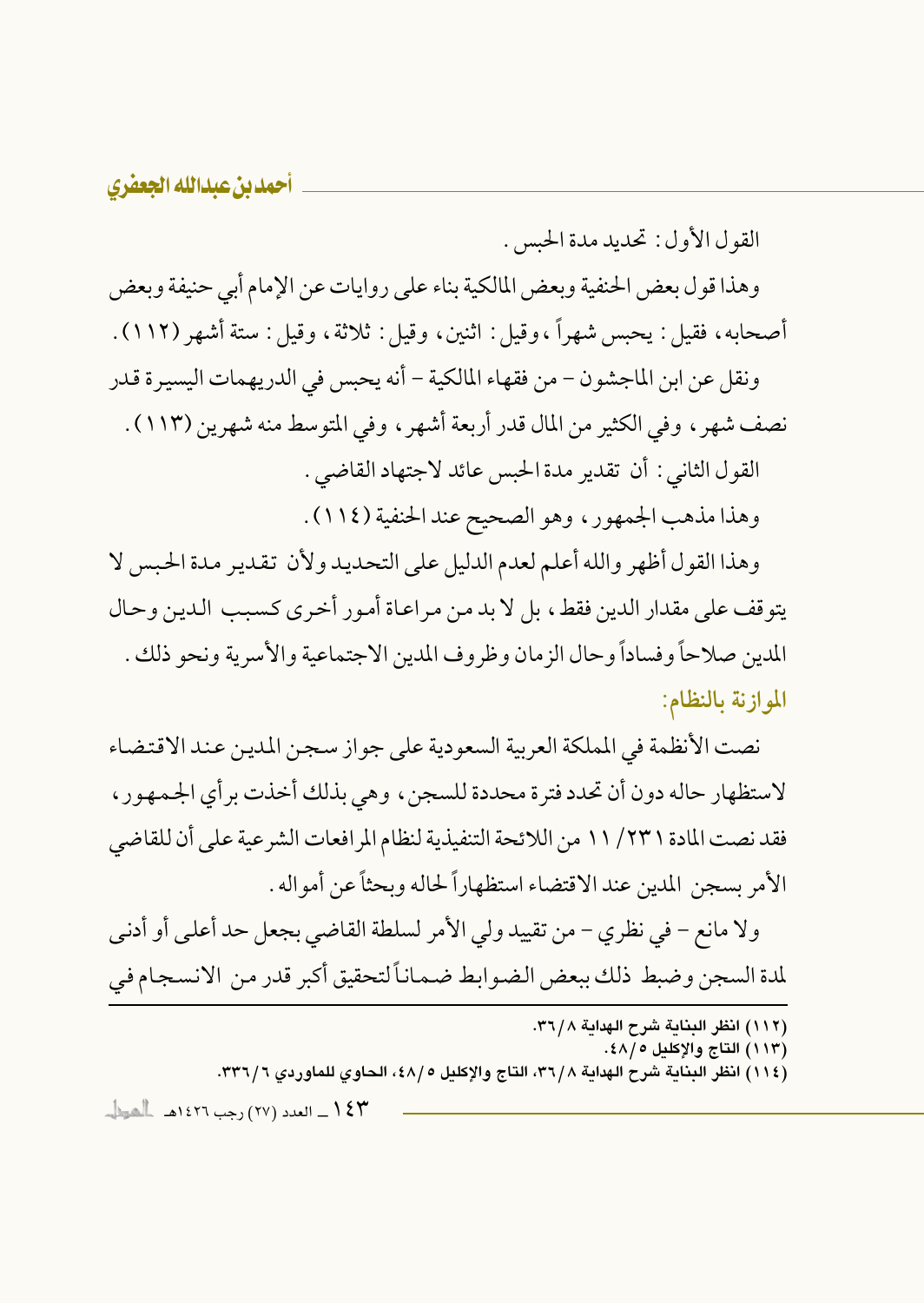القول الأول: تحديد مدة الحسس.

وهذا قول بعض الحنفية وبعض المالكية بناء على روايات عن الإمام أبي حنيفة وبعض أصحابه، فقيل: يحبس شهراً ،وقيل: اثنين، وقيل: ثلاثة، وقيل: ستة أشهر (١١٢).

ونقل عن ابن الماجشون – من فقهاء المالكية – أنه يحبس في الدريهمات اليسيرة قدر نصف شهر ، وفي الكثير من المال قدر أربعة أشهر ، وفي المتوسط منه شهرين (١١٣) . القول الثاني : أن تقدير مدة الحبس عائد لاجتهاد القاضي .

وهذا مذهب الجمهور، وهو الصحيح عند الحنفية (١١٤).

وهذا القول أظهر والله أعلم لعدم الدليل على التحديد ولأن تقدير مدة الحبس لا يتوقف على مقدار الدين فقط، بل لا يد من مراعاة أمور أخرى كسبب الدين وحال المدين صلاحاً وفساداً وحال الزمان وظروف المدين الاجتماعية والأسرية ونحو ذلك . الموازنة بالنظام:

نصت الأنظمة في المملكة العربية السعودية على جواز سجن المدين عند الاقتضاء لاستظهار حاله دون أن تحدد فترة محددة للسجن، وهي بذلك أخذت بر أي الجمهور، فقد نصت المادة ٢٣١/ ١١ من اللائحة التنفيذية لنظام المر افعات الشر عية على أن للقاضي الأمر بسجن المدين عند الاقتضاء استظهاراً لحاله ويحثاً عن أمواله .

ولا مانع – في نظري – من تقييد ولي الأمر لسلطة القاضي بجعل حد أعلى أو أدنبي لمدة السجن وضبط ذلك ببعض الضوابط ضماناً لتحقيق أكبر قدر من الانسجام في

- (١١٢) انظر البناية شرح الهداية ٣٦/٨.
	- (١١٣) التاج والإكليل ١٨/٥.
- (١١٤) انظر البنابة شرح الهدابة ٣٦/٨، التاج والإكليل ٤٨/٥، الحاوي للماوردي ٣٣٦/٦.

١٤٣ ــ العدد (٢٧) رجب ١٤٢٦هـ ـ الحياء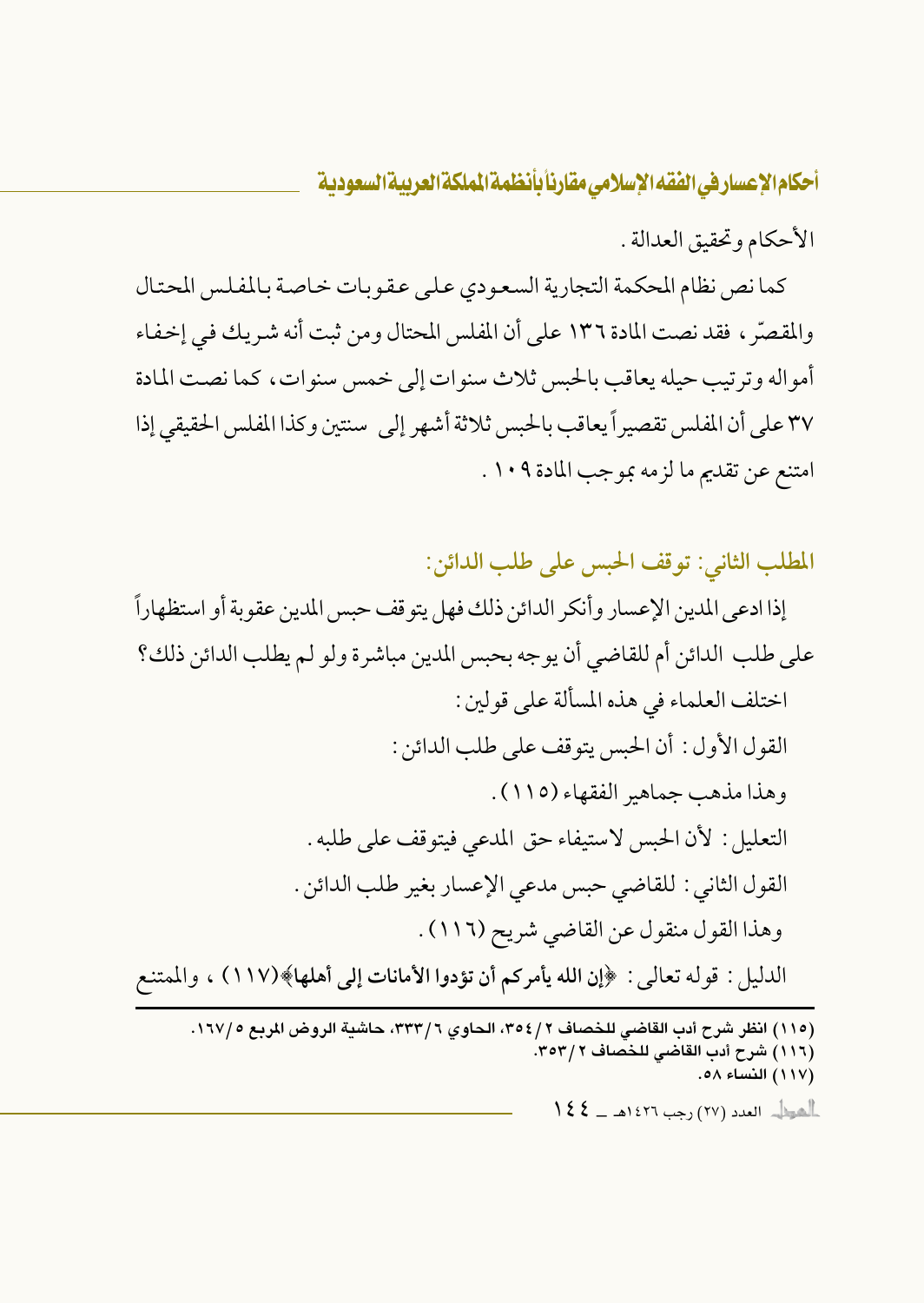الأحكام وتحقيق العدالة .

كما نص نظام المحكمة التجارية السعودي على عقوبات خاصة بالمفلس المحتال والمقصِّر ، فقد نصت المادة ١٣٦ على أن المفلس المحتال ومن ثبت أنه شريك في إخفاء أمواله وترتيب حيله يعاقب بالحبس ثلاث سنوات إلى خمس سنوات، كما نصت المادة ٣٧ على أن المفلس تقصير أيعاقب بالحبس ثلاثة أشهر إلى ٍ سنتين وكذا المفلس الحقيقي إذا امتنع عن تقديم ما لزمه بموجب المادة ١٠٩ .

المطلب الثاني: توقف الحبس على طلب الدائن:

(١١٥) انظر شرح أدب القاضي للخصاف ٢٥٤/٢، الحاوي ٣٣٣/٦، حاشية الروض المربع ١٦٧/٥. (١١٦) شرح أدب القاضي للخصاف ٣٥٣/٢. (١١٧) النساء ٥٨. أأهوال العدد (٢٧) رجب ١٤٢٦هـ \_ كالح ا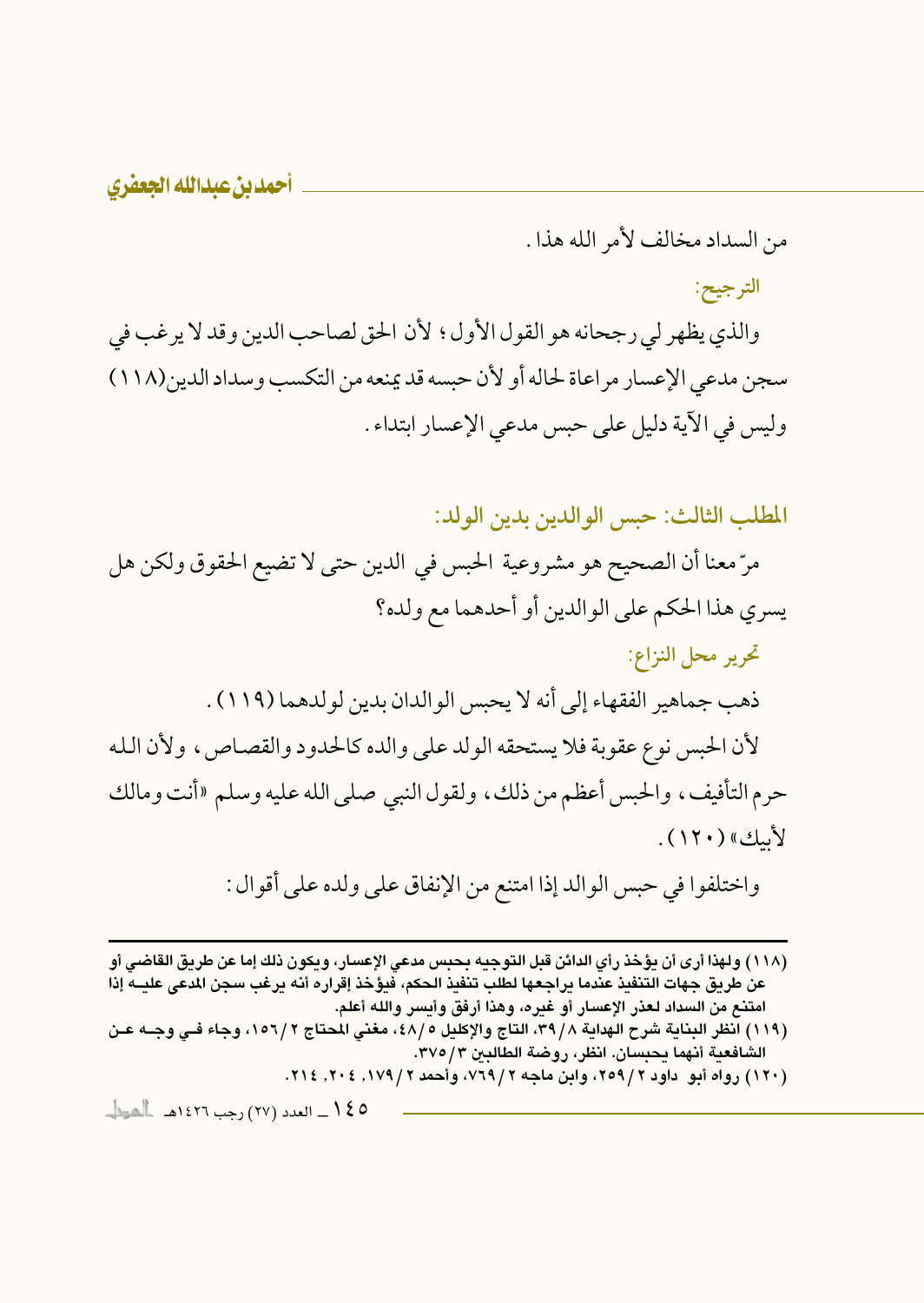من السداد مخالف لأمر الله هذا.

الترجيح:

والذي يظهر لي رجحانه هو القول الأول ؛ لأن الحق لصاحب الدين وقد لا يرغب في سجن مدعى الإعسار مراعاة لحاله أو لأن حبسه قد يمنعه من التكسب وسداد الدين(١١٨) وليس في الآية دليل على حبس مدعى الإعسار ابتداء .

المطلب الثالث: حبس الوالدين بدين الولد:

مرّ معنا أن الصحيح هو مشروعية الحبس في الدين حتى لا تضيع الحقوق ولكن هل يسري هذا الحكم على الوالدين أو أحدهما مع ولده؟ تحرير محل النزاع: ذهب جماهير الفقهاء إلى أنه لا يحسى الوالدان بدين لو لدهما (١١٩) . لأن الحبس نوع عقوبة فلا يستحقه الولد على والده كالحدود والقصاص، ولأن الله حرم التأفيف، والحبس أعظم من ذلك، ولقول النبي صلى الله عليه وسلم «أنت ومالك لأسك» (١٢٠).

واختلفوا في حبس الوالد إذا امتنع من الإنفاق على ولده على أقوال :

- (١١٨ ) ولهذا أرى أن يؤخذ رأي الدائن قبل التوجيه بحبس مدعى الإعسار، ويكون ذلك إما عن طريق القاضى أو عن طريق جهات التنفيذ عندما يراجعها لطلب تنفيذ الحكم، فيؤخذ إقراره أنه يرغب سجن المدعى عليــه إذا امتنع من السداد لعذر الإعسار أو غيره، وهذا أرفق وأيسر والله أعلم.
- (١١٩) انظر البناية شرح الهداية ٣٩/٨، التاج والإكليل ٤٨/٥، مغنى المحتاج ١٥٦/٢، وجاء فـي وجـه عـن الشافعية أنهما يحبسان. انظر، روضة الطالبين ٣٧٥/٣.
	- (۱۲۰) رواه أبو داود ۲/۹۹م، وابن ماجه ۲/۹۲۹، وأحمد ۱۷۹٬۲۰۶٬ ۲۰٤٬ ۲۱۶.

0 كم ( \_\_ العدد (٢٧ ) رجب ١٤٢٦هـ - الحوال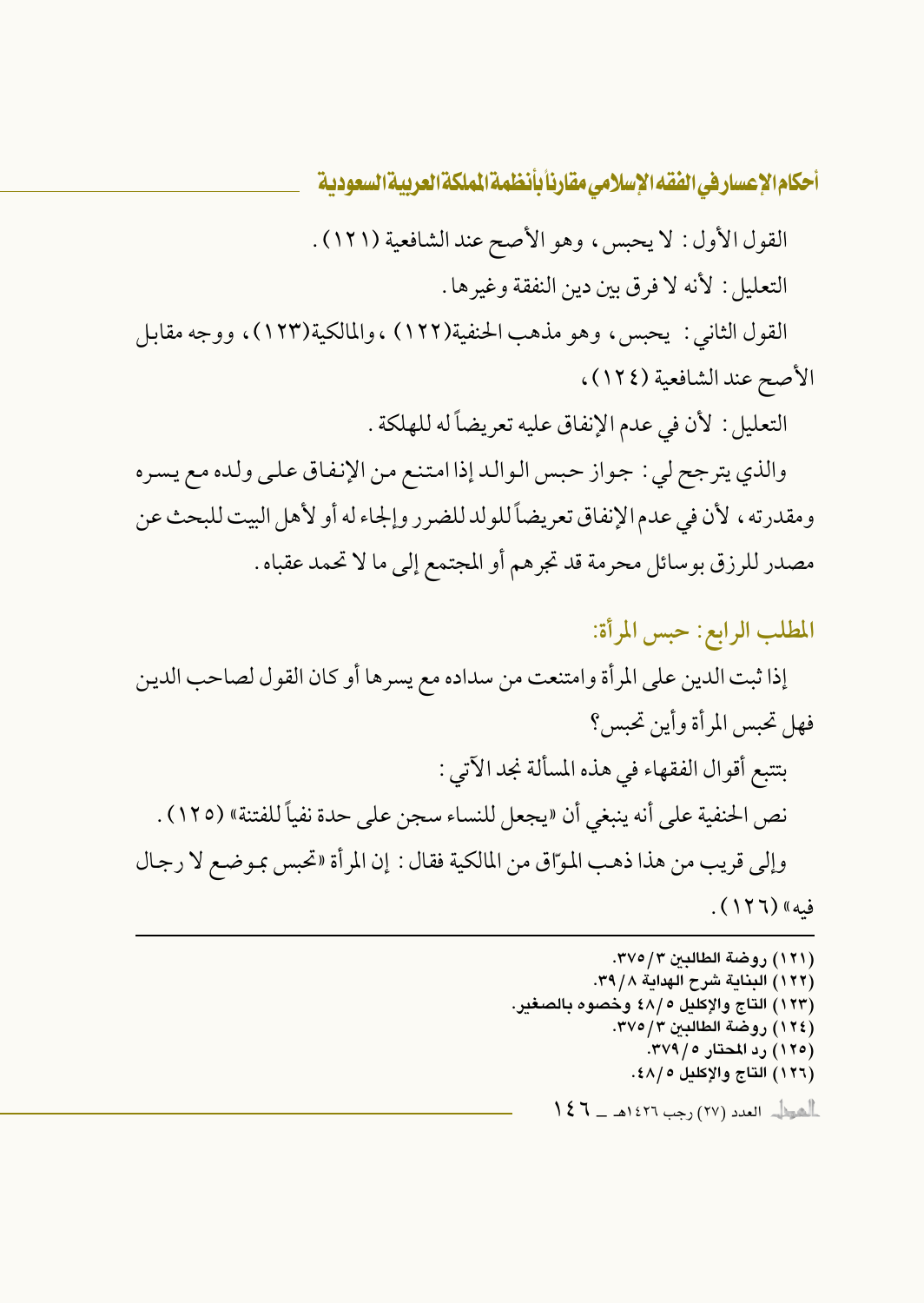القول الأول: لا يحبس، وهو الأصح عند الشافعية (١٢١). التعليل: لأنه لا فرق بين دين النفقة وغيرها .

القول الثاني : يحبس، وهو مذهب الحنفية(١٢٢) ،والمالكية(١٢٣)، ووجه مقابل الأصح عند الشافعية (١٢٤)،

التعليل : لأن في عدم الإنفاق عليه تعريضاً له للهلكة .

والذي يترجح لي : جواز حبس الوالد إذا امتنع من الإنفاق على ولده مع يسره ومقدرته ، لأن في عدم الإنفاق تعريضاً للولد للضرر وإلجاء له أو لأهل البيت للبحث عن مصدر للرزق بوسائل محرمة قد تجرهم أو المجتمع إلى ما لا تحمد عقباه .

المطلب الرابع: حبس المرأة: إذا ثبت الدين على المرأة وامتنعت من سداده مع يسرها أو كان القول لصاحب الدين فهل تحبس المرأة وأين تحبس؟ بتتبع أقوال الفقهاء في هذه المسألة نجد الآتي : نص الحنفية على أنه ينبغي أن «يجعل للنساء سجن على حدة نفياً للفتنة» (١٢٥) . وإلى قريب من هذا ذهب الموّاق من المالكية فقال : إن المرأة «تحبس بموضع لا رجال فيه» (١٢٦).

> (١٢١) روضة الطالبين ٣/٥/٣. (١٢٢) البناية شرح الهداية ٣٩/٨. (١٢٣) التاج والإكليل ٤٨/٥ وخصوه بالصغير. (١٢٤) روضة الطالبين ٣٧٥/٣. (١٢٥) رد المحتار ٢٧٩/٥. (١٢٦) التاج والإكليل ٥ /٤٨.  $\frac{1}{2}$ الصرية العدد (٢٧) رجب ١٤٢٦هـ ـــ ١٤٦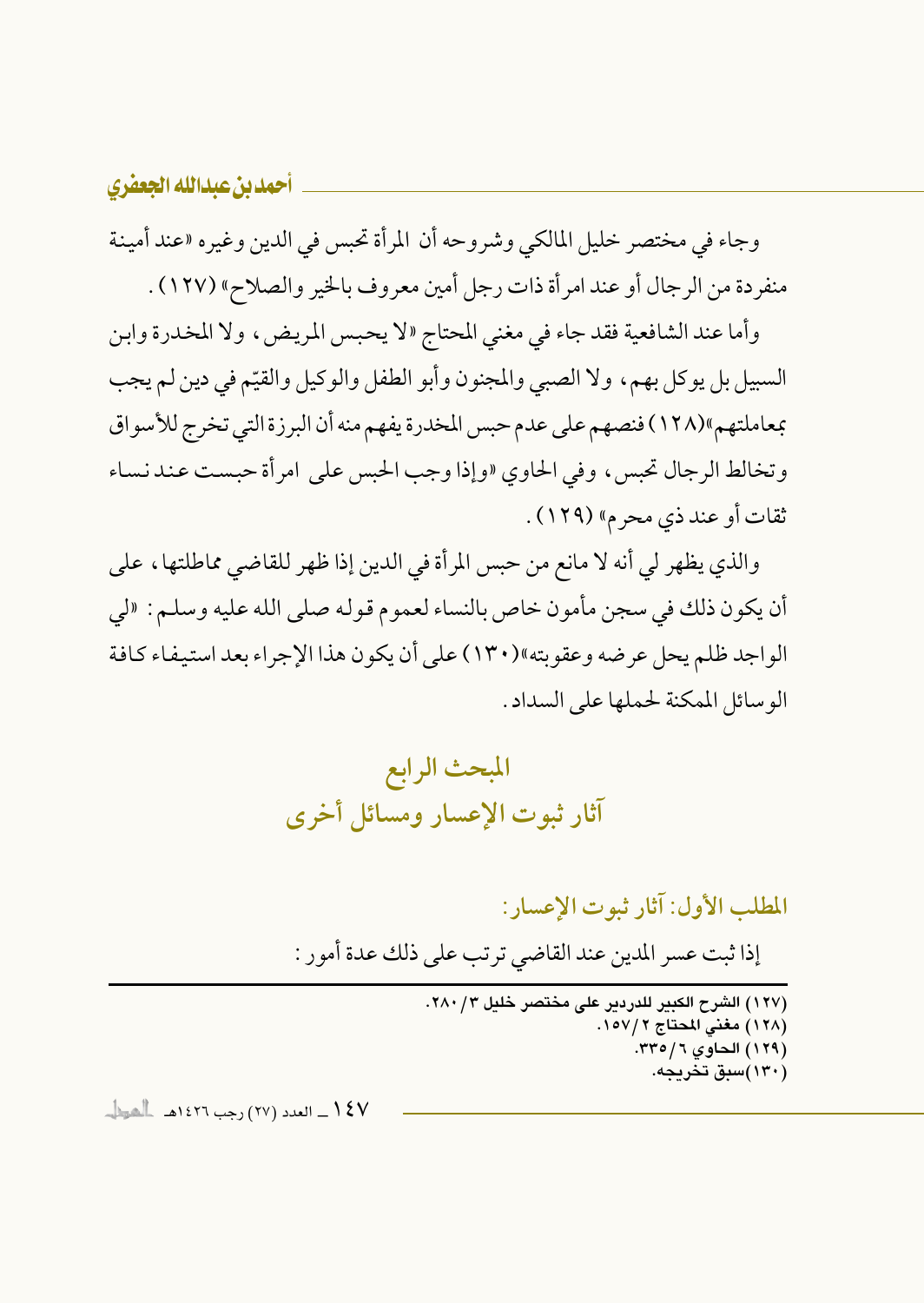وجاء في مختصر خليل المالكي وشروحه أن المرأة تحبس في الدين وغيره «عند أمينة منفردة من الرجال أو عند امرأة ذات رجل أمين معروف بالخير والصلاح» (١٢٧) .

وأما عند الشافعية فقد جاء في مغنى المحتاج «لا يحبس المريض، ولا المخدرة وابن السبيل بل يوكل بهم، ولا الصبي والمجنون وأبو الطفل والوكيل والقيّم في دين لم يجب بمعاملتهم»(١٢٨) فنصهم على عدم حبس المخدرة يفهم منه أن البرزة التي تخرج للأسواق وتخالط الرجال تحبس، وفي الحاوي «وإذا وجب الحبس على امرأة حبست عند نساء ثقات أو عند ذي محرم» (١٢٩) .

والذي يظهر لي أنه لا مانع من حبس المرأة في الدين إذا ظهر للقاضي مماطلتها، على أن يكون ذلك في سجن مأمون خاص بالنساء لعموم قوله صلى الله عليه وسلـم: «لي الواجد ظلم يحل عرضه وعقوبته»(١٣٠) على أن يكون هذا الإجراء بعد استيفاء كـافـة الوسائل الممكنة لحملها على السداد.



المطلب الأول: آثار ثبوت الإعسار:

إذا ثبت عسر المدين عند القاضي ترتب على ذلك عدة أمور :

(١٢٧) الشرح الكبير للدردير على مختصر خليل ٢٨٠/٣. (١٢٨) مغنى المحتاج ١٥٧/٢. (١٢٩) الحاوي ٦/٥/٦. (۱۳۰)سبق تخریجه.

**/ \$ \ \_\_ العدد (٢٧) رجب ١٤٢٦هـ - العطا**ب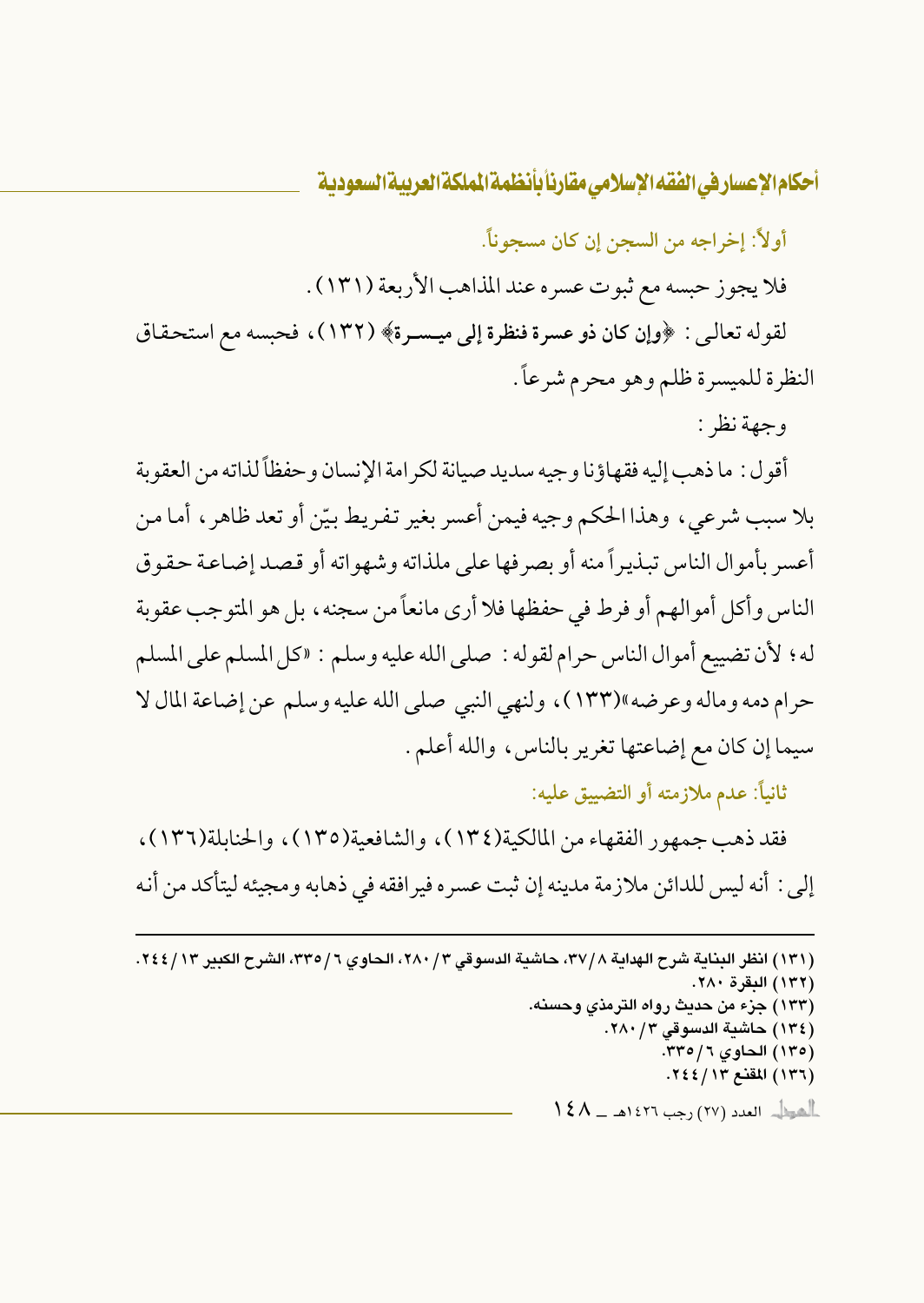أولاً: إخراجه من السجن إن كان مسجوناً.

فلا يجوز حبسه مع ثبوت عسره عند المذاهب الأربعة (١٣١) .

لقوله تعالى : ﴿وإِن كان ذو عسرة فنظرة إلى ميـسـرة﴾ (١٣٢)، فحبسه مع استحقاق النظرة للميسرة ظلم وهو محرم شرعاً .

وجهة نظر :

أقو ل : ما ذهب إليه فقهاؤ نا و جيه سديد صيانة لكر امة الإنسان و حفظاً لذاته من العقوبة بلا سبب شرعي، وهذا الحكم وجيه فيمن أعسر بغير تفريط بيّن أو تعد ظاهر ، أما من أعسر بأموال الناس تبذيراً منه أو بصر فها على ملذاته وشهواته أو قصد إضاعة حقوق الناس وأكل أموالهم أو فرط في حفظها فلا أرى مانعاً من سجنه ، بل هو المتوجب عقوبة له ؛ لأن تضييع أمو ال الناس حر ام لقو له : صلى الله عليه وسلم : «كل المسلم على المسلم حرام دمه وماله وعرضه»(١٣٣)، ولنهى النبي صلى الله عليه وسلم عن إضاعة المال لا سيما إن كان مع إضاعتها تغرير بالناس، والله أعلم.

ثانياً: عدم ملازمته أو التضييق عليه:

فقد ذهب جمهور الفقهاء من المالكية(١٣٤)، والشافعية(١٣٥)، والحنابلة(١٣٦)، إلى : أنه ليس للدائن ملازمة مدينه إن ثبت عسره فيرافقه في ذهابه ومجيئه ليتأكد من أنه

(١٣١) انظر البناية شرح الهداية ٢٧/٨، حاشية الدسوقي ٢/ ٢٨٠، الحاوي ٦/ ٣٣٥، الشرح الكبير ٢/ ٢٤٤. (١٣٢) البقرة ٢٨٠. (١٣٣) جزء من حديث رواه الترمذي وحسنه. (١٣٤) حاشية الدسوقي ٢٨٠/٢. (١٣٥) الحاوي ٦/ ٣٣٥. (١٣٦) المقنع ١٣/ ٢٤٤.  $\Lambda$ الصطلى العدد (٢٧) رجب ١٤٢٦هـ ــ  $\Lambda$  \$ \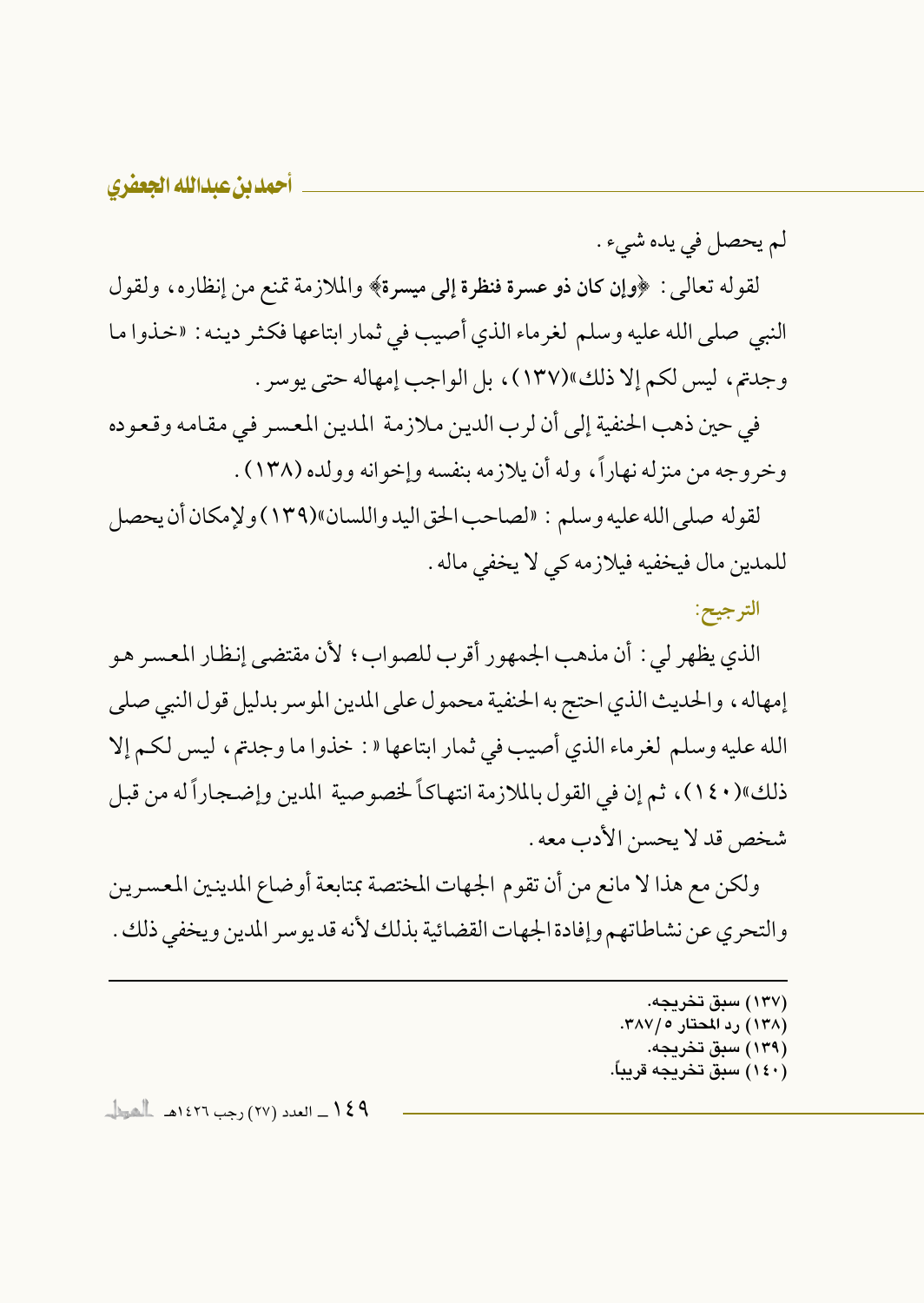لم يحصل في يده شيء .

لقوله تعالىي : ﴿وإِن كان ذو عسرة فنظرة إلى ميسرة﴾ والملازمة تمنع من إنظاره، ولقول النبي صلى الله عليه وسلم لغرماء الذي أصيب في ثمار ابتاعها فكثر دينه : «خذوا ما وجدتم، ليس لكم إلا ذلك»(١٣٧)، بل الواجب إمهاله حتى يوسر .

في حين ذهب الحنفية إلى أن لرب الدين ملازمة المدين المعسر في مقامه وقعوده وخروجه من منزله نهاراً، وله أن يلازمه بنفسه وإخوانه وولده (١٣٨) .

لقوله صلى الله عليه وسلم : «لصاحب الحق اليد واللسان»(١٣٩) ولإمكان أن يحصل للمدين مال فيخفيه فيلازمه كي لا يخفي ماله .

الترجيح:

الذي يظهر لي : أن مذهب الجمهور أقرب للصواب؛ لأن مقتضى إنظار المعسر هو إمهاله، والحديث الذي احتج به الحنفية محمول على المدين الموسر بدليل قول النبي صلى الله عليه وسلم لغرماء الذي أصيب في ثمار ابتاعها « : خذوا ما وجدتم، ليس لكم إلا ذلك»(١٤٠)، ثم إن في القول بالملازمة انتهاكاً لخصوصية المدين وإضجاراً له من قبل شخص قد لا يحسن الأدب معه .

ولكن مع هذا لا مانع من أن تقوم الجهات المختصة بمتابعة أوضاع المدينين المعسرين والتحري عن نشاطاتهم وإفادة الجهات القضائية بذلك لأنه قد يوسر المدين ويخفى ذلك .

> (۱۳۷) سبق تخریحه. (۱۳۸) رد المحتار ۲۸۷/۰. (۱۳۹) سبق تخریجه. (١٤٠) سىق تخرىجە قرىباً.

**۹ ٤ ١ \_ العدد (٢٧) رجب ١٤٢٦هـ العينا ــ**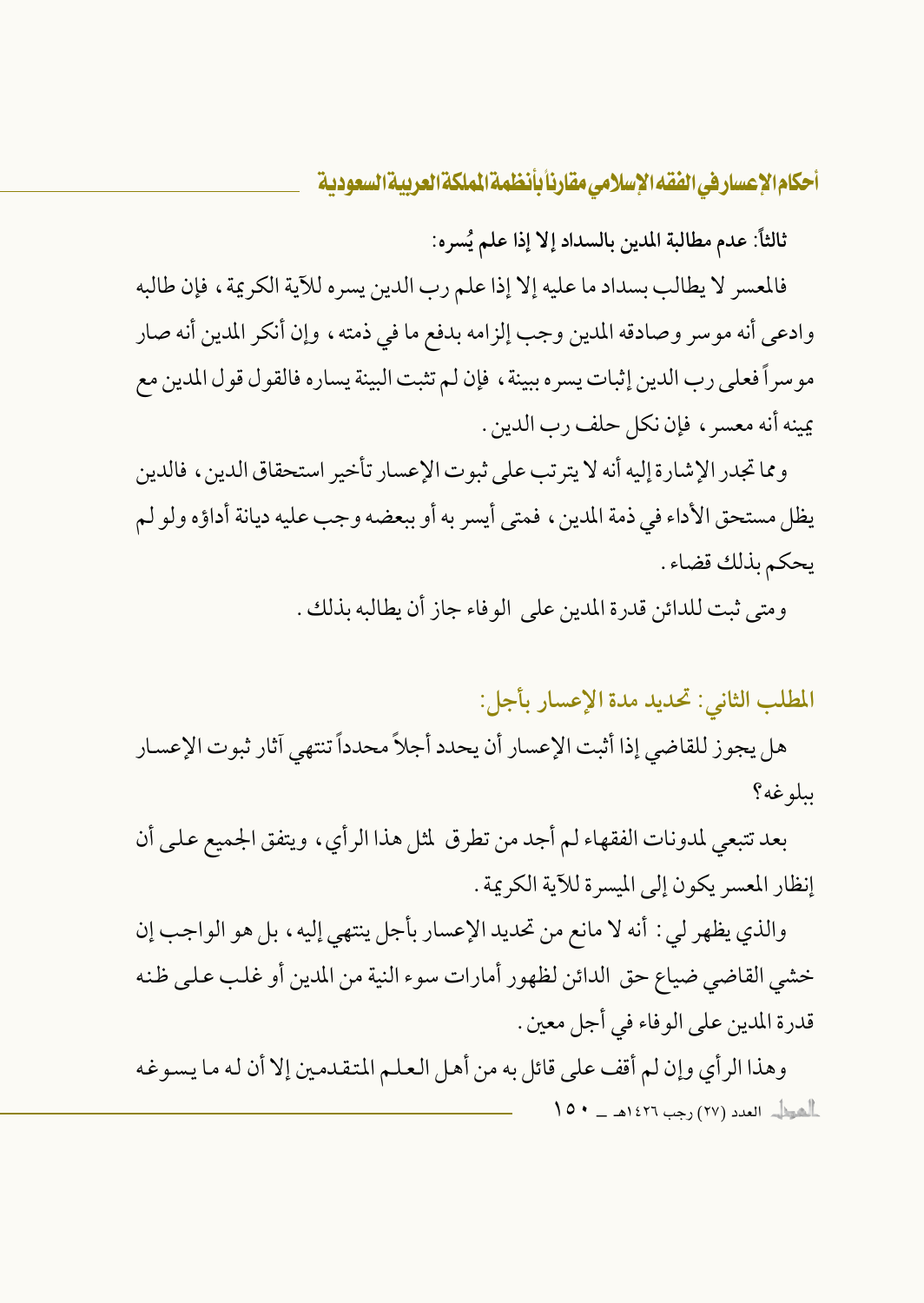ثالثاً: عدم مطالبة المدين بالسداد إلا إذا علم يُسره:

فالمعسر لا يطالب بسداد ما عليه إلا إذا علم رب الدين يسره للآية الكريمة ، فإن طالبه وادعى أنه موسر وصادقه المدين وجب إلزامه بدفع ما في ذمته، وإن أنكر المدين أنه صار موسراً فعلى رب الدين إثبات يسره ببينة ، فإن لـم تثبت البينة يساره فالقول قول المدين مع يمينه أنه معسر ، فإن نكل حلف رب الدين .

و مما تجدر الإشارة إليه أنه لا يترتب على ثبوت الإعسار تأخير استحقاق الدين ، فالدين يظل مستحق الأداء في ذمة المدين، فمتى أيسر به أو ببعضه وجب عليه ديانة أداؤه ولو لم يحكم بذلك قضاء .

ومتى ثبت للدائن قدرة المدين على الوفاء جاز أن يطالبه بذلك .

المطلب الثاني: تحديد مدة الإعسار بأجل:

هل يجوز للقاضي إذا أثبت الإعسار أن يحدد أجلاً محدداً تنتهي آثار ثبوت الإعسار بىلوغە؟

بعد تتبعى لمدونات الفقهاء لـم أجد من تطرق لمثل هذا الرأي، ويتفق الجميع عـلـي أن إنظار المعسر يكون إلى الميسرة للآية الكريمة .

والذي يظهر لي : أنه لا مانع من تحديد الإعسار بأجل ينتهي إليه ، بل هو الواجب إن خشى القاضي ضياع حق الدائن لظهور أمارات سوء النية من المدين أو غلب على ظنه قدرة المدين على الوفاء في أجل معين .

وهذا الرأي وإن لم أقف على قائل به من أهل العلم المتقدمين إلا أن له ما يسوغه الصطل العدد (٢٧) رجب ١٤٢٦هـ - ١٥٠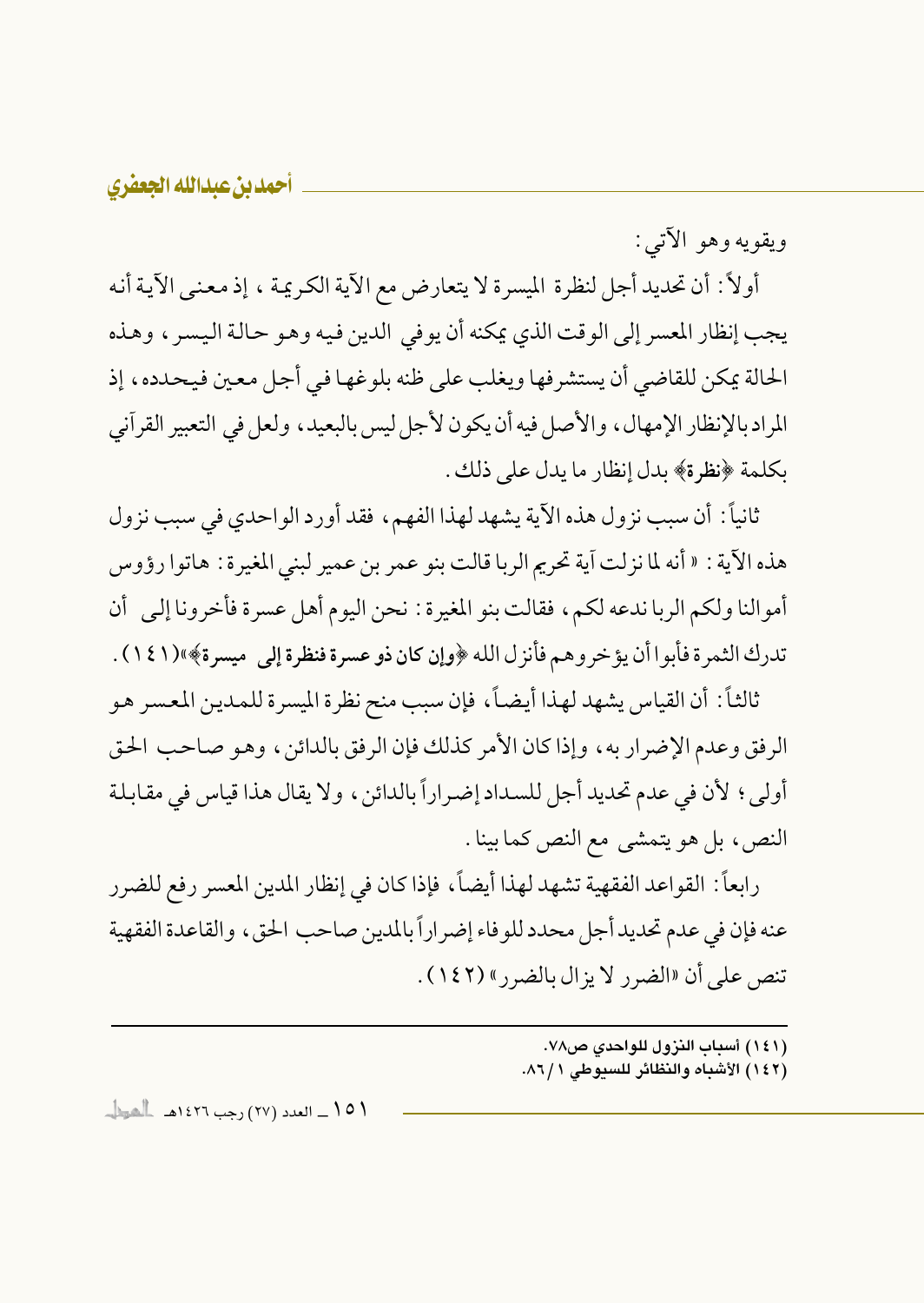ويقويه وهو الآتي:

أولاً : أن تحديد أجل لنظرة الميسرة لا يتعارض مع الآية الكريمة ، إذ معنى الآية أنه يجب إنظار المعسر إلى الوقت الذي يمكنه أن يوفي الدين فيه وهو حالة اليسر ، وهذه الحالة يمكن للقاضي أن يستشرفها ويغلب على ظنه بلوغها في أجل معين فيحدده ، إذ المراد بالإنظار الإمهال، والأصل فيه أن يكون لأجل ليس بالبعيد، ولعل في التعبير القرآني بكلمة ﴿نظرة﴾ بدل إنظار ما يدل على ذلك .

ثانياً: أن سبب نزول هذه الآية يشهد لهذا الفهم، فقد أورد الواحدي في سبب نزول هذه الآية : « أنه لما نزلت آية تحريم الربا قالت بنو عمر بن عمير لبني المغيرة : هاتوا رؤوس أموالنا ولكم الربا ندعه لكم، فقالت بنو المغيرة : نحن اليوم أهل عسرة فأخرونا إلى أن تدرك الثمر ة فأبوا أن يؤخر وهم فأنزل الله ﴿وإن كان ذو عسرة فنظرة إلى ميسرة﴾»(١٤١) .

ثالثاً: أن القياس يشهد لهذا أيضاً، فإن سبب منح نظرة المسرة للمدين المعسر هو الرفق وعدم الإضرار به، وإذا كان الأمر كذلك فإن الرفق بالدائن، وهو صاحب الحق أولى ؛ لأن في عدم تحديد أجل للسداد إضراراً بالدائن ، ولا يقال هذا قياس في مقابلة النص، بل هو يتمشى مع النص كما بينا .

رابعاً: القواعد الفقهية تشهد لهذا أيضاً، فإذا كان في إنظار المدين المعسر رفع للضرر عنه فإن في عدم تحديد أجل محدد للوفاء إضر اراً بالمدين صاحب الحق، والقاعدة الفقهية تنص على أن «الضرر لا يزال بالضرر» (١٤٢) .

- (١٤١) أسباب النزول للواحدي ص٧٨.
- (١٤٢) الأشباه والنظائر للسيوطي ٨٦/١.

\ 0 \ \_ العدد (٢٧) رجب ١٤٢٦هـ أأهوال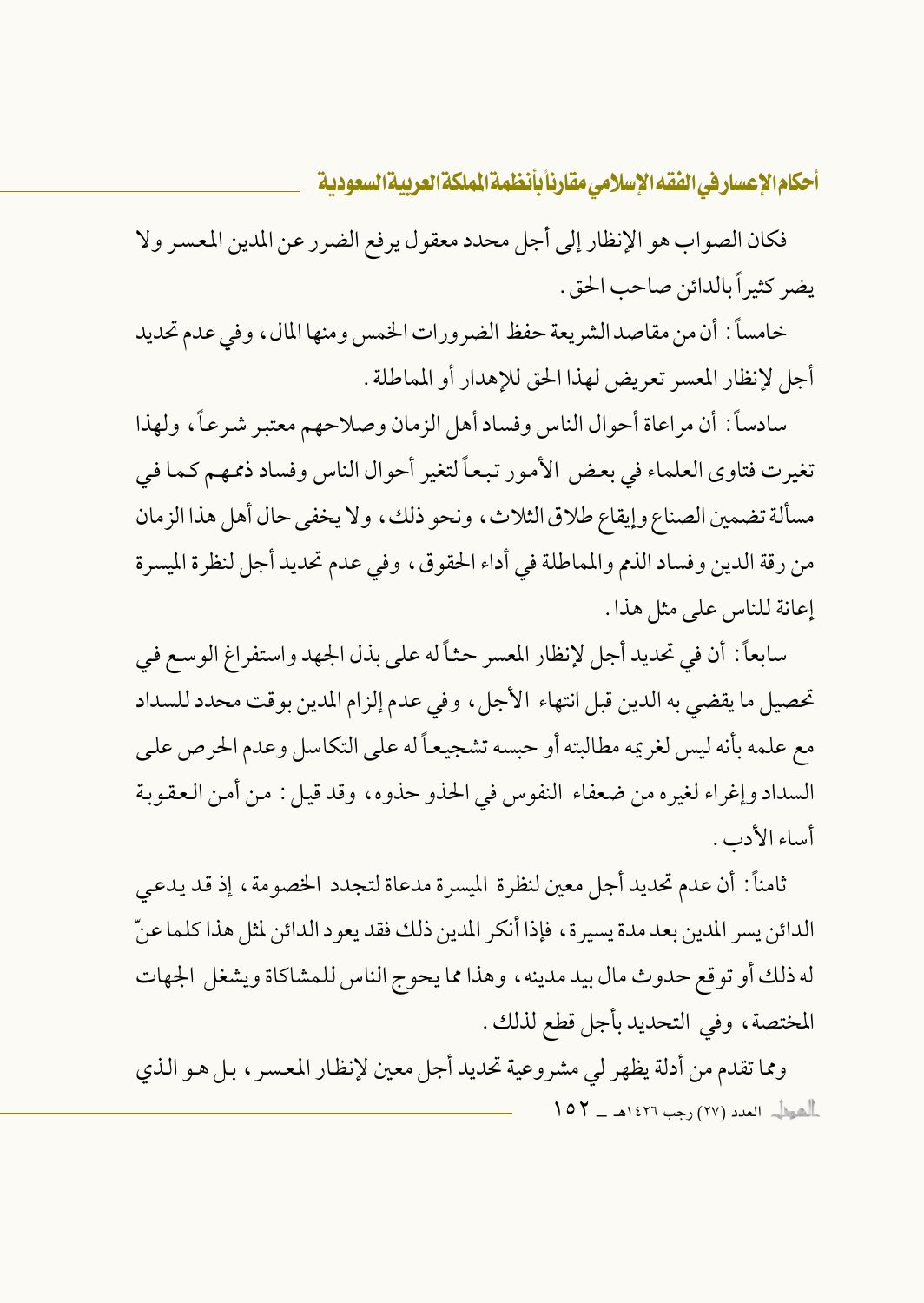فكان الصواب هو الإنظار إلى أجل محدد معقول يرفع الضرر عن المدين المعسر ولا يضر كثيراً بالدائن صاحب الحق .

خامساً : أن من مقاصد الشريعة حفظ الضرورات الخمس ومنها المال ، وفي عدم تحديد أجل لإنظار المعسر تعريض لهذا الحق للإهدار أو المماطلة .

سادساً: أن مراعاة أحوال الناس وفساد أهل الزمان وصلاحهم معتبر شرعاً، ولهذا تغيرت فتاوى العلماء في بعض الأمور تبعاً لتغير أحوال الناس وفساد ذممهم كما في مسألة تضمين الصناع وإيقاع طلاق الثلاث، ونحو ذلك، ولا يخفى حال أهل هذا الزمان من رقة الدين وفساد الذم والمماطلة في أداء الحقوق، وفي عدم تحديد أجل لنظرة الميسرة إعانة للناس على مثل هذا .

سابعاً: أن في تحديد أجل لإنظار المعسر حثاً له على بذل الجهد واستفراغ الوسع في تحصيل ما يقضي به الدين قبل انتهاء الأجل، وفي عدم إلزام المدين بوقت محدد للسداد مع علمه بأنه ليس لغريمه مطالبته أو حبسه تشجيعاً له على التكاسل وعدم الحرص على السداد وإغراء لغيره من ضعفاء النفوس في الحذو حذوه، وقد قيل: من أمن العقوبة أساء الأدب .

ثامناً: أن عدم تحديد أجل معين لنظرة الميسرة مدعاة لتجدد الخصومة، إذ قد يدعى الدائن يسر المدين بعد مدة يسيرة، فإذا أنكر المدين ذلك فقد يعود الدائن لمثل هذا كلما عنّ له ذلك أو توقع حدوث مال بيد مدينه ، وهذا مما يحوج الناس للمشاكاة ويشغل الجهات المختصة، وفي التحديد بأجل قطع لذلك .

ومما تقدم من أدلة يظهر لي مشروعية تحديد أجل معين لإنظار المعسر ، بل هو الذي الصطل العدد (٢٧) رجب ١٤٢٦هـ \_ ١٥٢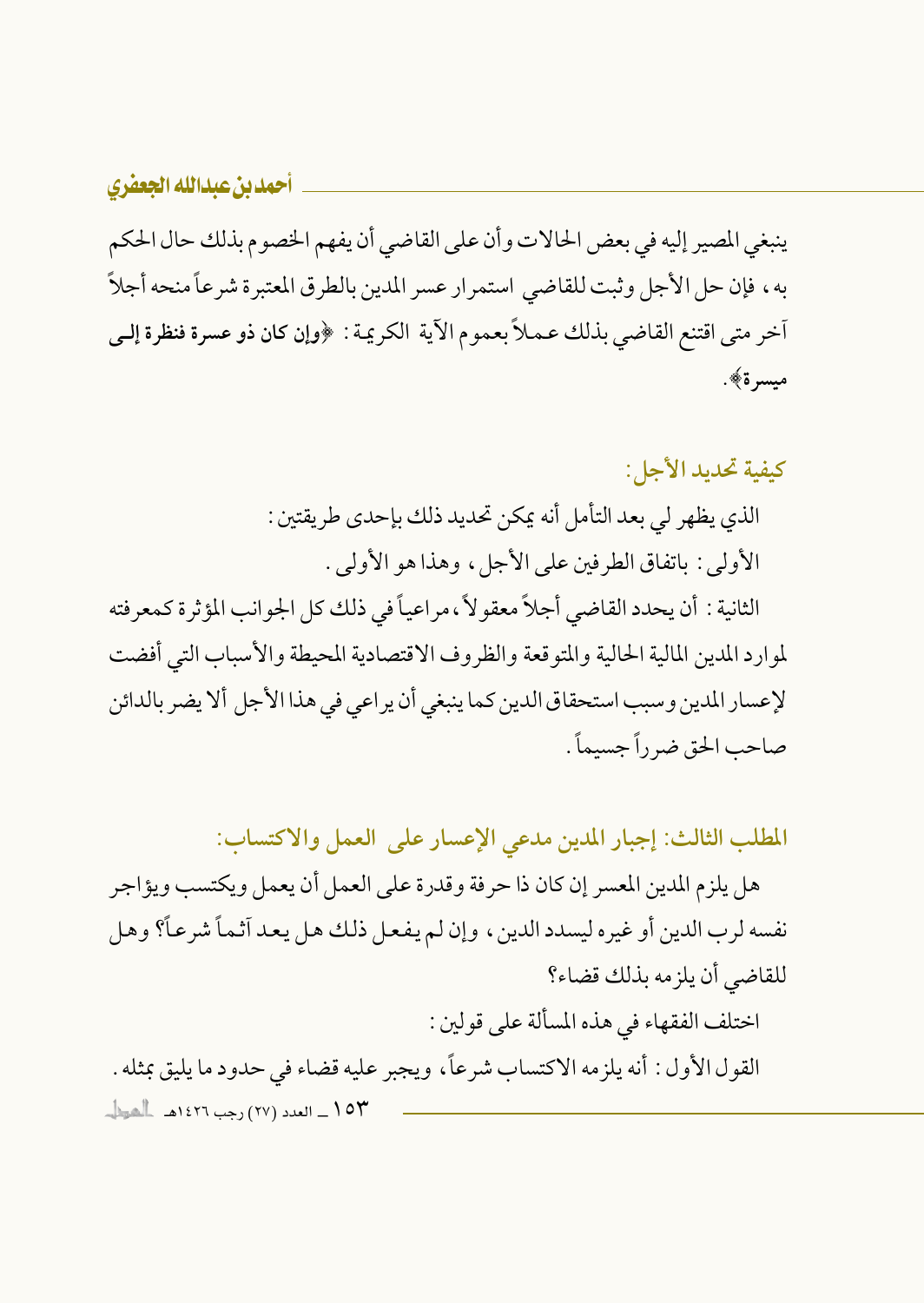ينبغي المصير إليه في بعض الحالات وأن على القاضي أن يفهم الخصوم بذلك حال الحكم به، فإن حل الأجل وثبت للقاضي استمرار عسر المدين بالطرق المعتبرة شرعاً منحه أجلاً أخر متى اقتنع القاضي بذلك عـمـلاً بعموم الآية الكريمة : ﴿وإن كان ذو عسرة فنظرة إلـي ميسرة﴾.

كيفية تحديد الأجل:

الذي يظهر لي بعد التأمل أنه يمكن تحديد ذلك بإحدى طريقتين : الأولى : باتفاق الطرفين على الأجل، وهذا هو الأولى .

الثانية : أن يحدد القاضي أجلاً معقوٍ لأ ، مراعياً في ذلك كل الجوانب المؤثرة كمعرفته لموارد المدين المالية الحالية والمتوقعة والظروف الاقتصادية المحيطة والأسباب التي أفضت لإعسار المدين وسبب استحقاق الدين كما ينبغي أن ير اعي في هذا الأجل ألا يضر بالدائن صاحب الحق ضرراً جسيماً .

المطلب الثالث: إجبار المدين مدعى الإعسار على العمل والاكتساب:

هل يلزم المدين المعسر إن كان ذا حرفة وقدرة على العمل أن يعمل ويكتسب ويؤاجر نفسه لرب الدين أو غيره ليسدد الدين ، وإن لم يفعل ذلك هل يعد آثماً شرعاً؟ وهل للقاضي أن يلزمه بذلك قضاء؟

اختلف الفقهاء في هذه المسألة على قولين :

القول الأول : أنه يلزمه الاكتساب شرعاً، ويجبر عليه قضاء في حدود ما يليق بمثله . ١٥٣ \_ العدد (٢٧) رجب ١٤٢٦هـ الشيطا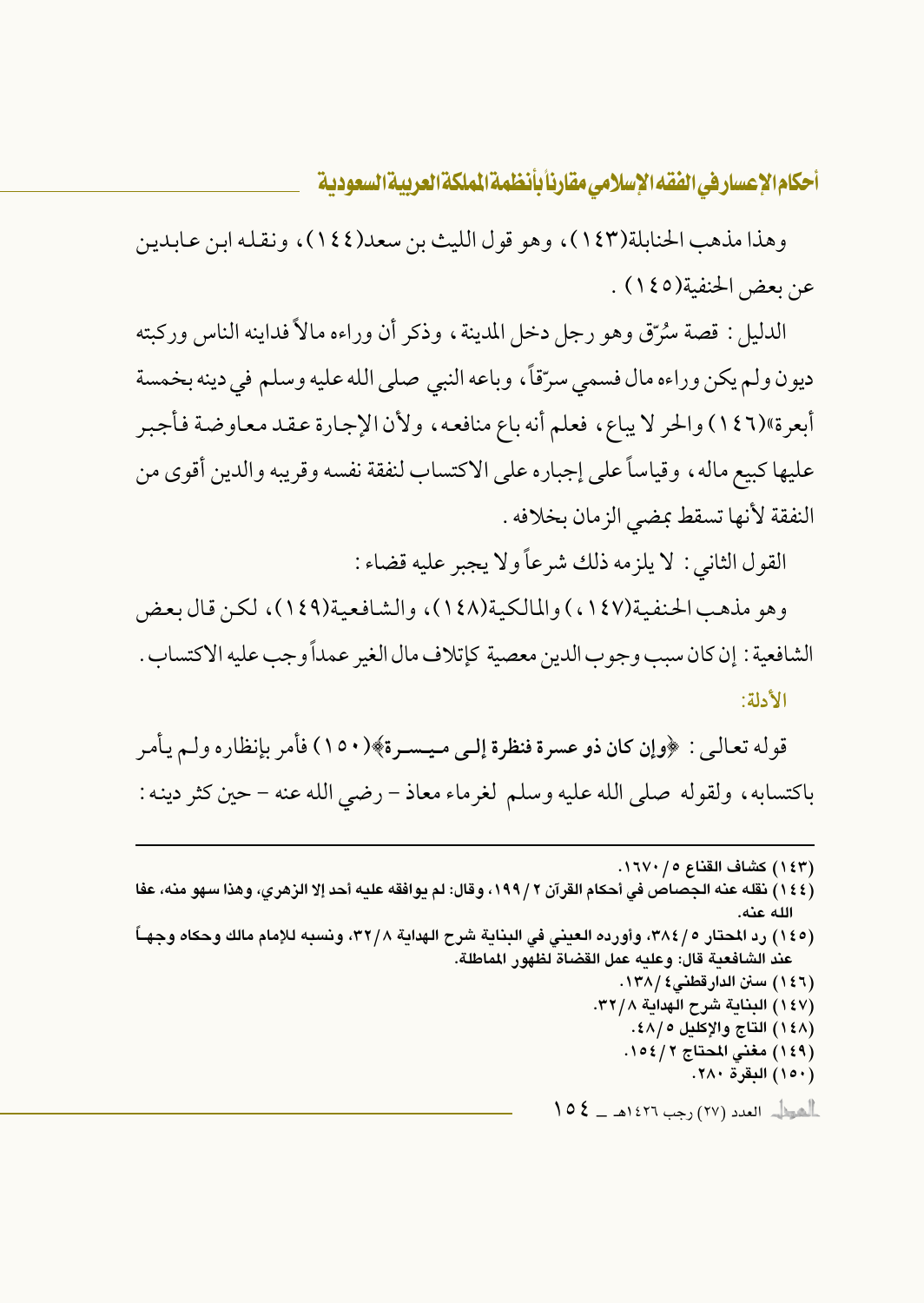وهذا مذهب الحنابلة(١٤٣)، وهو قول الليث بن سعد(١٤٤)، ونقله ابن عابدين عن بعض الحنفية(١٤٥) .

الدليل : قصة سُرِّقٍ وهو رجل دخل المدينة ، وذكر أن وراءه مالاً فداينه الناس وركبته ديون ولم يكن وراءه مال فسمى سرّقاً، وباعه النبي صلى الله عليه وسلم في دينه بخمسة أبعرة»(١٤٦) والحر لا يباع، فعلم أنه باع منافعه، ولأن الإجارة عقد معاوضة فأجبر عليها كبيع ماله ، وقياساً على إجباره على الاكتساب لنفقة نفسه وقريبه والدين أقوى من النفقة لأنها تسقط بمضى الزمان بخلافه .

القول الثاني : لا يلزمه ذلك شرعاً ولا يجبر عليه قضاء :

وهو مذهب الحنفية(١٤٧) والمالكية(١٤٨)، والشافعية(١٤٩)، لكن قال بعض الشافعية : إن كان سبب وجوب الدين معصية كإتلاف مال الغير عمداً وجب عليه الاكتساب . الأدلة:

قوله تعالىي : ﴿وإِن كان ذو عسرة فنظرة إلى ميـسـرة﴾(١٥٠) فأمر بإنظاره ولـم يأمر باكتسابه، ولقوله صلى الله عليه وسلم لغرماء معاذ – رضي الله عنه – حين كثر دينه :

- (١٤٤) نقله عنه الجصاص في أحكام القرآن ٢ /١٩٩، وقال: لم يوافقه عليه أحد إلا الزهري، وهذا سهو منه، عفا الله عنه.
- (١٤٥) رد المحتار ٢٨٤/٥، وأورده العيني في البناية شرح الهداية ٣٢/٨، ونسبه للإمام مالك وحكاه وجهـاً عند الشافعية قال: وعليه عمل القضاة لظهور الماطلة.

أأهول العدد (٢٧) رجب ١٤٢٦هـ \_ كم ١

<sup>(</sup>١٤٣) كشاف القناع ١٦٧٠/٠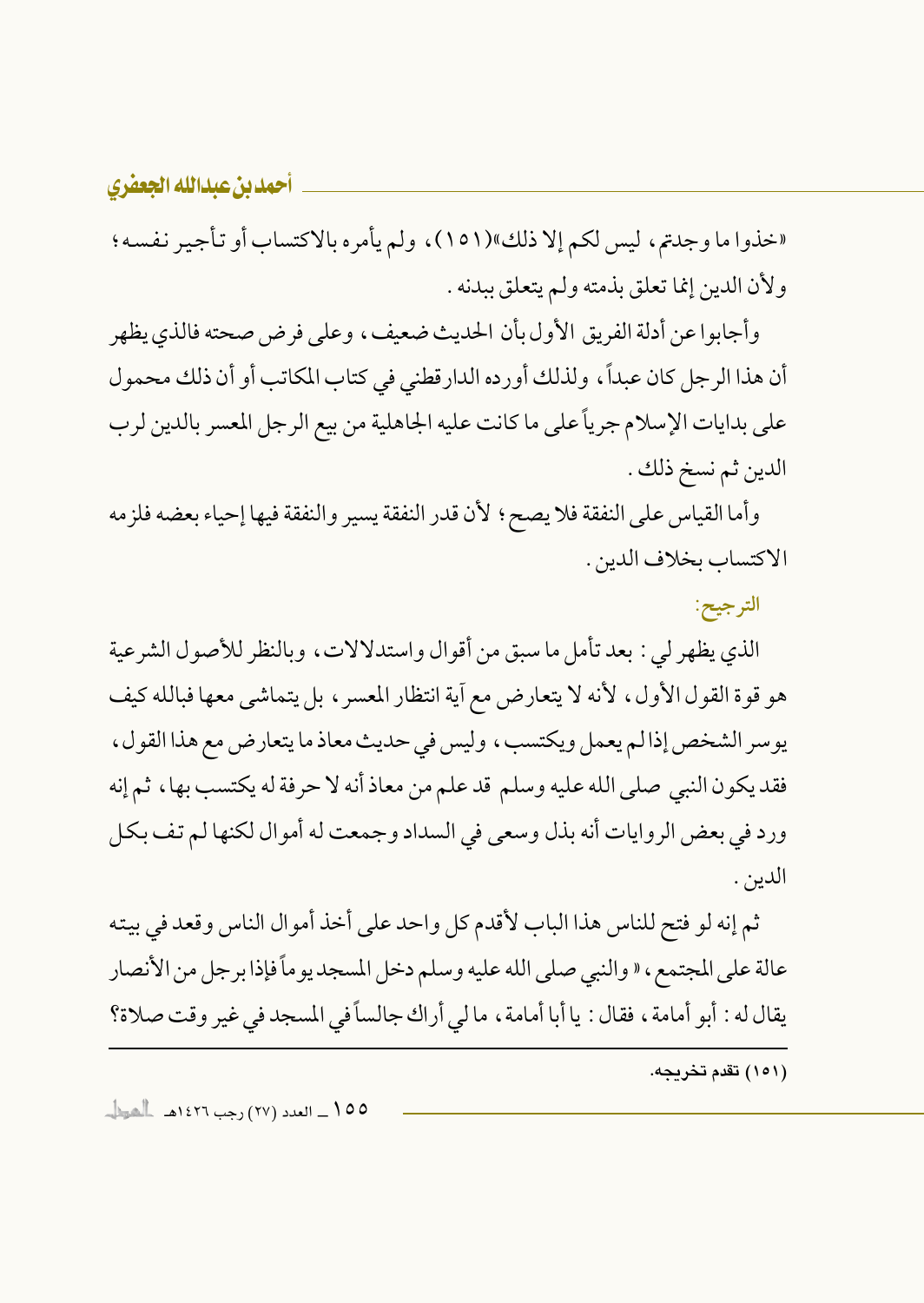«خذوا ما وجدتم، ليس لكم إلا ذلك»(١٥١)، ولم يأمره بالاكتساب أو تأجير نفسه؛ ولأن الدين إنما تعلق بذمته ولم يتعلق ببدنه .

وأجابواعن أدلة الفريق الأول بأن الحديث ضعيف، وعلى فرض صحته فالذي يظهر أن هذا الرجل كان عبداً، ولذلك أورده الدارقطني في كتاب المكاتب أو أن ذلك محمول على بدايات الإسلام جرياً على ما كانت عليه الجاهلية من بيع الرجل المعسر بالدين لرب الدين ثم نسخ ذلك .

وأما القياس على النفقة فلا يصح ؛ لأن قدر النفقة يسير والنفقة فيها إحياء بعضه فلزمه الاكتساب بخلاف الدين .

الترجيح:

الذي يظهر لي : بعد تأمل ما سبق من أقوال واستدلالات، وبالنظر للأصول الشرعية هو قوة القول الأول، لأنه لا يتعارض مع أية انتظار المعسر، بل يتماشى معها فبالله كيف يوسر الشخص إذالم يعمل ويكتسب، وليس في حديث معاذ ما يتعارض مع هذا القول، فقد يكون النبي صلى الله عليه وسلم قد علم من معاذ أنه لا حرفة له يكتسب بها ، ثم إنه ورد في بعض الروايات أنه بذل وسعى في السداد وجمعت له أموال لكنها لم تف بكل الدين .

ثم إنه لو فتح للناس هذا الباب لأقدم كل واحد على أخذ أموال الناس وقعد في بيته عالة على المجتمع ، « والنبي صلى الله عليه وسلم دخل المسجد يوماً فإذا برجل من الأنصار يقال له : أبو أمامة ، فقال : يا أبا أمامة ، ما لي أراك جالساً في المسجد في غير وقت صلاة؟

(١٥١) تقدم تخريجه.

00 \ \_ العدد (٢٧) رجب ١٤٢٦هـ العط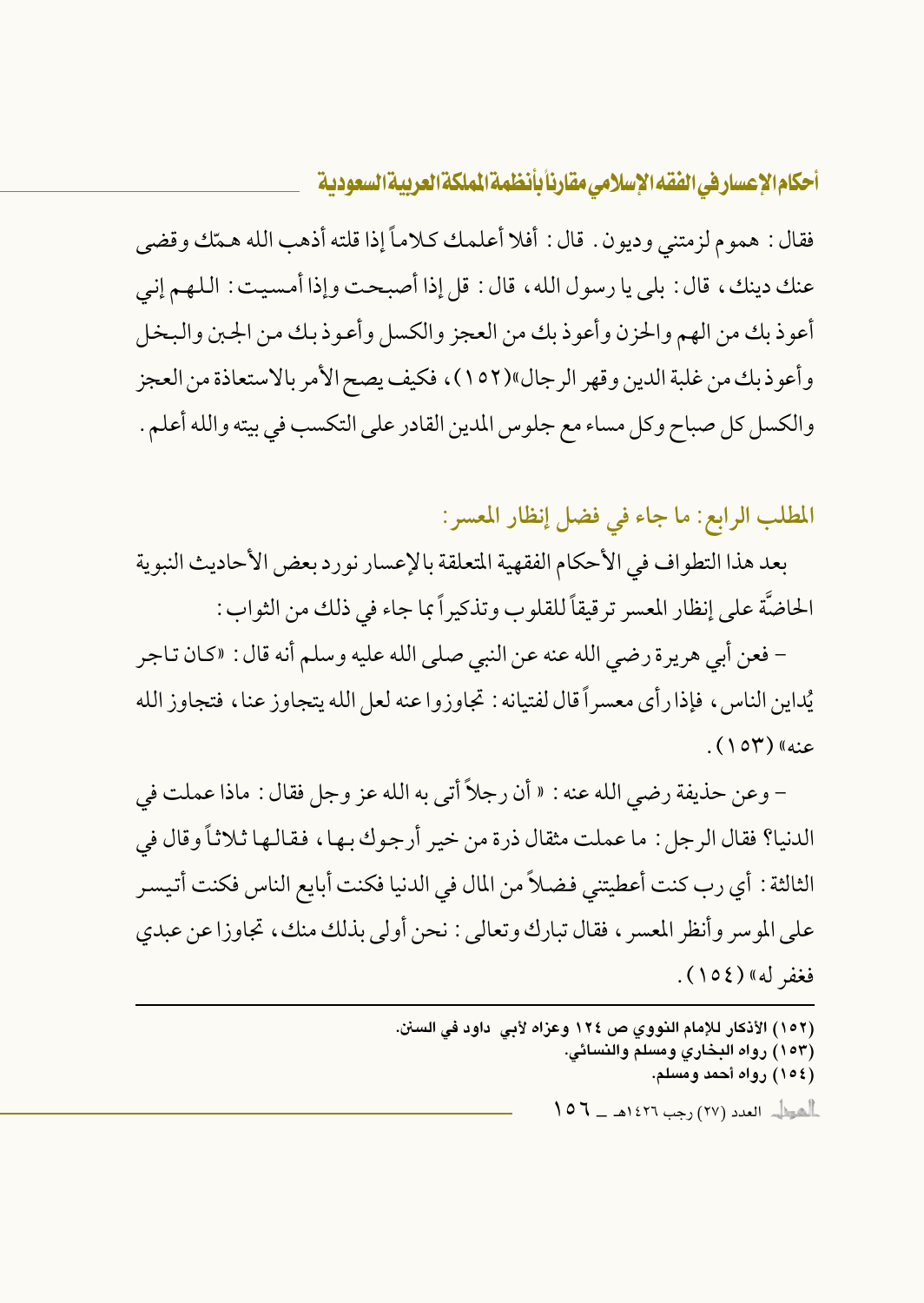فقال : هموم لزمتني وديون . قال : أفلا أعلمك كلاماً إذا قلته أذهب الله همّك وقضى عنك دينك، قال : بلي يا رسول الله، قال : قل إذا أصبحت وإذا أمسيت : اللهم إني أعوذ بك من الهم والحزن وأعوذ بك من العجز والكسل وأعوذ بك من الجبن والبخل وأعوذبك من غلبة الدين وقهر الرجال»(١٥٢)، فكيف يصح الأمر بالاستعاذة من العجز والكسل كل صباح وكل مساء مع جلوس المدين القادر على التكسب في بيته والله أعلم .

المطلب الرابع: ما جاء في فضل إنظار المعسر:

بعد هذا التطواف في الأحكام الفقهية المتعلقة بالإعسار نورد بعض الأحاديث النبوية الحاضَّة على إنظار المعسر ترقيقاً للقلوب وتذكيراً بما جاء في ذلك من الثواب :

– فعن أبي هريرة رضي الله عنه عن النبي صلى الله عليه وسلم أنه قال : «كان تـاجر يُداين الناس ، فإذا رأى معسراً قال لفتيانه : تجاوز و اعنه لعل الله يتجاوز عنا ، فتجاوز الله عنه» (۱۵۳).

– وعن حذيفة رضي الله عنه : « أن رجلاً أتى به الله عز وجل فقال : ماذا عملت في الدنيا؟ فقال الرجل : ما عملت مثقال ذرة من خير أرجوك بها ، فقالها ثلاثاً وقال في الثالثة : أي رب كنت أعطيتني فضلاً من المال في الدنيا فكنت أبايع الناس فكنت أتيسر على الموسر وأنظر المعسر ، فقال تبارك وتعالى : نحن أولى بذلك منك ، تجاوزا عن عبدي فغفر له» (١٥٤).

(١٥٢) الأذكار للإمام النووي ص ١٢٤ وعزاه لأبي داود في السنن. (١٥٣) رواه البخاري ومسلم والنسائي. (١٥٤) رواه أحمد ومسلم.  $107 - 121$  (YY)  $\sim$  (YY)  $\sim$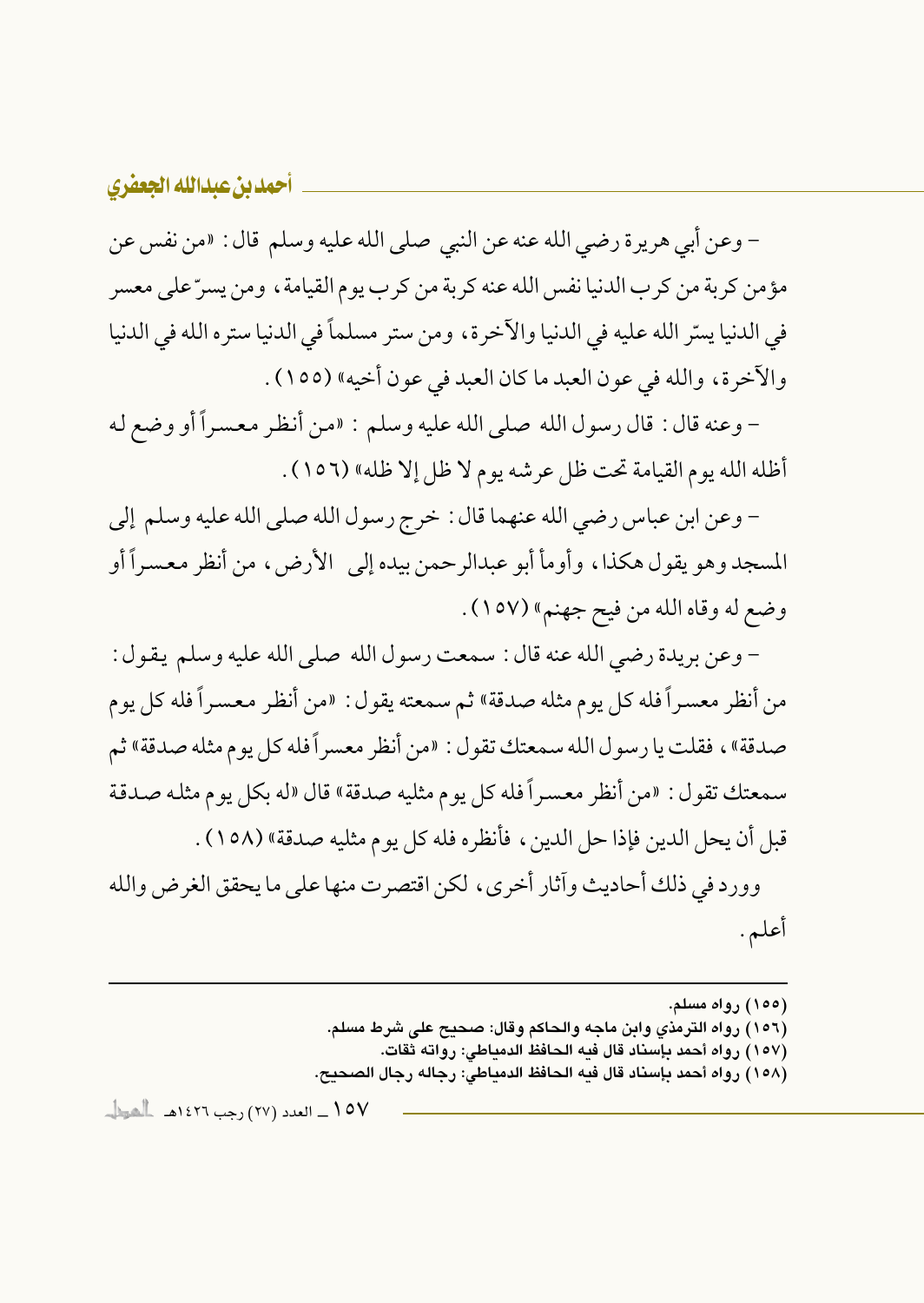– وعن أبي هريرة رضي الله عنه عن النبي صلى الله عليه وسلم قال : «من نفس عن مؤمن كربة من كرب الدنيا نفس الله عنه كربة من كرب يوم القيامة ، ومن يسرِّ على معسر في الدنيا يسرِّ الله عليه في الدنيا والآخرة، ومن ستر مسلماً في الدنيا ستره الله في الدنيا والآخرة، والله في عون العبد ما كان العبد في عون أخيه» (١٥٥) .

- وعنه قال : قال رسول الله صلى الله عليه وسلم : «من أنظر معسراً أو وضع له أظله الله يوم القيامة تحت ظل عرشه يوم لا ظل إلا ظله» (١٥٦) .

– وعن ابن عباس رضي الله عنهما قال : خرج رسول الله صلى الله عليه وسلم إلى المسجد وهو يقول هكذا، وأومأ أبو عبدالرحمن بيده إلى الأرض، من أنظر معسراً أو وضع له وقاه الله من فيح جهنم» (١٥٧).

– وعن بريدة رضي الله عنه قال : سمعت رسول الله صلى الله عليه وسلم يقول : من أنظر معسراً فله كل يوم مثله صدقة» ثم سمعته يقول: «من أنظر معسراً فله كل يوم صدقة»، فقلت يا رسول الله سمعتك تقول : «من أنظر معسر أفله كل يوم مثله صدقة» ثم سمعتك تقول : «من أنظر معسراً فله كل يوم مثليه صدقة» قال «له بكل يوم مثله صدقة قبل أن يحل الدين فإذا حل الدين ، فأنظر ه فله كل يو م مثليه صدقة» (١٥٨) .

وورد في ذلك أحاديث وآثار أخرى، لكن اقتصرت منها على ما يحقق الغرض والله أعلم.

- (١٥٦) رواه الترمذي وابن ماجه والحاكم وقال: صحيح على شرط مسلم.
	- (١٥٧) رواه أحمد بإسناد قال فيه الحافظ الدمياطي: رواته ثقات.
- (١٥٨) رواه أحمد بإسناد قال فيه الحافظ الدمياطي: رجاله رجال الصحيح.

107 \_ العدد (٢٧) رجب ١٤٢٦هـ \_ الشيط ...

<sup>(</sup>۱۵۵) رواه مسلم.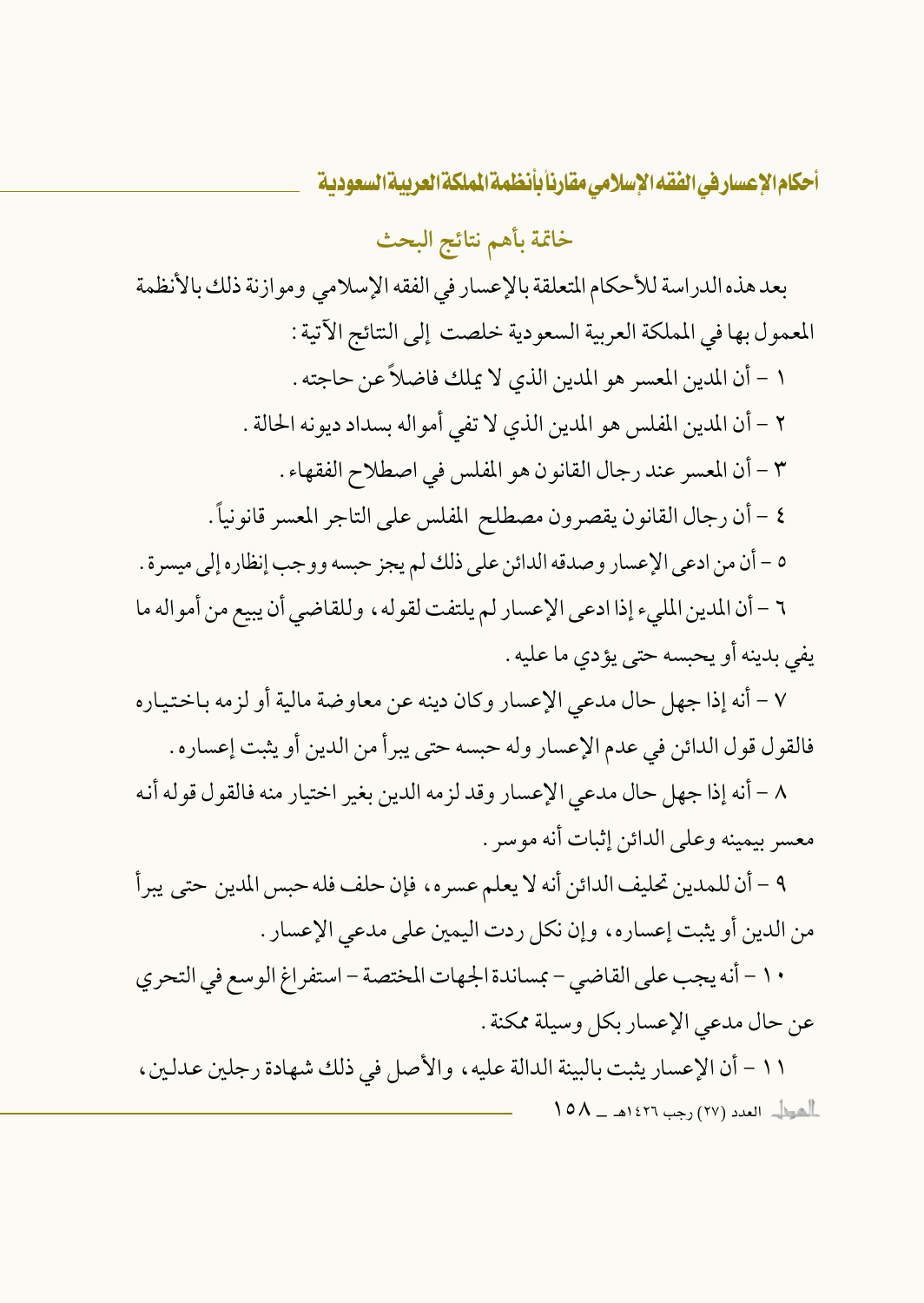خاتمة بأهم نتائج البحث

بعد هذه الدراسة للأحكام المتعلقة بالإعسار في الفقه الإسلامي وموازنة ذلك بالأنظمة المعمول بها في المملكة العربية السعودية خلصت إلى النتائج الآتية : ١ - أن المدين المعسر هو المدين الذي لا يملك فاضلاً عن حاجته . ٢ – أن المدين المفلس هو المدين الذي لا تفي أمواله بسداد ديونه الحالة . ٣ - أن المعسر عند رجال القانون هو المفلس في اصطلاح الفقهاء . ٤ – أن رجال القانون يقصرون مصطلح المفلس على التاجر المعسر قانونياً . ٥ – أن من ادعى الإعسار وصدقه الدائن على ذلك لم يجز حبسه ووجب إنظاره إلى ميسرة . ٦ – أن المدين المليء إذا ادعى الإعسار لم يلتفت لقوله ، وللقاضي أن يبيع من أمواله ما يفي بدينه أو يحبسه حتى يؤدي ما عليه .

٧ – أنه إذا جهل حال مدعى الإعسار وكان دينه عن معاوضة مالية أو لزمه باختياره فالقول قول الدائن في عدم الإعسار وله حبسه حتى يبرأ من الدين أو يثبت إعساره .

٨ – أنه إذا جهل حال مدعى الإعسار وقد لزمه الدين بغير اختيار منه فالقول قوله أنه معسر بيمينه وعلى الدائن إثبات أنه موسر .

٩ – أن للمدين تحليف الدائن أنه لا يعلم عسره، فإن حلف فله حبس المدين حتى يبرأ من الدين أو يثبت إعساره، وإن نكل ردت اليمين على مدعى الإعسار .

١٠ - أنه يجب على القاضي - بمساندة الجهات المختصة - استفراغ الوسع في التحري عن حال مدعى الإعسار بكل وسيلة ممكنة .

١١ - أن الإعسار يثبت بالبينة الدالة عليه ، والأصل في ذلك شهادة رجلين عدلين ، العراب العدد (٢٧) رجب ١٤٢٦هـ - ١٥٨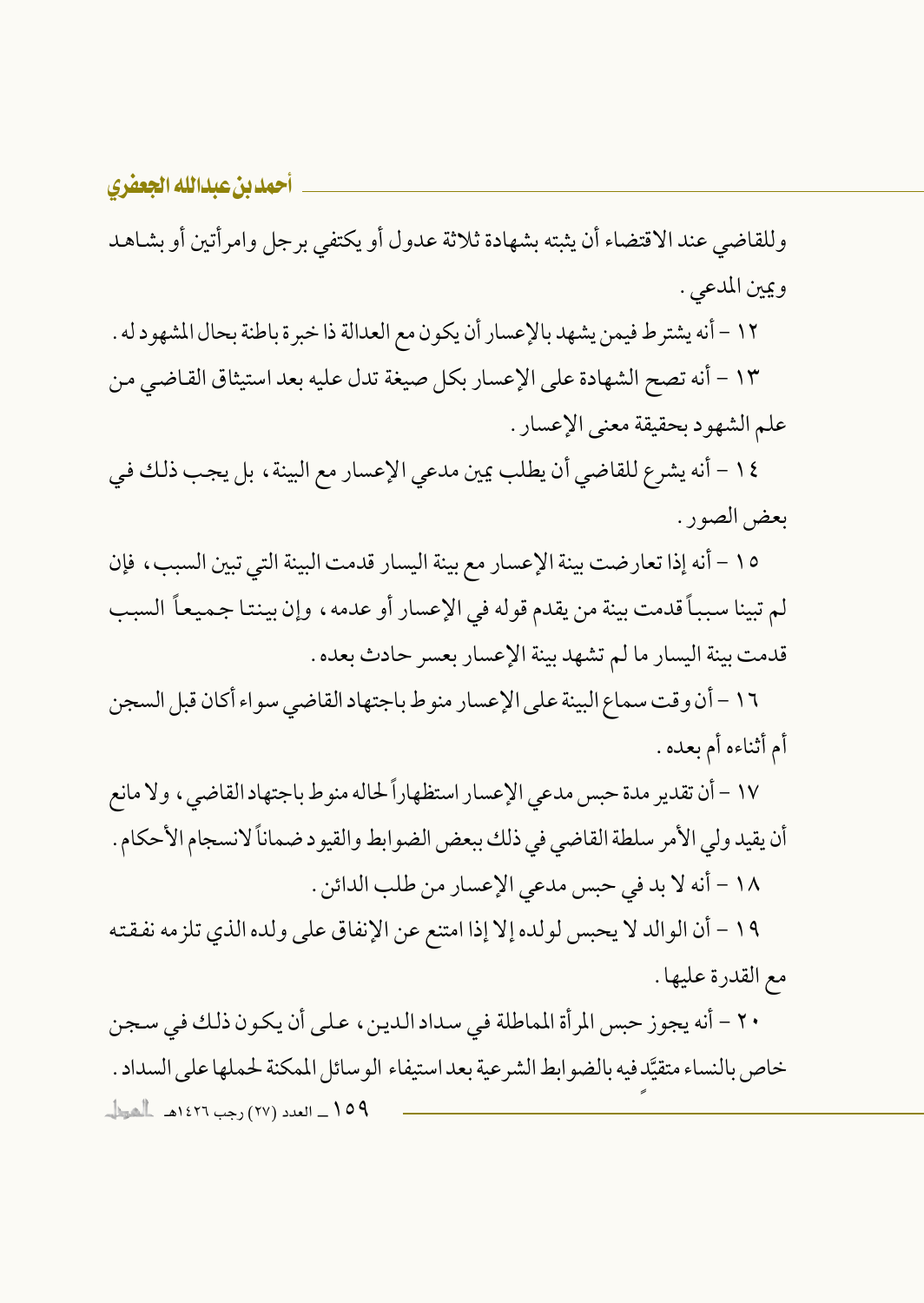وللقاضي عند الاقتضاء أن يثبته بشهادة ثلاثة عدول أو يكتفي برجل وامرأتين أو بشاهد ويين المدعى .

١٢ – أنه يشتر ط فيمن يشهد بالإعسار أن يكون مع العدالة ذا خبر ة باطنة بحال المشهو د له . ١٣ - أنه تصح الشهادة على الإعسار بكل صيغة تدل عليه بعد استيثاق القاضي من علم الشهود بحقيقة معنى الإعسار .

١٤ - أنه يشرع للقاضي أن يطلب يمين مدعى الإعسار مع البينة ، بل يجب ذلك في بعض الصور .

١٥ - أنه إذا تعارضت بينة الإعسار مع بينة اليسار قدمت البينة التي تبين السبب، فإن لم تبينا سبباً قدمت بينة من يقدم قوله في الإعسار أو عدمه، وإن بينتا جميعاً السبب قدمت بينة اليسار ما لم تشهد بينة الإعسار بعسر حادث بعده .

١٦ – أن وقت سماع البينة على الإعسار منو ط باجتهاد القاضبي سواء أكان قبل السجن أم أثناءه أم بعده .

١٧ – أن تقدير مدة حبس مدعى الإعسار استظهاراً لحاله منوط باجتهاد القاضي ، ولا مانع أن يقيد ولي الأمر سلطة القاضي في ذلك ببعض الضوابط والقيود ضماناً لانسجام الأحكام . ١٨ - أنه لا بد في حبس مدعى الإعسار من طلب الدائن .

١٩ - أن الوالد لا يحبس لولده إلا إذا امتنع عن الإنفاق على ولده الذي تلزمه نفقته مع القدرة عليها .

٢٠ - أنه يجوز حبس المرأة المماطلة في سداد الدين، على أن يكون ذلك في سجن خاص بالنساء متقيَّد فيه بالضو ابط الشرعية بعد استيفاء الو سائل المهكنة لحملها على السداد . 109 ـــ العدد (٢٧) رجب ١٤٢٦هــ الصطل